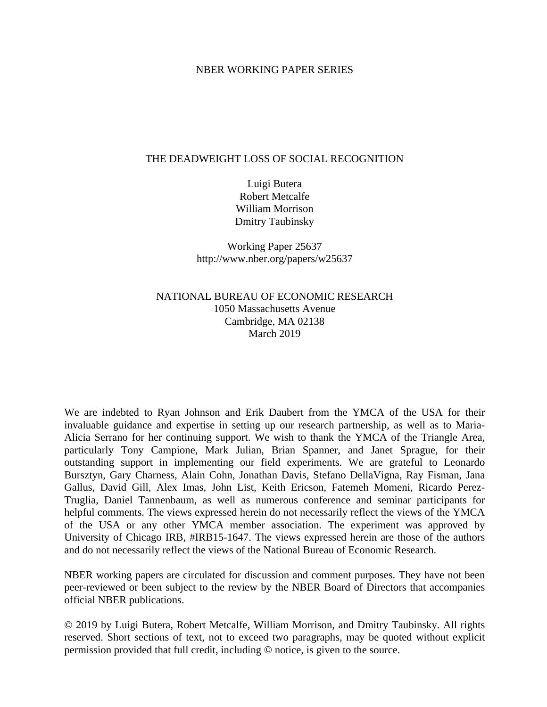## NBER WORKING PAPER SERIES

## THE DEADWEIGHT LOSS OF SOCIAL RECOGNITION

Luigi Butera Robert Metcalfe William Morrison Dmitry Taubinsky

Working Paper 25637 http://www.nber.org/papers/w25637

# NATIONAL BUREAU OF ECONOMIC RESEARCH 1050 Massachusetts Avenue Cambridge, MA 02138 March 2019

We are indebted to Ryan Johnson and Erik Daubert from the YMCA of the USA for their invaluable guidance and expertise in setting up our research partnership, as well as to Maria-Alicia Serrano for her continuing support. We wish to thank the YMCA of the Triangle Area, particularly Tony Campione, Mark Julian, Brian Spanner, and Janet Sprague, for their outstanding support in implementing our field experiments. We are grateful to Leonardo Bursztyn, Gary Charness, Alain Cohn, Jonathan Davis, Stefano DellaVigna, Ray Fisman, Jana Gallus, David Gill, Alex Imas, John List, Keith Ericson, Fatemeh Momeni, Ricardo Perez-Truglia, Daniel Tannenbaum, as well as numerous conference and seminar participants for helpful comments. The views expressed herein do not necessarily reflect the views of the YMCA of the USA or any other YMCA member association. The experiment was approved by University of Chicago IRB, #IRB15-1647. The views expressed herein are those of the authors and do not necessarily reflect the views of the National Bureau of Economic Research.

NBER working papers are circulated for discussion and comment purposes. They have not been peer-reviewed or been subject to the review by the NBER Board of Directors that accompanies official NBER publications.

© 2019 by Luigi Butera, Robert Metcalfe, William Morrison, and Dmitry Taubinsky. All rights reserved. Short sections of text, not to exceed two paragraphs, may be quoted without explicit permission provided that full credit, including © notice, is given to the source.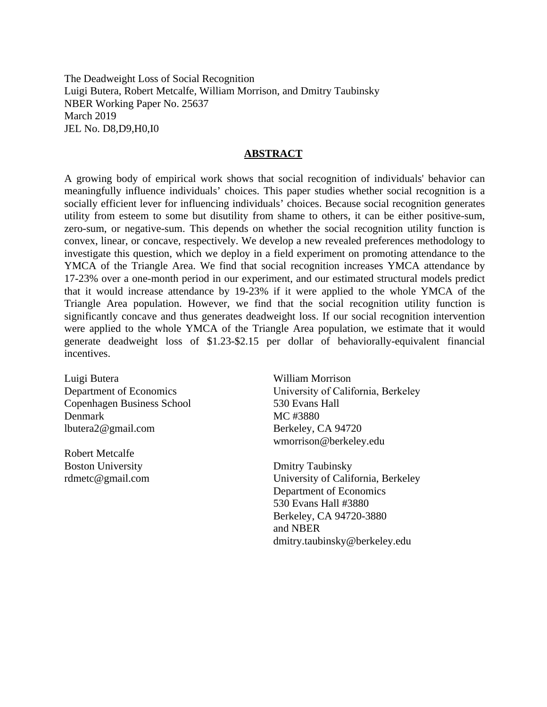The Deadweight Loss of Social Recognition Luigi Butera, Robert Metcalfe, William Morrison, and Dmitry Taubinsky NBER Working Paper No. 25637 March 2019 JEL No. D8,D9,H0,I0

## **ABSTRACT**

A growing body of empirical work shows that social recognition of individuals' behavior can meaningfully influence individuals' choices. This paper studies whether social recognition is a socially efficient lever for influencing individuals' choices. Because social recognition generates utility from esteem to some but disutility from shame to others, it can be either positive-sum, zero-sum, or negative-sum. This depends on whether the social recognition utility function is convex, linear, or concave, respectively. We develop a new revealed preferences methodology to investigate this question, which we deploy in a field experiment on promoting attendance to the YMCA of the Triangle Area. We find that social recognition increases YMCA attendance by 17-23% over a one-month period in our experiment, and our estimated structural models predict that it would increase attendance by 19-23% if it were applied to the whole YMCA of the Triangle Area population. However, we find that the social recognition utility function is significantly concave and thus generates deadweight loss. If our social recognition intervention were applied to the whole YMCA of the Triangle Area population, we estimate that it would generate deadweight loss of \$1.23-\$2.15 per dollar of behaviorally-equivalent financial incentives.

Luigi Butera Department of Economics Copenhagen Business School Denmark lbutera2@gmail.com

Robert Metcalfe Boston University rdmetc@gmail.com

William Morrison University of California, Berkeley 530 Evans Hall MC #3880 Berkeley, CA 94720 wmorrison@berkeley.edu

Dmitry Taubinsky University of California, Berkeley Department of Economics 530 Evans Hall #3880 Berkeley, CA 94720-3880 and NBER dmitry.taubinsky@berkeley.edu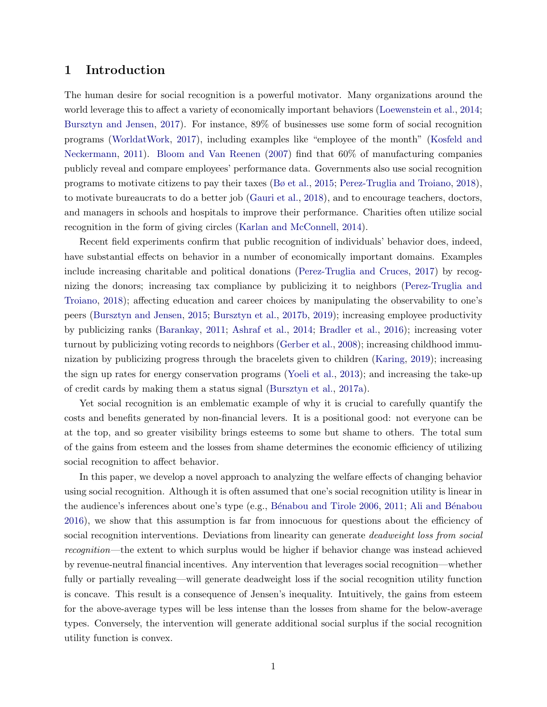# <span id="page-2-0"></span>1 Introduction

The human desire for social recognition is a powerful motivator. Many organizations around the world leverage this to affect a variety of economically important behaviors [\(Loewenstein et al.,](#page-31-0) [2014;](#page-31-0) [Bursztyn and Jensen,](#page-29-0) [2017\)](#page-29-0). For instance, 89% of businesses use some form of social recognition programs [\(WorldatWork,](#page-31-1) [2017\)](#page-31-1), including examples like "employee of the month" [\(Kosfeld and](#page-31-2) [Neckermann,](#page-31-2) [2011\)](#page-31-2). [Bloom and Van Reenen](#page-29-1) [\(2007\)](#page-29-1) find that 60% of manufacturing companies publicly reveal and compare employees' performance data. Governments also use social recognition programs to motivate citizens to pay their taxes [\(Bø et al.,](#page-29-2) [2015;](#page-29-2) [Perez-Truglia and Troiano,](#page-31-3) [2018\)](#page-31-3), to motivate bureaucrats to do a better job [\(Gauri et al.,](#page-30-0) [2018\)](#page-30-0), and to encourage teachers, doctors, and managers in schools and hospitals to improve their performance. Charities often utilize social recognition in the form of giving circles [\(Karlan and McConnell,](#page-31-4) [2014\)](#page-31-4).

Recent field experiments confirm that public recognition of individuals' behavior does, indeed, have substantial effects on behavior in a number of economically important domains. Examples include increasing charitable and political donations [\(Perez-Truglia and Cruces,](#page-31-5) [2017\)](#page-31-5) by recognizing the donors; increasing tax compliance by publicizing it to neighbors [\(Perez-Truglia and](#page-31-3) [Troiano,](#page-31-3) [2018\)](#page-31-3); affecting education and career choices by manipulating the observability to one's peers [\(Bursztyn and Jensen,](#page-29-3) [2015;](#page-29-3) [Bursztyn et al.,](#page-30-1) [2017b,](#page-30-1) [2019\)](#page-30-2); increasing employee productivity by publicizing ranks [\(Barankay,](#page-29-4) [2011;](#page-29-4) [Ashraf et al.,](#page-29-5) [2014;](#page-29-5) [Bradler et al.,](#page-29-6) [2016\)](#page-29-6); increasing voter turnout by publicizing voting records to neighbors [\(Gerber et al.,](#page-30-3) [2008\)](#page-30-3); increasing childhood immunization by publicizing progress through the bracelets given to children [\(Karing,](#page-31-6) [2019\)](#page-31-6); increasing the sign up rates for energy conservation programs [\(Yoeli et al.,](#page-31-7) [2013\)](#page-31-7); and increasing the take-up of credit cards by making them a status signal [\(Bursztyn et al.,](#page-30-4) [2017a\)](#page-30-4).

Yet social recognition is an emblematic example of why it is crucial to carefully quantify the costs and benefits generated by non-financial levers. It is a positional good: not everyone can be at the top, and so greater visibility brings esteems to some but shame to others. The total sum of the gains from esteem and the losses from shame determines the economic efficiency of utilizing social recognition to affect behavior.

In this paper, we develop a novel approach to analyzing the welfare effects of changing behavior using social recognition. Although it is often assumed that one's social recognition utility is linear in the audience's inferences about one's type (e.g., Bénabou and Tirole 2006, [2011;](#page-29-8) Ali and Bénabou [2016\)](#page-28-0), we show that this assumption is far from innocuous for questions about the efficiency of social recognition interventions. Deviations from linearity can generate *deadweight loss from social* recognition—the extent to which surplus would be higher if behavior change was instead achieved by revenue-neutral financial incentives. Any intervention that leverages social recognition—whether fully or partially revealing—will generate deadweight loss if the social recognition utility function is concave. This result is a consequence of Jensen's inequality. Intuitively, the gains from esteem for the above-average types will be less intense than the losses from shame for the below-average types. Conversely, the intervention will generate additional social surplus if the social recognition utility function is convex.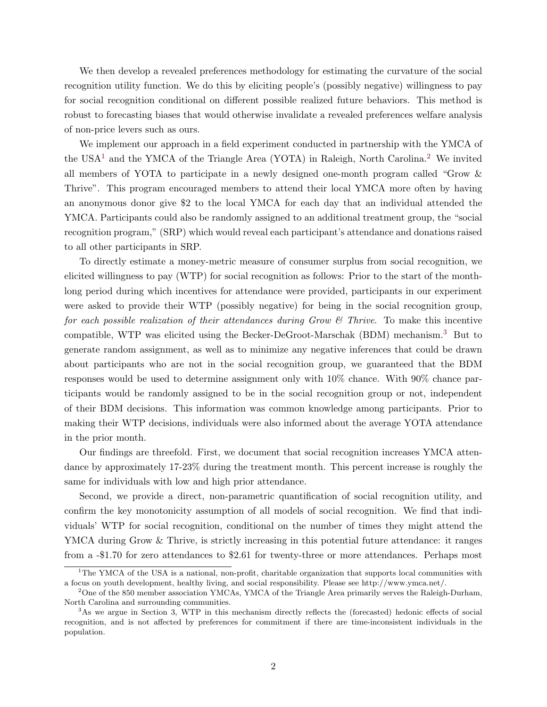We then develop a revealed preferences methodology for estimating the curvature of the social recognition utility function. We do this by eliciting people's (possibly negative) willingness to pay for social recognition conditional on different possible realized future behaviors. This method is robust to forecasting biases that would otherwise invalidate a revealed preferences welfare analysis of non-price levers such as ours.

We implement our approach in a field experiment conducted in partnership with the YMCA of the USA<sup>[1](#page--1-0)</sup> and the YMCA of the Triangle Area (YOTA) in Raleigh, North Carolina.<sup>[2](#page--1-0)</sup> We invited all members of YOTA to participate in a newly designed one-month program called "Grow & Thrive". This program encouraged members to attend their local YMCA more often by having an anonymous donor give \$2 to the local YMCA for each day that an individual attended the YMCA. Participants could also be randomly assigned to an additional treatment group, the "social recognition program," (SRP) which would reveal each participant's attendance and donations raised to all other participants in SRP.

To directly estimate a money-metric measure of consumer surplus from social recognition, we elicited willingness to pay (WTP) for social recognition as follows: Prior to the start of the monthlong period during which incentives for attendance were provided, participants in our experiment were asked to provide their WTP (possibly negative) for being in the social recognition group, for each possible realization of their attendances during Grow & Thrive. To make this incentive compatible, WTP was elicited using the Becker-DeGroot-Marschak (BDM) mechanism.[3](#page--1-0) But to generate random assignment, as well as to minimize any negative inferences that could be drawn about participants who are not in the social recognition group, we guaranteed that the BDM responses would be used to determine assignment only with 10% chance. With 90% chance participants would be randomly assigned to be in the social recognition group or not, independent of their BDM decisions. This information was common knowledge among participants. Prior to making their WTP decisions, individuals were also informed about the average YOTA attendance in the prior month.

Our findings are threefold. First, we document that social recognition increases YMCA attendance by approximately 17-23% during the treatment month. This percent increase is roughly the same for individuals with low and high prior attendance.

Second, we provide a direct, non-parametric quantification of social recognition utility, and confirm the key monotonicity assumption of all models of social recognition. We find that individuals' WTP for social recognition, conditional on the number of times they might attend the YMCA during Grow & Thrive, is strictly increasing in this potential future attendance: it ranges from a -\$1.70 for zero attendances to \$2.61 for twenty-three or more attendances. Perhaps most

<sup>&</sup>lt;sup>1</sup>The YMCA of the USA is a national, non-profit, charitable organization that supports local communities with a focus on youth development, healthy living, and social responsibility. Please see http://www.ymca.net/.

 $2^2$ One of the 850 member association YMCAs, YMCA of the Triangle Area primarily serves the Raleigh-Durham, North Carolina and surrounding communities.

<sup>&</sup>lt;sup>3</sup>As we argue in Section 3, WTP in this mechanism directly reflects the (forecasted) hedonic effects of social recognition, and is not affected by preferences for commitment if there are time-inconsistent individuals in the population.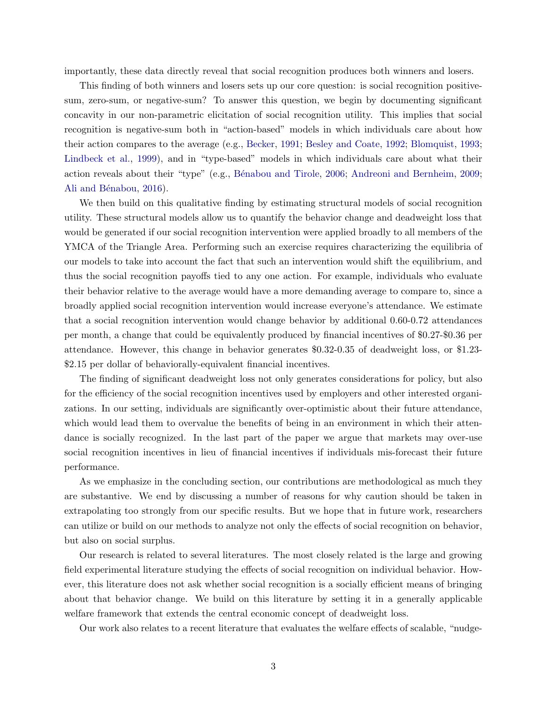importantly, these data directly reveal that social recognition produces both winners and losers.

This finding of both winners and losers sets up our core question: is social recognition positivesum, zero-sum, or negative-sum? To answer this question, we begin by documenting significant concavity in our non-parametric elicitation of social recognition utility. This implies that social recognition is negative-sum both in "action-based" models in which individuals care about how their action compares to the average (e.g., [Becker,](#page-29-9) [1991;](#page-29-9) [Besley and Coate,](#page-29-10) [1992;](#page-29-10) [Blomquist,](#page-29-11) [1993;](#page-29-11) [Lindbeck et al.,](#page-31-8) [1999\)](#page-31-8), and in "type-based" models in which individuals care about what their action reveals about their "type" (e.g., Bénabou and Tirole, [2006;](#page-29-7) [Andreoni and Bernheim,](#page-29-12) [2009;](#page-29-12) Ali and Bénabou, [2016\)](#page-28-0).

We then build on this qualitative finding by estimating structural models of social recognition utility. These structural models allow us to quantify the behavior change and deadweight loss that would be generated if our social recognition intervention were applied broadly to all members of the YMCA of the Triangle Area. Performing such an exercise requires characterizing the equilibria of our models to take into account the fact that such an intervention would shift the equilibrium, and thus the social recognition payoffs tied to any one action. For example, individuals who evaluate their behavior relative to the average would have a more demanding average to compare to, since a broadly applied social recognition intervention would increase everyone's attendance. We estimate that a social recognition intervention would change behavior by additional 0.60-0.72 attendances per month, a change that could be equivalently produced by financial incentives of \$0.27-\$0.36 per attendance. However, this change in behavior generates \$0.32-0.35 of deadweight loss, or \$1.23- \$2.15 per dollar of behaviorally-equivalent financial incentives.

The finding of significant deadweight loss not only generates considerations for policy, but also for the efficiency of the social recognition incentives used by employers and other interested organizations. In our setting, individuals are significantly over-optimistic about their future attendance, which would lead them to overvalue the benefits of being in an environment in which their attendance is socially recognized. In the last part of the paper we argue that markets may over-use social recognition incentives in lieu of financial incentives if individuals mis-forecast their future performance.

As we emphasize in the concluding section, our contributions are methodological as much they are substantive. We end by discussing a number of reasons for why caution should be taken in extrapolating too strongly from our specific results. But we hope that in future work, researchers can utilize or build on our methods to analyze not only the effects of social recognition on behavior, but also on social surplus.

Our research is related to several literatures. The most closely related is the large and growing field experimental literature studying the effects of social recognition on individual behavior. However, this literature does not ask whether social recognition is a socially efficient means of bringing about that behavior change. We build on this literature by setting it in a generally applicable welfare framework that extends the central economic concept of deadweight loss.

Our work also relates to a recent literature that evaluates the welfare effects of scalable, "nudge-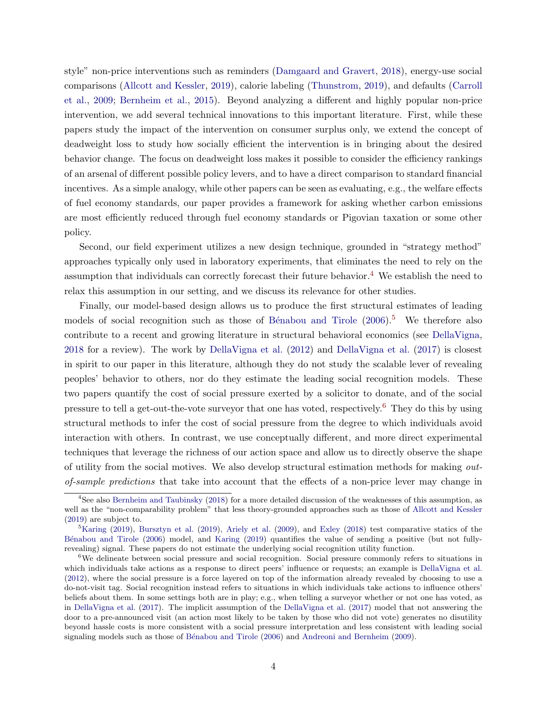style" non-price interventions such as reminders [\(Damgaard and Gravert,](#page-30-5) [2018\)](#page-30-5), energy-use social comparisons [\(Allcott and Kessler,](#page-28-1) [2019\)](#page-28-1), calorie labeling [\(Thunstrom,](#page-31-9) [2019\)](#page-31-9), and defaults [\(Carroll](#page-30-6) [et al.,](#page-30-6) [2009;](#page-30-6) [Bernheim et al.,](#page-29-13) [2015\)](#page-29-13). Beyond analyzing a different and highly popular non-price intervention, we add several technical innovations to this important literature. First, while these papers study the impact of the intervention on consumer surplus only, we extend the concept of deadweight loss to study how socially efficient the intervention is in bringing about the desired behavior change. The focus on deadweight loss makes it possible to consider the efficiency rankings of an arsenal of different possible policy levers, and to have a direct comparison to standard financial incentives. As a simple analogy, while other papers can be seen as evaluating, e.g., the welfare effects of fuel economy standards, our paper provides a framework for asking whether carbon emissions are most efficiently reduced through fuel economy standards or Pigovian taxation or some other policy.

Second, our field experiment utilizes a new design technique, grounded in "strategy method" approaches typically only used in laboratory experiments, that eliminates the need to rely on the assumption that individuals can correctly forecast their future behavior.<sup>[4](#page--1-0)</sup> We establish the need to relax this assumption in our setting, and we discuss its relevance for other studies.

Finally, our model-based design allows us to produce the first structural estimates of leading models of social recognition such as those of Bénabou and Tirole  $(2006)^5$  $(2006)^5$  $(2006)^5$ . We therefore also contribute to a recent and growing literature in structural behavioral economics (see [DellaVigna,](#page-30-7) [2018](#page-30-7) for a review). The work by [DellaVigna et al.](#page-30-8) [\(2012\)](#page-30-8) and [DellaVigna et al.](#page-30-9) [\(2017\)](#page-30-9) is closest in spirit to our paper in this literature, although they do not study the scalable lever of revealing peoples' behavior to others, nor do they estimate the leading social recognition models. These two papers quantify the cost of social pressure exerted by a solicitor to donate, and of the social pressure to tell a get-out-the-vote surveyor that one has voted, respectively.[6](#page--1-0) They do this by using structural methods to infer the cost of social pressure from the degree to which individuals avoid interaction with others. In contrast, we use conceptually different, and more direct experimental techniques that leverage the richness of our action space and allow us to directly observe the shape of utility from the social motives. We also develop structural estimation methods for making outof-sample predictions that take into account that the effects of a non-price lever may change in

<sup>&</sup>lt;sup>4</sup>See also [Bernheim and Taubinsky](#page-29-14) [\(2018\)](#page-29-14) for a more detailed discussion of the weaknesses of this assumption, as well as the "non-comparability problem" that less theory-grounded approaches such as those of [Allcott and Kessler](#page-28-1) [\(2019\)](#page-28-1) are subject to.

<sup>&</sup>lt;sup>5</sup>[Karing](#page-31-6) [\(2019\)](#page-30-2), [Bursztyn et al.](#page-30-2) (2019), [Ariely et al.](#page-29-15) [\(2009\)](#page-29-15), and [Exley](#page-30-10) [\(2018\)](#page-30-10) test comparative statics of the Bénabou and Tirole [\(2006\)](#page-29-7) model, and [Karing](#page-31-6) [\(2019\)](#page-31-6) quantifies the value of sending a positive (but not fullyrevealing) signal. These papers do not estimate the underlying social recognition utility function.

<sup>&</sup>lt;sup>6</sup>We delineate between social pressure and social recognition. Social pressure commonly refers to situations in which individuals take actions as a response to direct peers' influence or requests; an example is [DellaVigna et al.](#page-30-8) [\(2012\)](#page-30-8), where the social pressure is a force layered on top of the information already revealed by choosing to use a do-not-visit tag. Social recognition instead refers to situations in which individuals take actions to influence others' beliefs about them. In some settings both are in play; e.g., when telling a surveyor whether or not one has voted, as in [DellaVigna et al.](#page-30-9) [\(2017\)](#page-30-9). The implicit assumption of the [DellaVigna et al.](#page-30-9) [\(2017\)](#page-30-9) model that not answering the door to a pre-announced visit (an action most likely to be taken by those who did not vote) generates no disutility beyond hassle costs is more consistent with a social pressure interpretation and less consistent with leading social signaling models such as those of Bénabou and Tirole [\(2006\)](#page-29-7) and [Andreoni and Bernheim](#page-29-12) [\(2009\)](#page-29-12).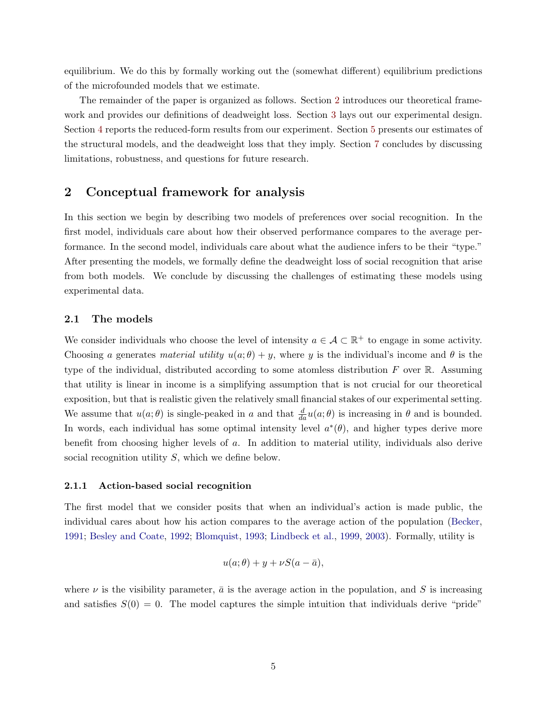equilibrium. We do this by formally working out the (somewhat different) equilibrium predictions of the microfounded models that we estimate.

The remainder of the paper is organized as follows. Section [2](#page-6-0) introduces our theoretical framework and provides our definitions of deadweight loss. Section [3](#page-11-0) lays out our experimental design. Section [4](#page-16-0) reports the reduced-form results from our experiment. Section [5](#page-19-0) presents our estimates of the structural models, and the deadweight loss that they imply. Section [7](#page-26-0) concludes by discussing limitations, robustness, and questions for future research.

# <span id="page-6-0"></span>2 Conceptual framework for analysis

In this section we begin by describing two models of preferences over social recognition. In the first model, individuals care about how their observed performance compares to the average performance. In the second model, individuals care about what the audience infers to be their "type." After presenting the models, we formally define the deadweight loss of social recognition that arise from both models. We conclude by discussing the challenges of estimating these models using experimental data.

#### 2.1 The models

We consider individuals who choose the level of intensity  $a \in \mathcal{A} \subset \mathbb{R}^+$  to engage in some activity. Choosing a generates material utility  $u(a; \theta) + y$ , where y is the individual's income and  $\theta$  is the type of the individual, distributed according to some atomless distribution  $F$  over  $\mathbb{R}$ . Assuming that utility is linear in income is a simplifying assumption that is not crucial for our theoretical exposition, but that is realistic given the relatively small financial stakes of our experimental setting. We assume that  $u(a; \theta)$  is single-peaked in a and that  $\frac{d}{da}u(a; \theta)$  is increasing in  $\theta$  and is bounded. In words, each individual has some optimal intensity level  $a^*(\theta)$ , and higher types derive more benefit from choosing higher levels of a. In addition to material utility, individuals also derive social recognition utility S, which we define below.

#### <span id="page-6-1"></span>2.1.1 Action-based social recognition

The first model that we consider posits that when an individual's action is made public, the individual cares about how his action compares to the average action of the population [\(Becker,](#page-29-9) [1991;](#page-29-9) [Besley and Coate,](#page-29-10) [1992;](#page-29-10) [Blomquist,](#page-29-11) [1993;](#page-29-11) [Lindbeck et al.,](#page-31-8) [1999,](#page-31-8) [2003\)](#page-31-10). Formally, utility is

$$
u(a; \theta) + y + \nu S(a - \bar{a}),
$$

where  $\nu$  is the visibility parameter,  $\bar{a}$  is the average action in the population, and S is increasing and satisfies  $S(0) = 0$ . The model captures the simple intuition that individuals derive "pride"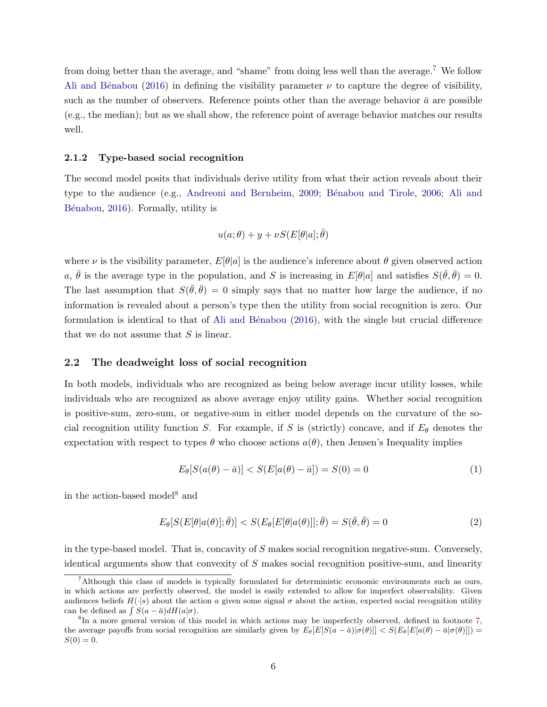from doing better than the average, and "shame" from doing less well than the average.[7](#page--1-0) We follow Ali and Bénabou [\(2016\)](#page-28-0) in defining the visibility parameter  $\nu$  to capture the degree of visibility, such as the number of observers. Reference points other than the average behavior  $\bar{a}$  are possible (e.g., the median); but as we shall show, the reference point of average behavior matches our results well.

#### <span id="page-7-2"></span>2.1.2 Type-based social recognition

The second model posits that individuals derive utility from what their action reveals about their type to the audience (e.g., [Andreoni and Bernheim,](#page-29-12) [2009;](#page-29-12) Bénabou and Tirole, [2006;](#page-29-7) [Ali and](#page-28-0) Bénabou, [2016\)](#page-28-0). Formally, utility is

$$
u(a; \theta) + y + \nu S(E[\theta|a]; \bar{\theta})
$$

where  $\nu$  is the visibility parameter,  $E[\theta|a]$  is the audience's inference about  $\theta$  given observed action a,  $\bar{\theta}$  is the average type in the population, and S is increasing in  $E[\theta|a]$  and satisfies  $S(\bar{\theta}, \bar{\theta}) = 0$ . The last assumption that  $S(\bar{\theta}, \bar{\theta}) = 0$  simply says that no matter how large the audience, if no information is revealed about a person's type then the utility from social recognition is zero. Our formulation is identical to that of Ali and Bénabou  $(2016)$ , with the single but crucial difference that we do not assume that  $S$  is linear.

#### 2.2 The deadweight loss of social recognition

In both models, individuals who are recognized as being below average incur utility losses, while individuals who are recognized as above average enjoy utility gains. Whether social recognition is positive-sum, zero-sum, or negative-sum in either model depends on the curvature of the social recognition utility function S. For example, if S is (strictly) concave, and if  $E_{\theta}$  denotes the expectation with respect to types  $\theta$  who choose actions  $a(\theta)$ , then Jensen's Inequality implies

<span id="page-7-1"></span>
$$
E_{\theta}[S(a(\theta) - \bar{a})] < S(E[a(\theta) - \bar{a}]) = S(0) = 0 \tag{1}
$$

in the action-based model<sup>[8](#page--1-0)</sup> and

<span id="page-7-0"></span>
$$
E_{\theta}[S(E[\theta|a(\theta)];\bar{\theta})] < S(E_{\theta}[E[\theta|a(\theta)]];\bar{\theta}) = S(\bar{\theta},\bar{\theta}) = 0 \tag{2}
$$

in the type-based model. That is, concavity of  $S$  makes social recognition negative-sum. Conversely, identical arguments show that convexity of  $S$  makes social recognition positive-sum, and linearity

<sup>&</sup>lt;sup>7</sup>Although this class of models is typically formulated for deterministic economic environments such as ours, in which actions are perfectly observed, the model is easily extended to allow for imperfect observability. Given audiences beliefs  $H(\cdot|s)$  about the action a given some signal  $\sigma$  about the action, expected social recognition utility can be defined as  $\int S(a - \bar{a}) dH(a|\sigma)$ .

<sup>&</sup>lt;sup>8</sup>In a more general version of this model in which actions may be imperfectly observed, defined in footnote [7,](#page-6-1) the average payoffs from social recognition are similarly given by  $E_{\theta}[E[S(a - \bar{a})|\sigma(\theta)]] < S(E_{\theta}[E[a(\theta) - \bar{a}|\sigma(\theta)]])$  $S(0) = 0.$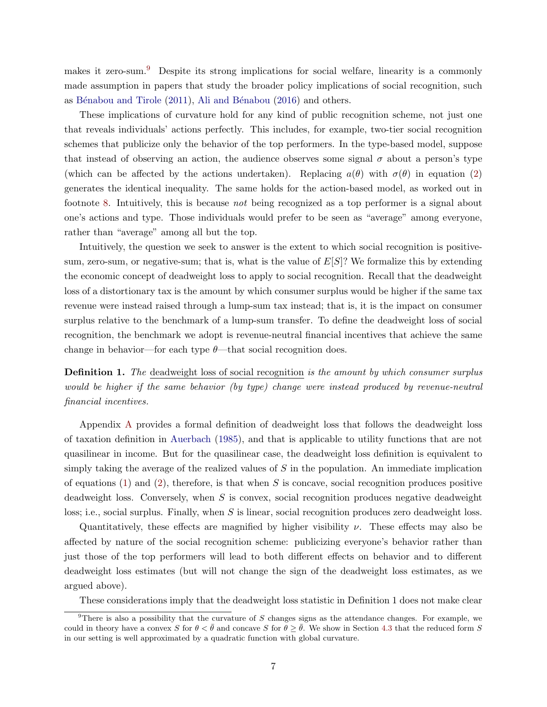makes it zero-sum.<sup>[9](#page--1-0)</sup> Despite its strong implications for social welfare, linearity is a commonly made assumption in papers that study the broader policy implications of social recognition, such as Bénabou and Tirole  $(2011)$ , Ali and Bénabou  $(2016)$  and others.

These implications of curvature hold for any kind of public recognition scheme, not just one that reveals individuals' actions perfectly. This includes, for example, two-tier social recognition schemes that publicize only the behavior of the top performers. In the type-based model, suppose that instead of observing an action, the audience observes some signal  $\sigma$  about a person's type (which can be affected by the actions undertaken). Replacing  $a(\theta)$  with  $\sigma(\theta)$  in equation [\(2\)](#page-7-0) generates the identical inequality. The same holds for the action-based model, as worked out in footnote [8.](#page-7-1) Intuitively, this is because not being recognized as a top performer is a signal about one's actions and type. Those individuals would prefer to be seen as "average" among everyone, rather than "average" among all but the top.

Intuitively, the question we seek to answer is the extent to which social recognition is positivesum, zero-sum, or negative-sum; that is, what is the value of  $E[S]$ ? We formalize this by extending the economic concept of deadweight loss to apply to social recognition. Recall that the deadweight loss of a distortionary tax is the amount by which consumer surplus would be higher if the same tax revenue were instead raised through a lump-sum tax instead; that is, it is the impact on consumer surplus relative to the benchmark of a lump-sum transfer. To define the deadweight loss of social recognition, the benchmark we adopt is revenue-neutral financial incentives that achieve the same change in behavior—for each type  $\theta$ —that social recognition does.

<span id="page-8-0"></span>**Definition 1.** The deadweight loss of social recognition is the amount by which consumer surplus would be higher if the same behavior (by type) change were instead produced by revenue-neutral financial incentives.

Appendix [A](#page-40-0) provides a formal definition of deadweight loss that follows the deadweight loss of taxation definition in [Auerbach](#page-29-16) [\(1985\)](#page-29-16), and that is applicable to utility functions that are not quasilinear in income. But for the quasilinear case, the deadweight loss definition is equivalent to simply taking the average of the realized values of  $S$  in the population. An immediate implication of equations [\(1\)](#page-7-1) and [\(2\)](#page-7-0), therefore, is that when  $S$  is concave, social recognition produces positive deadweight loss. Conversely, when  $S$  is convex, social recognition produces negative deadweight loss; i.e., social surplus. Finally, when S is linear, social recognition produces zero deadweight loss.

Quantitatively, these effects are magnified by higher visibility  $\nu$ . These effects may also be affected by nature of the social recognition scheme: publicizing everyone's behavior rather than just those of the top performers will lead to both different effects on behavior and to different deadweight loss estimates (but will not change the sign of the deadweight loss estimates, as we argued above).

These considerations imply that the deadweight loss statistic in Definition 1 does not make clear

 $9$ There is also a possibility that the curvature of S changes signs as the attendance changes. For example, we could in theory have a convex S for  $\theta < \bar{\theta}$  and concave S for  $\theta \geq \bar{\theta}$ . We show in Section [4.3](#page-17-0) that the reduced form S in our setting is well approximated by a quadratic function with global curvature.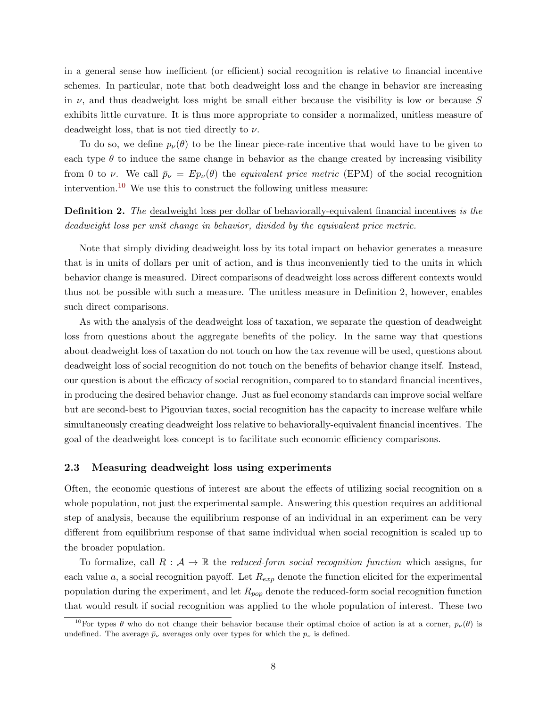in a general sense how inefficient (or efficient) social recognition is relative to financial incentive schemes. In particular, note that both deadweight loss and the change in behavior are increasing in  $\nu$ , and thus deadweight loss might be small either because the visibility is low or because S exhibits little curvature. It is thus more appropriate to consider a normalized, unitless measure of deadweight loss, that is not tied directly to  $\nu$ .

To do so, we define  $p_{\nu}(\theta)$  to be the linear piece-rate incentive that would have to be given to each type  $\theta$  to induce the same change in behavior as the change created by increasing visibility from 0 to v. We call  $\bar{p}_{\nu} = Ep_{\nu}(\theta)$  the equivalent price metric (EPM) of the social recognition intervention.<sup>[10](#page--1-0)</sup> We use this to construct the following unitless measure:

# Definition 2. The deadweight loss per dollar of behaviorally-equivalent financial incentives is the deadweight loss per unit change in behavior, divided by the equivalent price metric.

Note that simply dividing deadweight loss by its total impact on behavior generates a measure that is in units of dollars per unit of action, and is thus inconveniently tied to the units in which behavior change is measured. Direct comparisons of deadweight loss across different contexts would thus not be possible with such a measure. The unitless measure in Definition 2, however, enables such direct comparisons.

As with the analysis of the deadweight loss of taxation, we separate the question of deadweight loss from questions about the aggregate benefits of the policy. In the same way that questions about deadweight loss of taxation do not touch on how the tax revenue will be used, questions about deadweight loss of social recognition do not touch on the benefits of behavior change itself. Instead, our question is about the efficacy of social recognition, compared to to standard financial incentives, in producing the desired behavior change. Just as fuel economy standards can improve social welfare but are second-best to Pigouvian taxes, social recognition has the capacity to increase welfare while simultaneously creating deadweight loss relative to behaviorally-equivalent financial incentives. The goal of the deadweight loss concept is to facilitate such economic efficiency comparisons.

#### <span id="page-9-0"></span>2.3 Measuring deadweight loss using experiments

Often, the economic questions of interest are about the effects of utilizing social recognition on a whole population, not just the experimental sample. Answering this question requires an additional step of analysis, because the equilibrium response of an individual in an experiment can be very different from equilibrium response of that same individual when social recognition is scaled up to the broader population.

To formalize, call  $R : \mathcal{A} \to \mathbb{R}$  the reduced-form social recognition function which assigns, for each value a, a social recognition payoff. Let  $R_{exp}$  denote the function elicited for the experimental population during the experiment, and let  $R_{pop}$  denote the reduced-form social recognition function that would result if social recognition was applied to the whole population of interest. These two

<sup>&</sup>lt;sup>10</sup>For types  $\theta$  who do not change their behavior because their optimal choice of action is at a corner,  $p_{\nu}(\theta)$  is undefined. The average  $\bar{p}_{\nu}$  averages only over types for which the  $p_{\nu}$  is defined.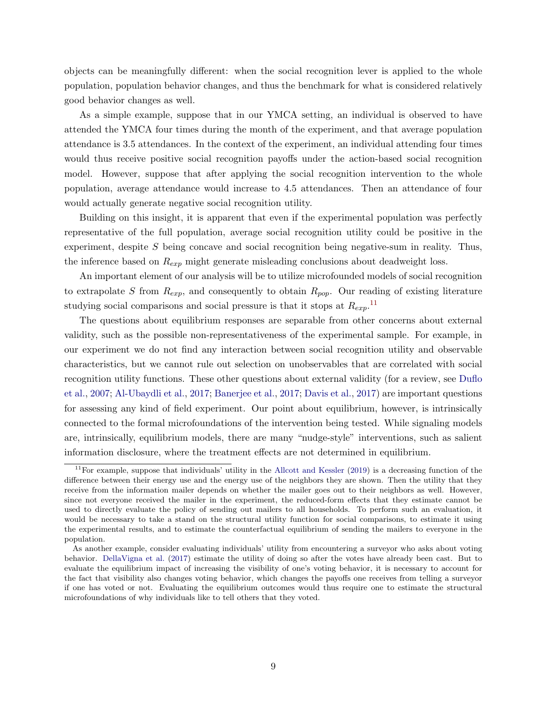objects can be meaningfully different: when the social recognition lever is applied to the whole population, population behavior changes, and thus the benchmark for what is considered relatively good behavior changes as well.

As a simple example, suppose that in our YMCA setting, an individual is observed to have attended the YMCA four times during the month of the experiment, and that average population attendance is 3.5 attendances. In the context of the experiment, an individual attending four times would thus receive positive social recognition payoffs under the action-based social recognition model. However, suppose that after applying the social recognition intervention to the whole population, average attendance would increase to 4.5 attendances. Then an attendance of four would actually generate negative social recognition utility.

Building on this insight, it is apparent that even if the experimental population was perfectly representative of the full population, average social recognition utility could be positive in the experiment, despite S being concave and social recognition being negative-sum in reality. Thus, the inference based on  $R_{exp}$  might generate misleading conclusions about deadweight loss.

An important element of our analysis will be to utilize microfounded models of social recognition to extrapolate S from  $R_{exp}$ , and consequently to obtain  $R_{pop}$ . Our reading of existing literature studying social comparisons and social pressure is that it stops at  $R_{exp}.$ <sup>[11](#page--1-0)</sup>

The questions about equilibrium responses are separable from other concerns about external validity, such as the possible non-representativeness of the experimental sample. For example, in our experiment we do not find any interaction between social recognition utility and observable characteristics, but we cannot rule out selection on unobservables that are correlated with social recognition utility functions. These other questions about external validity (for a review, see [Duflo](#page-30-11) [et al.,](#page-30-11) [2007;](#page-30-11) [Al-Ubaydli et al.,](#page-28-2) [2017;](#page-28-2) [Banerjee et al.,](#page-29-17) [2017;](#page-29-17) [Davis et al.,](#page-30-12) [2017\)](#page-30-12) are important questions for assessing any kind of field experiment. Our point about equilibrium, however, is intrinsically connected to the formal microfoundations of the intervention being tested. While signaling models are, intrinsically, equilibrium models, there are many "nudge-style" interventions, such as salient information disclosure, where the treatment effects are not determined in equilibrium.

 $11$ For example, suppose that individuals' utility in the [Allcott and Kessler](#page-28-1) [\(2019\)](#page-28-1) is a decreasing function of the difference between their energy use and the energy use of the neighbors they are shown. Then the utility that they receive from the information mailer depends on whether the mailer goes out to their neighbors as well. However, since not everyone received the mailer in the experiment, the reduced-form effects that they estimate cannot be used to directly evaluate the policy of sending out mailers to all households. To perform such an evaluation, it would be necessary to take a stand on the structural utility function for social comparisons, to estimate it using the experimental results, and to estimate the counterfactual equilibrium of sending the mailers to everyone in the population.

As another example, consider evaluating individuals' utility from encountering a surveyor who asks about voting behavior. [DellaVigna et al.](#page-30-9) [\(2017\)](#page-30-9) estimate the utility of doing so after the votes have already been cast. But to evaluate the equilibrium impact of increasing the visibility of one's voting behavior, it is necessary to account for the fact that visibility also changes voting behavior, which changes the payoffs one receives from telling a surveyor if one has voted or not. Evaluating the equilibrium outcomes would thus require one to estimate the structural microfoundations of why individuals like to tell others that they voted.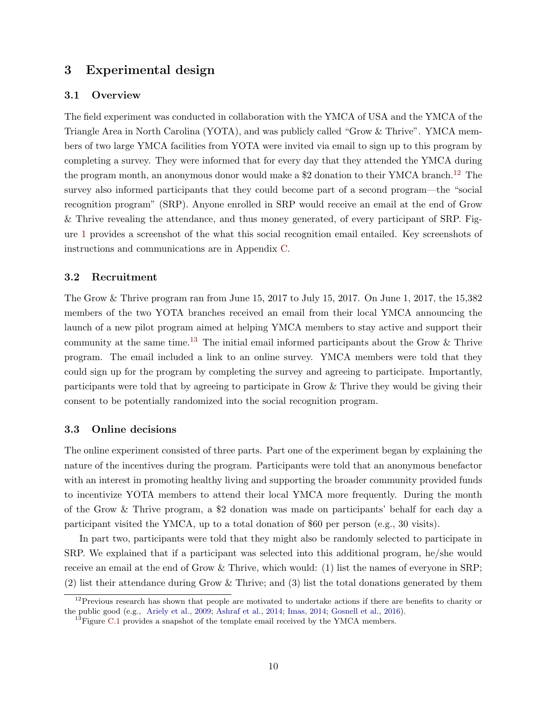# <span id="page-11-0"></span>3 Experimental design

#### <span id="page-11-2"></span>3.1 Overview

The field experiment was conducted in collaboration with the YMCA of USA and the YMCA of the Triangle Area in North Carolina (YOTA), and was publicly called "Grow & Thrive". YMCA members of two large YMCA facilities from YOTA were invited via email to sign up to this program by completing a survey. They were informed that for every day that they attended the YMCA during the program month, an anonymous donor would make a \$2 donation to their YMCA branch.<sup>[12](#page--1-0)</sup> The survey also informed participants that they could become part of a second program—the "social recognition program" (SRP). Anyone enrolled in SRP would receive an email at the end of Grow & Thrive revealing the attendance, and thus money generated, of every participant of SRP. Figure [1](#page-32-0) provides a screenshot of the what this social recognition email entailed. Key screenshots of instructions and communications are in Appendix [C.](#page-42-0)

#### 3.2 Recruitment

The Grow & Thrive program ran from June 15, 2017 to July 15, 2017. On June 1, 2017, the 15,382 members of the two YOTA branches received an email from their local YMCA announcing the launch of a new pilot program aimed at helping YMCA members to stay active and support their community at the same time.<sup>[13](#page--1-0)</sup> The initial email informed participants about the Grow  $\&$  Thrive program. The email included a link to an online survey. YMCA members were told that they could sign up for the program by completing the survey and agreeing to participate. Importantly, participants were told that by agreeing to participate in Grow & Thrive they would be giving their consent to be potentially randomized into the social recognition program.

#### <span id="page-11-1"></span>3.3 Online decisions

The online experiment consisted of three parts. Part one of the experiment began by explaining the nature of the incentives during the program. Participants were told that an anonymous benefactor with an interest in promoting healthy living and supporting the broader community provided funds to incentivize YOTA members to attend their local YMCA more frequently. During the month of the Grow & Thrive program, a \$2 donation was made on participants' behalf for each day a participant visited the YMCA, up to a total donation of \$60 per person (e.g., 30 visits).

In part two, participants were told that they might also be randomly selected to participate in SRP. We explained that if a participant was selected into this additional program, he/she would receive an email at the end of Grow & Thrive, which would: (1) list the names of everyone in SRP; (2) list their attendance during Grow & Thrive; and (3) list the total donations generated by them

 $12$ Previous research has shown that people are motivated to undertake actions if there are benefits to charity or the public good (e.g., [Ariely et al.,](#page-29-15) [2009;](#page-29-15) [Ashraf et al.,](#page-29-5) [2014;](#page-29-5) [Imas,](#page-31-11) [2014;](#page-31-11) [Gosnell et al.,](#page-30-13) [2016\)](#page-30-13).

 $^{13}$ Figure [C.1](#page-42-1) provides a snapshot of the template email received by the YMCA members.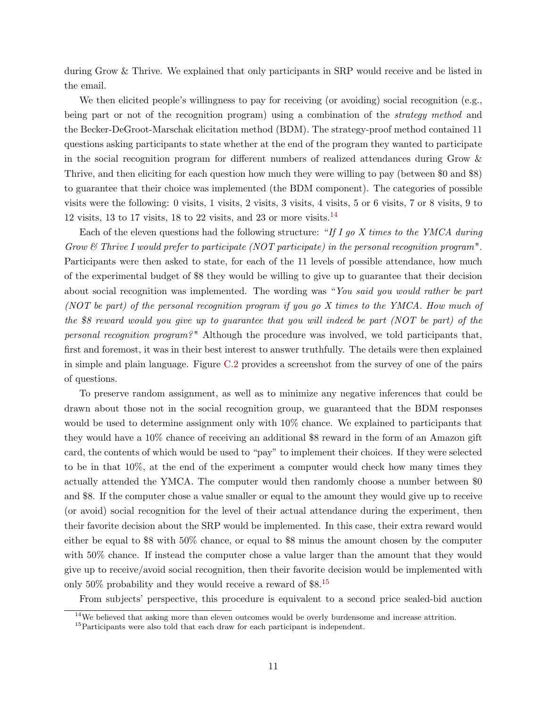during Grow & Thrive. We explained that only participants in SRP would receive and be listed in the email.

We then elicited people's willingness to pay for receiving (or avoiding) social recognition (e.g., being part or not of the recognition program) using a combination of the *strategy method* and the Becker-DeGroot-Marschak elicitation method (BDM). The strategy-proof method contained 11 questions asking participants to state whether at the end of the program they wanted to participate in the social recognition program for different numbers of realized attendances during Grow & Thrive, and then eliciting for each question how much they were willing to pay (between \$0 and \$8) to guarantee that their choice was implemented (the BDM component). The categories of possible visits were the following: 0 visits, 1 visits, 2 visits, 3 visits, 4 visits, 5 or 6 visits, 7 or 8 visits, 9 to 12 visits, 13 to 17 visits, 18 to 22 visits, and 23 or more visits.<sup>[14](#page--1-0)</sup>

Each of the eleven questions had the following structure: "If I go X times to the YMCA during Grow  $\mathscr{C}$  Thrive I would prefer to participate (NOT participate) in the personal recognition program". Participants were then asked to state, for each of the 11 levels of possible attendance, how much of the experimental budget of \$8 they would be willing to give up to guarantee that their decision about social recognition was implemented. The wording was "You said you would rather be part (NOT be part) of the personal recognition program if you go X times to the YMCA. How much of the \$8 reward would you give up to guarantee that you will indeed be part (NOT be part) of the personal recognition program? " Although the procedure was involved, we told participants that, first and foremost, it was in their best interest to answer truthfully. The details were then explained in simple and plain language. Figure [C.2](#page-43-0) provides a screenshot from the survey of one of the pairs of questions.

To preserve random assignment, as well as to minimize any negative inferences that could be drawn about those not in the social recognition group, we guaranteed that the BDM responses would be used to determine assignment only with 10% chance. We explained to participants that they would have a 10% chance of receiving an additional \$8 reward in the form of an Amazon gift card, the contents of which would be used to "pay" to implement their choices. If they were selected to be in that 10%, at the end of the experiment a computer would check how many times they actually attended the YMCA. The computer would then randomly choose a number between \$0 and \$8. If the computer chose a value smaller or equal to the amount they would give up to receive (or avoid) social recognition for the level of their actual attendance during the experiment, then their favorite decision about the SRP would be implemented. In this case, their extra reward would either be equal to \$8 with 50% chance, or equal to \$8 minus the amount chosen by the computer with 50% chance. If instead the computer chose a value larger than the amount that they would give up to receive/avoid social recognition, then their favorite decision would be implemented with only 50% probability and they would receive a reward of \$8.[15](#page--1-0)

From subjects' perspective, this procedure is equivalent to a second price sealed-bid auction

 $14$ We believed that asking more than eleven outcomes would be overly burdensome and increase attrition.

<sup>&</sup>lt;sup>15</sup>Participants were also told that each draw for each participant is independent.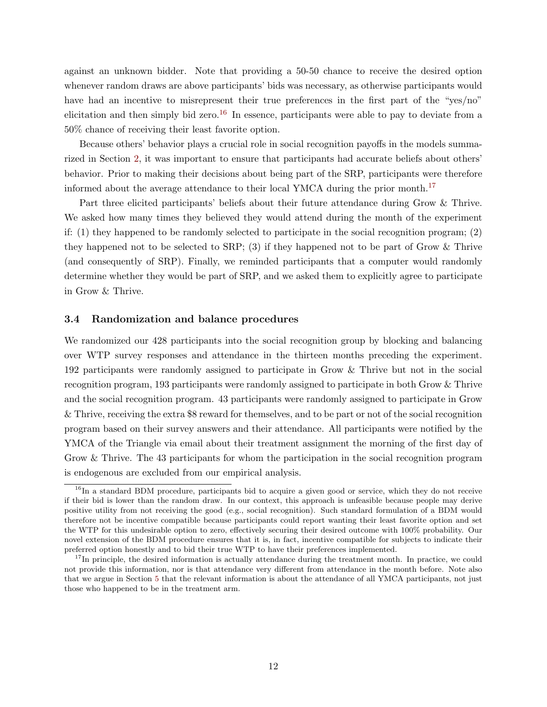against an unknown bidder. Note that providing a 50-50 chance to receive the desired option whenever random draws are above participants' bids was necessary, as otherwise participants would have had an incentive to misrepresent their true preferences in the first part of the "yes/no" elicitation and then simply bid zero.<sup>[16](#page--1-0)</sup> In essence, participants were able to pay to deviate from a 50% chance of receiving their least favorite option.

Because others' behavior plays a crucial role in social recognition payoffs in the models summarized in Section [2,](#page-6-0) it was important to ensure that participants had accurate beliefs about others' behavior. Prior to making their decisions about being part of the SRP, participants were therefore informed about the average attendance to their local YMCA during the prior month.<sup>[17](#page--1-0)</sup>

Part three elicited participants' beliefs about their future attendance during Grow & Thrive. We asked how many times they believed they would attend during the month of the experiment if: (1) they happened to be randomly selected to participate in the social recognition program; (2) they happened not to be selected to  $\text{SRP};$  (3) if they happened not to be part of Grow & Thrive (and consequently of SRP). Finally, we reminded participants that a computer would randomly determine whether they would be part of SRP, and we asked them to explicitly agree to participate in Grow & Thrive.

#### 3.4 Randomization and balance procedures

We randomized our 428 participants into the social recognition group by blocking and balancing over WTP survey responses and attendance in the thirteen months preceding the experiment. 192 participants were randomly assigned to participate in Grow & Thrive but not in the social recognition program, 193 participants were randomly assigned to participate in both Grow & Thrive and the social recognition program. 43 participants were randomly assigned to participate in Grow & Thrive, receiving the extra \$8 reward for themselves, and to be part or not of the social recognition program based on their survey answers and their attendance. All participants were notified by the YMCA of the Triangle via email about their treatment assignment the morning of the first day of Grow & Thrive. The 43 participants for whom the participation in the social recognition program is endogenous are excluded from our empirical analysis.

<sup>&</sup>lt;sup>16</sup>In a standard BDM procedure, participants bid to acquire a given good or service, which they do not receive if their bid is lower than the random draw. In our context, this approach is unfeasible because people may derive positive utility from not receiving the good (e.g., social recognition). Such standard formulation of a BDM would therefore not be incentive compatible because participants could report wanting their least favorite option and set the WTP for this undesirable option to zero, effectively securing their desired outcome with 100% probability. Our novel extension of the BDM procedure ensures that it is, in fact, incentive compatible for subjects to indicate their preferred option honestly and to bid their true WTP to have their preferences implemented.

 $17$ In principle, the desired information is actually attendance during the treatment month. In practice, we could not provide this information, nor is that attendance very different from attendance in the month before. Note also that we argue in Section [5](#page-19-0) that the relevant information is about the attendance of all YMCA participants, not just those who happened to be in the treatment arm.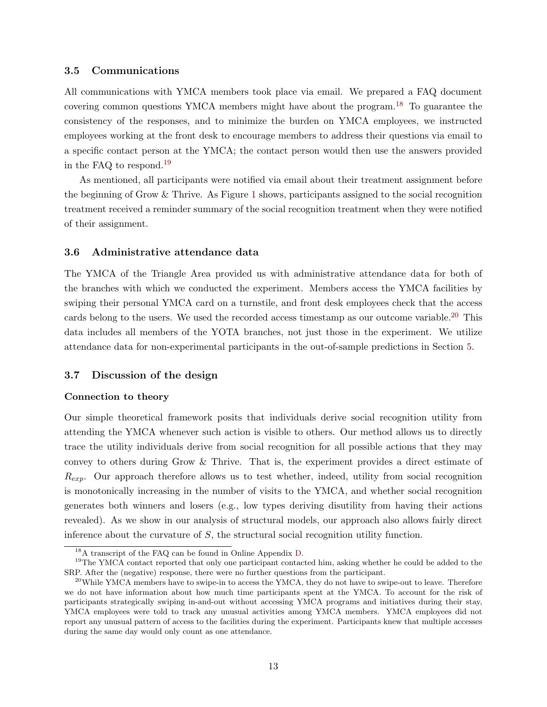#### 3.5 Communications

All communications with YMCA members took place via email. We prepared a FAQ document covering common questions YMCA members might have about the program.[18](#page--1-0) To guarantee the consistency of the responses, and to minimize the burden on YMCA employees, we instructed employees working at the front desk to encourage members to address their questions via email to a specific contact person at the YMCA; the contact person would then use the answers provided in the FAQ to respond.[19](#page--1-0)

As mentioned, all participants were notified via email about their treatment assignment before the beginning of Grow & Thrive. As Figure [1](#page-32-0) shows, participants assigned to the social recognition treatment received a reminder summary of the social recognition treatment when they were notified of their assignment.

#### 3.6 Administrative attendance data

The YMCA of the Triangle Area provided us with administrative attendance data for both of the branches with which we conducted the experiment. Members access the YMCA facilities by swiping their personal YMCA card on a turnstile, and front desk employees check that the access cards belong to the users. We used the recorded access timestamp as our outcome variable.<sup>[20](#page--1-0)</sup> This data includes all members of the YOTA branches, not just those in the experiment. We utilize attendance data for non-experimental participants in the out-of-sample predictions in Section [5.](#page-19-0)

#### 3.7 Discussion of the design

#### Connection to theory

Our simple theoretical framework posits that individuals derive social recognition utility from attending the YMCA whenever such action is visible to others. Our method allows us to directly trace the utility individuals derive from social recognition for all possible actions that they may convey to others during Grow & Thrive. That is, the experiment provides a direct estimate of  $R_{exp}$ . Our approach therefore allows us to test whether, indeed, utility from social recognition is monotonically increasing in the number of visits to the YMCA, and whether social recognition generates both winners and losers (e.g., low types deriving disutility from having their actions revealed). As we show in our analysis of structural models, our approach also allows fairly direct inference about the curvature of S, the structural social recognition utility function.

<sup>18</sup>A transcript of the FAQ can be found in Online Appendix [D.](#page-44-0)

<sup>&</sup>lt;sup>19</sup>The YMCA contact reported that only one participant contacted him, asking whether he could be added to the SRP. After the (negative) response, there were no further questions from the participant.

 $^{20}$ While YMCA members have to swipe-in to access the YMCA, they do not have to swipe-out to leave. Therefore we do not have information about how much time participants spent at the YMCA. To account for the risk of participants strategically swiping in-and-out without accessing YMCA programs and initiatives during their stay, YMCA employees were told to track any unusual activities among YMCA members. YMCA employees did not report any unusual pattern of access to the facilities during the experiment. Participants knew that multiple accesses during the same day would only count as one attendance.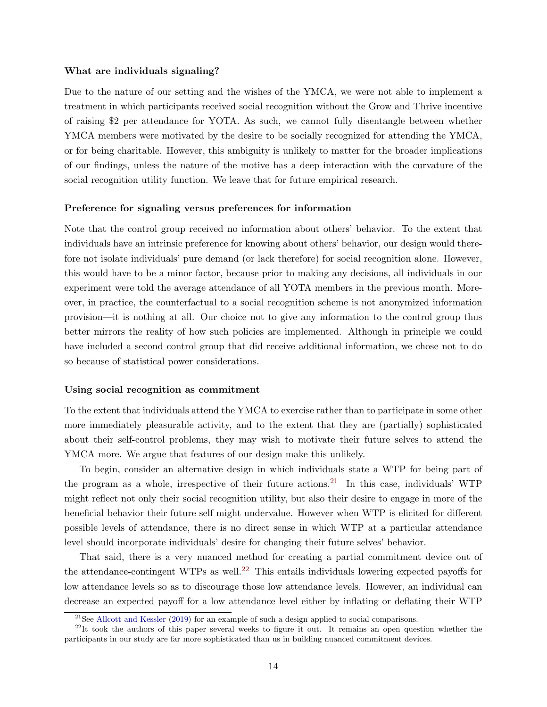#### What are individuals signaling?

Due to the nature of our setting and the wishes of the YMCA, we were not able to implement a treatment in which participants received social recognition without the Grow and Thrive incentive of raising \$2 per attendance for YOTA. As such, we cannot fully disentangle between whether YMCA members were motivated by the desire to be socially recognized for attending the YMCA, or for being charitable. However, this ambiguity is unlikely to matter for the broader implications of our findings, unless the nature of the motive has a deep interaction with the curvature of the social recognition utility function. We leave that for future empirical research.

#### Preference for signaling versus preferences for information

Note that the control group received no information about others' behavior. To the extent that individuals have an intrinsic preference for knowing about others' behavior, our design would therefore not isolate individuals' pure demand (or lack therefore) for social recognition alone. However, this would have to be a minor factor, because prior to making any decisions, all individuals in our experiment were told the average attendance of all YOTA members in the previous month. Moreover, in practice, the counterfactual to a social recognition scheme is not anonymized information provision—it is nothing at all. Our choice not to give any information to the control group thus better mirrors the reality of how such policies are implemented. Although in principle we could have included a second control group that did receive additional information, we chose not to do so because of statistical power considerations.

#### <span id="page-15-0"></span>Using social recognition as commitment

To the extent that individuals attend the YMCA to exercise rather than to participate in some other more immediately pleasurable activity, and to the extent that they are (partially) sophisticated about their self-control problems, they may wish to motivate their future selves to attend the YMCA more. We argue that features of our design make this unlikely.

To begin, consider an alternative design in which individuals state a WTP for being part of the program as a whole, irrespective of their future actions.<sup>[21](#page--1-0)</sup> In this case, individuals' WTP might reflect not only their social recognition utility, but also their desire to engage in more of the beneficial behavior their future self might undervalue. However when WTP is elicited for different possible levels of attendance, there is no direct sense in which WTP at a particular attendance level should incorporate individuals' desire for changing their future selves' behavior.

That said, there is a very nuanced method for creating a partial commitment device out of the attendance-contingent WTPs as well.<sup>[22](#page--1-0)</sup> This entails individuals lowering expected payoffs for low attendance levels so as to discourage those low attendance levels. However, an individual can decrease an expected payoff for a low attendance level either by inflating or deflating their WTP

 $21$ See [Allcott and Kessler](#page-28-1) [\(2019\)](#page-28-1) for an example of such a design applied to social comparisons.

 $^{22}$ It took the authors of this paper several weeks to figure it out. It remains an open question whether the participants in our study are far more sophisticated than us in building nuanced commitment devices.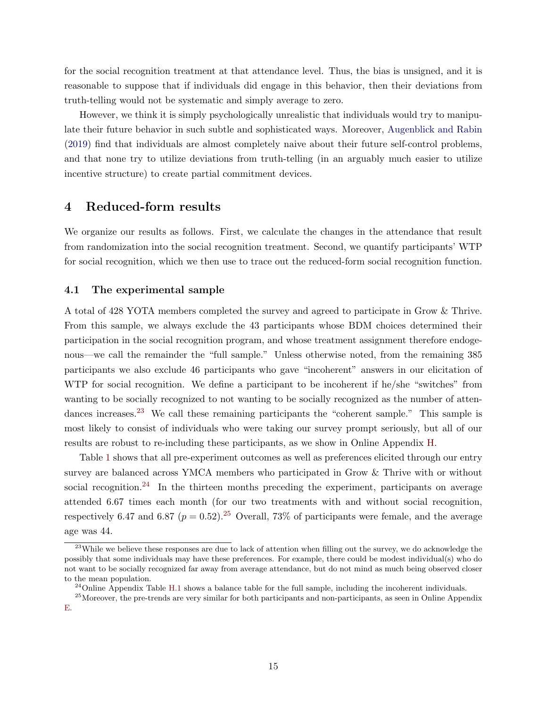for the social recognition treatment at that attendance level. Thus, the bias is unsigned, and it is reasonable to suppose that if individuals did engage in this behavior, then their deviations from truth-telling would not be systematic and simply average to zero.

However, we think it is simply psychologically unrealistic that individuals would try to manipulate their future behavior in such subtle and sophisticated ways. Moreover, [Augenblick and Rabin](#page-29-18) [\(2019\)](#page-29-18) find that individuals are almost completely naive about their future self-control problems, and that none try to utilize deviations from truth-telling (in an arguably much easier to utilize incentive structure) to create partial commitment devices.

# <span id="page-16-0"></span>4 Reduced-form results

We organize our results as follows. First, we calculate the changes in the attendance that result from randomization into the social recognition treatment. Second, we quantify participants' WTP for social recognition, which we then use to trace out the reduced-form social recognition function.

#### 4.1 The experimental sample

A total of 428 YOTA members completed the survey and agreed to participate in Grow & Thrive. From this sample, we always exclude the 43 participants whose BDM choices determined their participation in the social recognition program, and whose treatment assignment therefore endogenous—we call the remainder the "full sample." Unless otherwise noted, from the remaining 385 participants we also exclude 46 participants who gave "incoherent" answers in our elicitation of WTP for social recognition. We define a participant to be incoherent if he/she "switches" from wanting to be socially recognized to not wanting to be socially recognized as the number of atten-dances increases.<sup>[23](#page--1-0)</sup> We call these remaining participants the "coherent sample." This sample is most likely to consist of individuals who were taking our survey prompt seriously, but all of our results are robust to re-including these participants, as we show in Online Appendix [H.](#page-51-0)

Table [1](#page-36-0) shows that all pre-experiment outcomes as well as preferences elicited through our entry survey are balanced across YMCA members who participated in Grow & Thrive with or without social recognition.<sup>[24](#page--1-0)</sup> In the thirteen months preceding the experiment, participants on average attended 6.67 times each month (for our two treatments with and without social recognition, respectively 6.47 and 6.87 ( $p = 0.52$ ).<sup>[25](#page--1-0)</sup> Overall, 73% of participants were female, and the average age was 44.

<sup>&</sup>lt;sup>23</sup>While we believe these responses are due to lack of attention when filling out the survey, we do acknowledge the possibly that some individuals may have these preferences. For example, there could be modest individual(s) who do not want to be socially recognized far away from average attendance, but do not mind as much being observed closer to the mean population.

 $^{24}$ Online Appendix Table [H.1](#page-52-0) shows a balance table for the full sample, including the incoherent individuals.

<sup>&</sup>lt;sup>25</sup>Moreover, the pre-trends are very similar for both participants and non-participants, as seen in Online Appendix [E.](#page-45-0)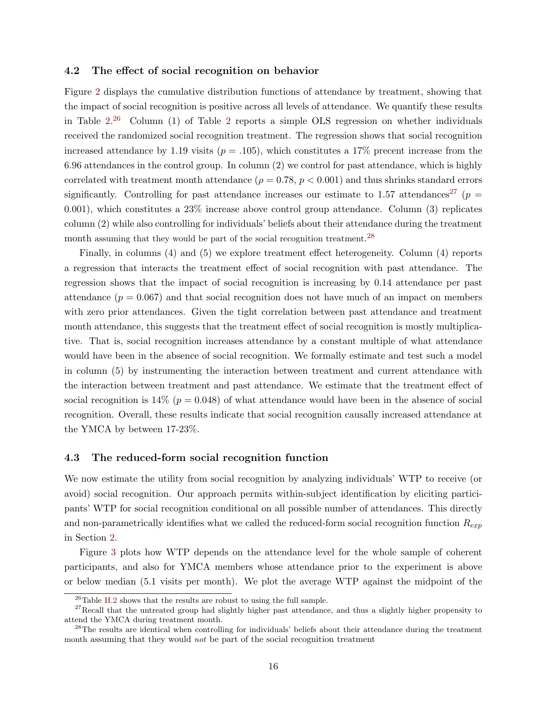#### 4.2 The effect of social recognition on behavior

Figure [2](#page-32-1) displays the cumulative distribution functions of attendance by treatment, showing that the impact of social recognition is positive across all levels of attendance. We quantify these results in Table  $2^{26}$  $2^{26}$  $2^{26}$  Column (1) of Table [2](#page-36-1) reports a simple OLS regression on whether individuals received the randomized social recognition treatment. The regression shows that social recognition increased attendance by 1.19 visits ( $p = .105$ ), which constitutes a 17% precent increase from the 6.96 attendances in the control group. In column (2) we control for past attendance, which is highly correlated with treatment month attendance ( $\rho = 0.78$ ,  $p < 0.001$ ) and thus shrinks standard errors significantly. Controlling for past attendance increases our estimate to 1.57 attendances<sup>[27](#page--1-0)</sup> ( $p =$ 0.001), which constitutes a 23% increase above control group attendance. Column (3) replicates column (2) while also controlling for individuals' beliefs about their attendance during the treatment month assuming that they would be part of the social recognition treatment.<sup>[28](#page--1-0)</sup>

Finally, in columns (4) and (5) we explore treatment effect heterogeneity. Column (4) reports a regression that interacts the treatment effect of social recognition with past attendance. The regression shows that the impact of social recognition is increasing by 0.14 attendance per past attendance  $(p = 0.067)$  and that social recognition does not have much of an impact on members with zero prior attendances. Given the tight correlation between past attendance and treatment month attendance, this suggests that the treatment effect of social recognition is mostly multiplicative. That is, social recognition increases attendance by a constant multiple of what attendance would have been in the absence of social recognition. We formally estimate and test such a model in column (5) by instrumenting the interaction between treatment and current attendance with the interaction between treatment and past attendance. We estimate that the treatment effect of social recognition is  $14\%$  ( $p = 0.048$ ) of what attendance would have been in the absence of social recognition. Overall, these results indicate that social recognition causally increased attendance at the YMCA by between 17-23%.

#### <span id="page-17-0"></span>4.3 The reduced-form social recognition function

We now estimate the utility from social recognition by analyzing individuals' WTP to receive (or avoid) social recognition. Our approach permits within-subject identification by eliciting participants' WTP for social recognition conditional on all possible number of attendances. This directly and non-parametrically identifies what we called the reduced-form social recognition function  $R_{exp}$ in Section [2.](#page-6-0)

Figure [3](#page-33-0) plots how WTP depends on the attendance level for the whole sample of coherent participants, and also for YMCA members whose attendance prior to the experiment is above or below median (5.1 visits per month). We plot the average WTP against the midpoint of the

 $^{26}\mathrm{Table}$  [H.2](#page-53-0) shows that the results are robust to using the full sample.

 $27$ Recall that the untreated group had slightly higher past attendance, and thus a slightly higher propensity to attend the YMCA during treatment month.

<sup>&</sup>lt;sup>28</sup>The results are identical when controlling for individuals' beliefs about their attendance during the treatment month assuming that they would *not* be part of the social recognition treatment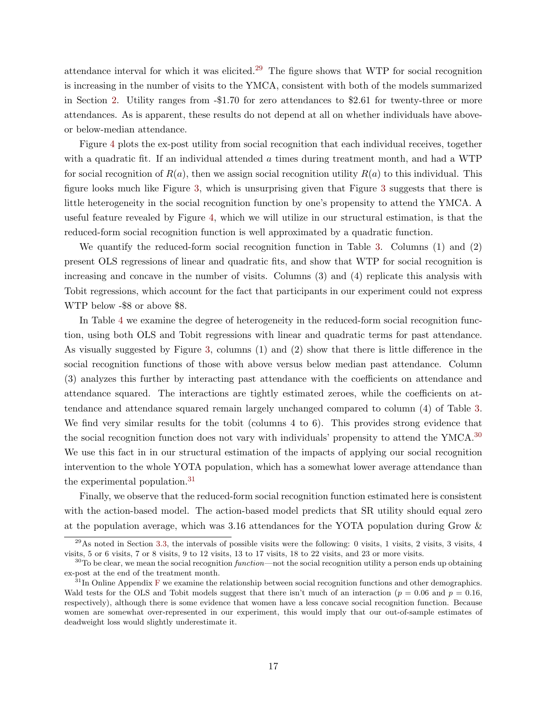attendance interval for which it was elicited.<sup>[29](#page--1-0)</sup> The figure shows that WTP for social recognition is increasing in the number of visits to the YMCA, consistent with both of the models summarized in Section [2.](#page-6-0) Utility ranges from -\$1.70 for zero attendances to \$2.61 for twenty-three or more attendances. As is apparent, these results do not depend at all on whether individuals have aboveor below-median attendance.

Figure [4](#page-34-0) plots the ex-post utility from social recognition that each individual receives, together with a quadratic fit. If an individual attended  $\alpha$  times during treatment month, and had a WTP for social recognition of  $R(a)$ , then we assign social recognition utility  $R(a)$  to this individual. This figure looks much like Figure [3,](#page-33-0) which is unsurprising given that Figure [3](#page-33-0) suggests that there is little heterogeneity in the social recognition function by one's propensity to attend the YMCA. A useful feature revealed by Figure [4,](#page-34-0) which we will utilize in our structural estimation, is that the reduced-form social recognition function is well approximated by a quadratic function.

We quantify the reduced-form social recognition function in Table [3.](#page-37-0) Columns (1) and (2) present OLS regressions of linear and quadratic fits, and show that WTP for social recognition is increasing and concave in the number of visits. Columns (3) and (4) replicate this analysis with Tobit regressions, which account for the fact that participants in our experiment could not express WTP below -\$8 or above \$8.

In Table [4](#page-38-0) we examine the degree of heterogeneity in the reduced-form social recognition function, using both OLS and Tobit regressions with linear and quadratic terms for past attendance. As visually suggested by Figure [3,](#page-33-0) columns (1) and (2) show that there is little difference in the social recognition functions of those with above versus below median past attendance. Column (3) analyzes this further by interacting past attendance with the coefficients on attendance and attendance squared. The interactions are tightly estimated zeroes, while the coefficients on attendance and attendance squared remain largely unchanged compared to column (4) of Table [3.](#page-37-0) We find very similar results for the tobit (columns 4 to 6). This provides strong evidence that the social recognition function does not vary with individuals' propensity to attend the YMCA.<sup>[30](#page--1-0)</sup> We use this fact in in our structural estimation of the impacts of applying our social recognition intervention to the whole YOTA population, which has a somewhat lower average attendance than the experimental population.[31](#page--1-0)

Finally, we observe that the reduced-form social recognition function estimated here is consistent with the action-based model. The action-based model predicts that SR utility should equal zero at the population average, which was 3.16 attendances for the YOTA population during Grow &

 $^{29}$ As noted in Section [3.3,](#page-11-1) the intervals of possible visits were the following: 0 visits, 1 visits, 2 visits, 3 visits, 4 visits, 5 or 6 visits, 7 or 8 visits, 9 to 12 visits, 13 to 17 visits, 18 to 22 visits, and 23 or more visits.

 $30<sup>30</sup>$  To be clear, we mean the social recognition function—not the social recognition utility a person ends up obtaining ex-post at the end of the treatment month.

 $31$ In Online Appendix [F](#page-46-0) we examine the relationship between social recognition functions and other demographics. Wald tests for the OLS and Tobit models suggest that there isn't much of an interaction ( $p = 0.06$  and  $p = 0.16$ , respectively), although there is some evidence that women have a less concave social recognition function. Because women are somewhat over-represented in our experiment, this would imply that our out-of-sample estimates of deadweight loss would slightly underestimate it.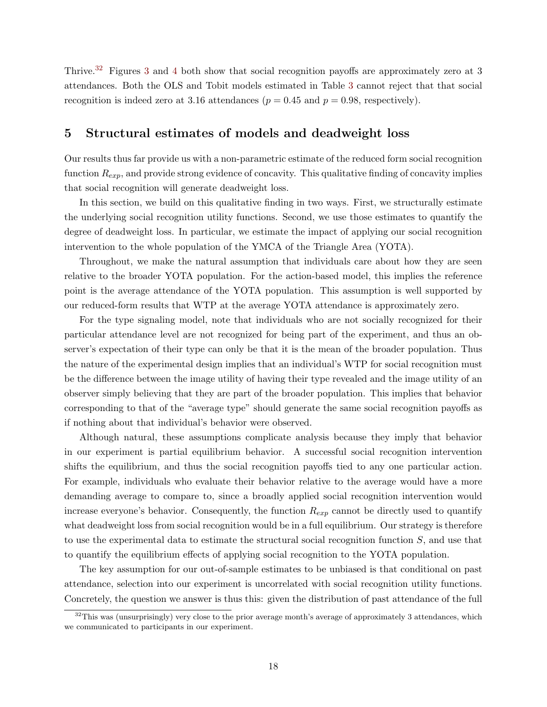Thrive.[32](#page--1-0) Figures [3](#page-33-0) and [4](#page-34-0) both show that social recognition payoffs are approximately zero at 3 attendances. Both the OLS and Tobit models estimated in Table [3](#page-37-0) cannot reject that that social recognition is indeed zero at 3.16 attendances ( $p = 0.45$  and  $p = 0.98$ , respectively).

# <span id="page-19-0"></span>5 Structural estimates of models and deadweight loss

Our results thus far provide us with a non-parametric estimate of the reduced form social recognition function  $R_{exp}$ , and provide strong evidence of concavity. This qualitative finding of concavity implies that social recognition will generate deadweight loss.

In this section, we build on this qualitative finding in two ways. First, we structurally estimate the underlying social recognition utility functions. Second, we use those estimates to quantify the degree of deadweight loss. In particular, we estimate the impact of applying our social recognition intervention to the whole population of the YMCA of the Triangle Area (YOTA).

Throughout, we make the natural assumption that individuals care about how they are seen relative to the broader YOTA population. For the action-based model, this implies the reference point is the average attendance of the YOTA population. This assumption is well supported by our reduced-form results that WTP at the average YOTA attendance is approximately zero.

For the type signaling model, note that individuals who are not socially recognized for their particular attendance level are not recognized for being part of the experiment, and thus an observer's expectation of their type can only be that it is the mean of the broader population. Thus the nature of the experimental design implies that an individual's WTP for social recognition must be the difference between the image utility of having their type revealed and the image utility of an observer simply believing that they are part of the broader population. This implies that behavior corresponding to that of the "average type" should generate the same social recognition payoffs as if nothing about that individual's behavior were observed.

Although natural, these assumptions complicate analysis because they imply that behavior in our experiment is partial equilibrium behavior. A successful social recognition intervention shifts the equilibrium, and thus the social recognition payoffs tied to any one particular action. For example, individuals who evaluate their behavior relative to the average would have a more demanding average to compare to, since a broadly applied social recognition intervention would increase everyone's behavior. Consequently, the function  $R_{exp}$  cannot be directly used to quantify what deadweight loss from social recognition would be in a full equilibrium. Our strategy is therefore to use the experimental data to estimate the structural social recognition function S, and use that to quantify the equilibrium effects of applying social recognition to the YOTA population.

The key assumption for our out-of-sample estimates to be unbiased is that conditional on past attendance, selection into our experiment is uncorrelated with social recognition utility functions. Concretely, the question we answer is thus this: given the distribution of past attendance of the full

 $32$ This was (unsurprisingly) very close to the prior average month's average of approximately 3 attendances, which we communicated to participants in our experiment.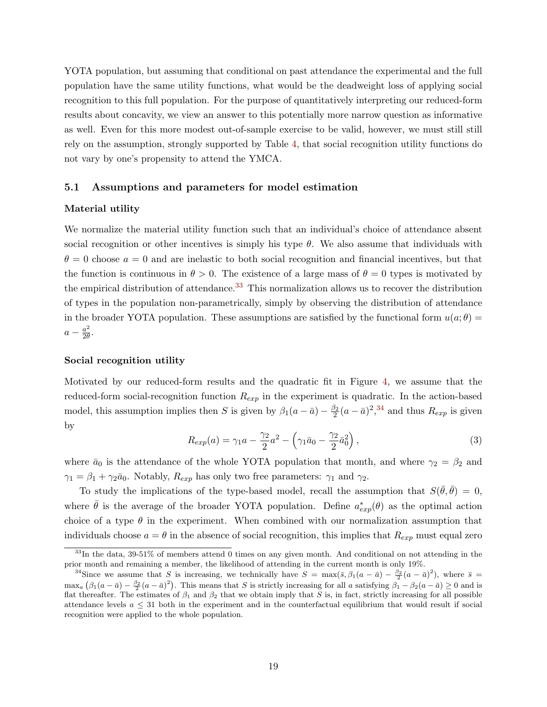YOTA population, but assuming that conditional on past attendance the experimental and the full population have the same utility functions, what would be the deadweight loss of applying social recognition to this full population. For the purpose of quantitatively interpreting our reduced-form results about concavity, we view an answer to this potentially more narrow question as informative as well. Even for this more modest out-of-sample exercise to be valid, however, we must still still rely on the assumption, strongly supported by Table [4,](#page-38-0) that social recognition utility functions do not vary by one's propensity to attend the YMCA.

#### 5.1 Assumptions and parameters for model estimation

#### Material utility

We normalize the material utility function such that an individual's choice of attendance absent social recognition or other incentives is simply his type  $\theta$ . We also assume that individuals with  $\theta = 0$  choose  $a = 0$  and are inelastic to both social recognition and financial incentives, but that the function is continuous in  $\theta > 0$ . The existence of a large mass of  $\theta = 0$  types is motivated by the empirical distribution of attendance.<sup>[33](#page--1-0)</sup> This normalization allows us to recover the distribution of types in the population non-parametrically, simply by observing the distribution of attendance in the broader YOTA population. These assumptions are satisfied by the functional form  $u(a;\theta)$  =  $a-\frac{a^2}{2a}$  $\frac{a^2}{2\theta}$ .

#### Social recognition utility

Motivated by our reduced-form results and the quadratic fit in Figure [4,](#page-34-0) we assume that the reduced-form social-recognition function  $R_{exp}$  in the experiment is quadratic. In the action-based model, this assumption implies then S is given by  $\beta_1(a-\bar{a})-\frac{\beta_2}{2}$  $\frac{\beta_2}{2}(a-\bar{a})^2$ ,  $34$  and thus  $R_{exp}$  is given by

<span id="page-20-0"></span>
$$
R_{exp}(a) = \gamma_1 a - \frac{\gamma_2}{2} a^2 - \left(\gamma_1 \bar{a}_0 - \frac{\gamma_2}{2} \bar{a}_0^2\right),\tag{3}
$$

where  $\bar{a}_0$  is the attendance of the whole YOTA population that month, and where  $\gamma_2 = \beta_2$  and  $\gamma_1 = \beta_1 + \gamma_2 \bar{a}_0$ . Notably,  $R_{exp}$  has only two free parameters:  $\gamma_1$  and  $\gamma_2$ .

To study the implications of the type-based model, recall the assumption that  $S(\bar{\theta}, \bar{\theta}) = 0$ , where  $\bar{\theta}$  is the average of the broader YOTA population. Define  $a_{exp}^*(\theta)$  as the optimal action choice of a type  $\theta$  in the experiment. When combined with our normalization assumption that individuals choose  $a = \theta$  in the absence of social recognition, this implies that  $R_{exp}$  must equal zero

 $33$ In the data,  $39-51\%$  of members attend 0 times on any given month. And conditional on not attending in the prior month and remaining a member, the likelihood of attending in the current month is only 19%.

<sup>&</sup>lt;sup>34</sup>Since we assume that S is increasing, we technically have  $S = \max(\bar{s}, \beta_1(a - \bar{a}) - \frac{\beta_2}{2}(a - \bar{a})^2)$ , where  $\bar{s} =$  $\max_{a} (\beta_1(a - \bar{a}) - \frac{\beta_2}{2}(a - \bar{a})^2)$ . This means that S is strictly increasing for all a satisfying  $\beta_1 - \beta_2(a - \bar{a}) \ge 0$  and is flat thereafter. The estimates of  $\beta_1$  and  $\beta_2$  that we obtain imply that S is, in fact, strictly increasing for all possible attendance levels  $a \leq 31$  both in the experiment and in the counterfactual equilibrium that would result if social recognition were applied to the whole population.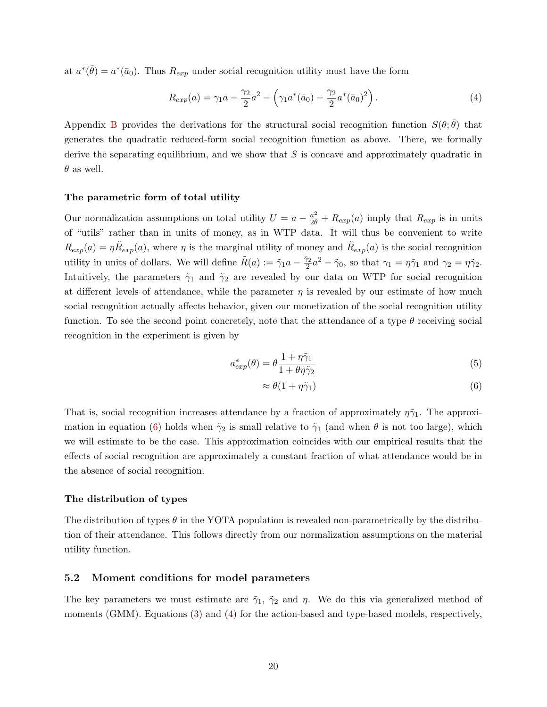at  $a^*(\bar{\theta}) = a^*(\bar{a}_0)$ . Thus  $R_{exp}$  under social recognition utility must have the form

<span id="page-21-1"></span>
$$
R_{exp}(a) = \gamma_1 a - \frac{\gamma_2}{2} a^2 - \left(\gamma_1 a^*(\bar{a}_0) - \frac{\gamma_2}{2} a^*(\bar{a}_0)^2\right).
$$
 (4)

Appendix [B](#page-41-0) provides the derivations for the structural social recognition function  $S(\theta, \bar{\theta})$  that generates the quadratic reduced-form social recognition function as above. There, we formally derive the separating equilibrium, and we show that  $S$  is concave and approximately quadratic in  $\theta$  as well.

#### The parametric form of total utility

Our normalization assumptions on total utility  $U = a - \frac{a^2}{2\theta} + R_{exp}(a)$  imply that  $R_{exp}$  is in units of "utils" rather than in units of money, as in WTP data. It will thus be convenient to write  $R_{exp}(a) = \eta \tilde{R}_{exp}(a)$ , where  $\eta$  is the marginal utility of money and  $\tilde{R}_{exp}(a)$  is the social recognition utility in units of dollars. We will define  $\tilde{R}(a) := \tilde{\gamma}_1 a - \frac{\tilde{\gamma}_2}{2}$  $\tilde{\gamma}_2^2 a^2 - \tilde{\gamma}_0$ , so that  $\gamma_1 = \eta \tilde{\gamma}_1$  and  $\gamma_2 = \eta \tilde{\gamma}_2$ . Intuitively, the parameters  $\tilde{\gamma}_1$  and  $\tilde{\gamma}_2$  are revealed by our data on WTP for social recognition at different levels of attendance, while the parameter  $\eta$  is revealed by our estimate of how much social recognition actually affects behavior, given our monetization of the social recognition utility function. To see the second point concretely, note that the attendance of a type  $\theta$  receiving social recognition in the experiment is given by

$$
a_{exp}^*(\theta) = \theta \frac{1 + \eta \tilde{\gamma}_1}{1 + \theta \eta \tilde{\gamma}_2} \tag{5}
$$

<span id="page-21-2"></span><span id="page-21-0"></span>
$$
\approx \theta (1 + \eta \tilde{\gamma}_1) \tag{6}
$$

That is, social recognition increases attendance by a fraction of approximately  $\eta\tilde{\gamma}_1$ . The approxi-mation in equation [\(6\)](#page-21-0) holds when  $\tilde{\gamma}_2$  is small relative to  $\tilde{\gamma}_1$  (and when  $\theta$  is not too large), which we will estimate to be the case. This approximation coincides with our empirical results that the effects of social recognition are approximately a constant fraction of what attendance would be in the absence of social recognition.

#### The distribution of types

The distribution of types  $\theta$  in the YOTA population is revealed non-parametrically by the distribution of their attendance. This follows directly from our normalization assumptions on the material utility function.

#### <span id="page-21-3"></span>5.2 Moment conditions for model parameters

The key parameters we must estimate are  $\tilde{\gamma}_1$ ,  $\tilde{\gamma}_2$  and  $\eta$ . We do this via generalized method of moments (GMM). Equations [\(3\)](#page-20-0) and [\(4\)](#page-21-1) for the action-based and type-based models, respectively,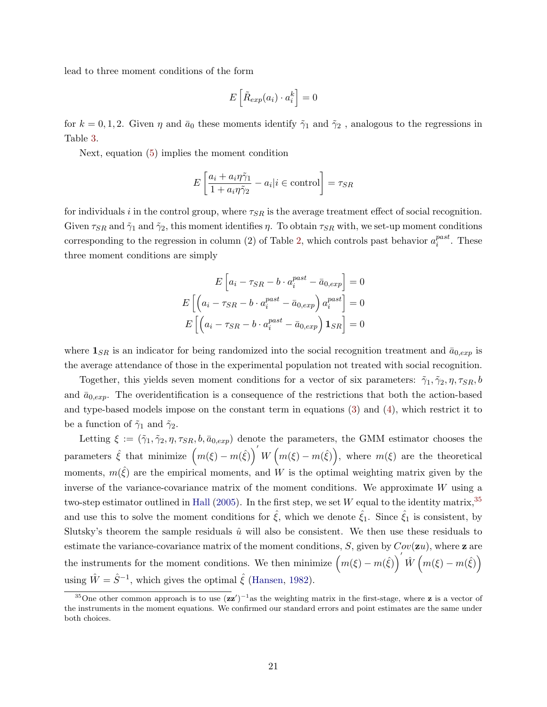lead to three moment conditions of the form

$$
E\left[\tilde{R}_{exp}(a_i) \cdot a_i^k\right] = 0
$$

for  $k = 0, 1, 2$ . Given  $\eta$  and  $\bar{a}_0$  these moments identify  $\tilde{\gamma}_1$  and  $\tilde{\gamma}_2$ , analogous to the regressions in Table [3.](#page-37-0)

Next, equation [\(5\)](#page-21-2) implies the moment condition

$$
E\left[\frac{a_i + a_i\eta\tilde{\gamma}_1}{1 + a_i\eta\tilde{\gamma}_2} - a_i|i \in \text{control}\right] = \tau_{SR}
$$

for individuals i in the control group, where  $\tau_{SR}$  is the average treatment effect of social recognition. Given  $\tau_{SR}$  and  $\tilde{\gamma}_1$  and  $\tilde{\gamma}_2$ , this moment identifies  $\eta$ . To obtain  $\tau_{SR}$  with, we set-up moment conditions corresponding to the regression in column (2) of Table [2,](#page-36-1) which controls past behavior  $a_i^{past}$  $i^{past}$ . These three moment conditions are simply

$$
E\left[a_i - \tau_{SR} - b \cdot a_i^{past} - \bar{a}_{0,exp}\right] = 0
$$

$$
E\left[\left(a_i - \tau_{SR} - b \cdot a_i^{past} - \bar{a}_{0,exp}\right)a_i^{past}\right] = 0
$$

$$
E\left[\left(a_i - \tau_{SR} - b \cdot a_i^{past} - \bar{a}_{0,exp}\right)\mathbf{1}_{SR}\right] = 0
$$

where  $\mathbf{1}_{SR}$  is an indicator for being randomized into the social recognition treatment and  $\bar{a}_{0,exp}$  is the average attendance of those in the experimental population not treated with social recognition.

Together, this yields seven moment conditions for a vector of six parameters:  $\tilde{\gamma}_1, \tilde{\gamma}_2, \eta, \tau_{SR}, b$ and  $\bar{a}_{0,exp}$ . The overidentification is a consequence of the restrictions that both the action-based and type-based models impose on the constant term in equations [\(3\)](#page-20-0) and [\(4\)](#page-21-1), which restrict it to be a function of  $\tilde{\gamma}_1$  and  $\tilde{\gamma}_2$ .

Letting  $\xi := (\tilde{\gamma}_1, \tilde{\gamma}_2, \eta, \tau_{SR}, b, \bar{a}_{0,exp})$  denote the parameters, the GMM estimator chooses the parameters  $\hat{\xi}$  that minimize  $(m(\xi) - m(\hat{\xi}))' W(m(\xi) - m(\hat{\xi}))$ , where  $m(\xi)$  are the theoretical moments,  $m(\hat{\xi})$  are the empirical moments, and W is the optimal weighting matrix given by the inverse of the variance-covariance matrix of the moment conditions. We approximate W using a two-step estimator outlined in [Hall](#page-30-14) [\(2005\)](#page-30-14). In the first step, we set W equal to the identity matrix,  $35$ and use this to solve the moment conditions for  $\hat{\xi}$ , which we denote  $\hat{\xi}_1$ . Since  $\hat{\xi}_1$  is consistent, by Slutsky's theorem the sample residuals  $\hat{u}$  will also be consistent. We then use these residuals to estimate the variance-covariance matrix of the moment conditions,  $S$ , given by  $Cov(\mathbf{z}u)$ , where  $\mathbf{z}$  are the instruments for the moment conditions. We then minimize  $(m(\xi) - m(\hat{\xi}))' \hat{W} (m(\xi) - m(\hat{\xi}))$ using  $\hat{W} = \hat{S}^{-1}$ , which gives the optimal  $\hat{\xi}$  [\(Hansen,](#page-31-12) [1982\)](#page-31-12).

<sup>&</sup>lt;sup>35</sup>One other common approach is to use  $(zz')^{-1}$  as the weighting matrix in the first-stage, where z is a vector of the instruments in the moment equations. We confirmed our standard errors and point estimates are the same under both choices.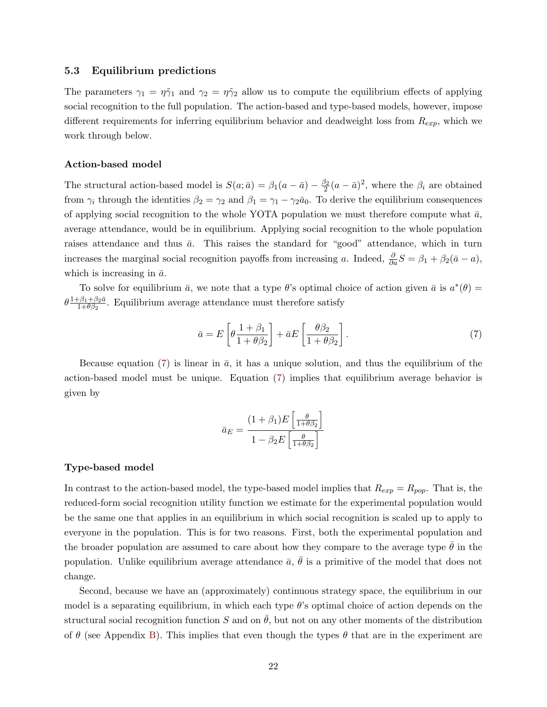#### <span id="page-23-1"></span>5.3 Equilibrium predictions

The parameters  $\gamma_1 = \eta \tilde{\gamma}_1$  and  $\gamma_2 = \eta \tilde{\gamma}_2$  allow us to compute the equilibrium effects of applying social recognition to the full population. The action-based and type-based models, however, impose different requirements for inferring equilibrium behavior and deadweight loss from  $R_{exp}$ , which we work through below.

#### Action-based model

The structural action-based model is  $S(a; \bar{a}) = \beta_1(a - \bar{a}) - \frac{\beta_2}{2}$  $\frac{\beta_2}{2}(a-\bar{a})^2$ , where the  $\beta_i$  are obtained from  $\gamma_i$  through the identities  $\beta_2 = \gamma_2$  and  $\beta_1 = \gamma_1 - \gamma_2 \bar{a}_0$ . To derive the equilibrium consequences of applying social recognition to the whole YOTA population we must therefore compute what  $\bar{a}$ , average attendance, would be in equilibrium. Applying social recognition to the whole population raises attendance and thus  $\bar{a}$ . This raises the standard for "good" attendance, which in turn increases the marginal social recognition payoffs from increasing a. Indeed,  $\frac{\partial}{\partial a}S = \beta_1 + \beta_2(\bar{a} - a)$ , which is increasing in  $\bar{a}$ .

To solve for equilibrium  $\bar{a}$ , we note that a type  $\theta$ 's optimal choice of action given  $\bar{a}$  is  $a^*(\theta)$  =  $\theta \frac{1+\beta_1+\beta_2\bar{a}}{1+A\beta_2}$  $\frac{1-\beta_1+\beta_2 a}{1+\theta_{\beta_2}}$ . Equilibrium average attendance must therefore satisfy

<span id="page-23-0"></span>
$$
\bar{a} = E \left[ \theta \frac{1 + \beta_1}{1 + \theta \beta_2} \right] + \bar{a} E \left[ \frac{\theta \beta_2}{1 + \theta \beta_2} \right]. \tag{7}
$$

Because equation [\(7\)](#page-23-0) is linear in  $\bar{a}$ , it has a unique solution, and thus the equilibrium of the action-based model must be unique. Equation [\(7\)](#page-23-0) implies that equilibrium average behavior is given by

$$
\bar{a}_E = \frac{(1+\beta_1)E\left[\frac{\theta}{1+\theta\beta_2}\right]}{1-\beta_2E\left[\frac{\theta}{1+\theta\beta_2}\right]}
$$

#### <span id="page-23-2"></span>Type-based model

In contrast to the action-based model, the type-based model implies that  $R_{exp} = R_{pop}$ . That is, the reduced-form social recognition utility function we estimate for the experimental population would be the same one that applies in an equilibrium in which social recognition is scaled up to apply to everyone in the population. This is for two reasons. First, both the experimental population and the broader population are assumed to care about how they compare to the average type  $\theta$  in the population. Unlike equilibrium average attendance  $\bar{a}$ ,  $\bar{\theta}$  is a primitive of the model that does not change.

Second, because we have an (approximately) continuous strategy space, the equilibrium in our model is a separating equilibrium, in which each type  $\theta$ 's optimal choice of action depends on the structural social recognition function S and on  $\theta$ , but not on any other moments of the distribution of  $\theta$  (see Appendix [B\)](#page-41-0). This implies that even though the types  $\theta$  that are in the experiment are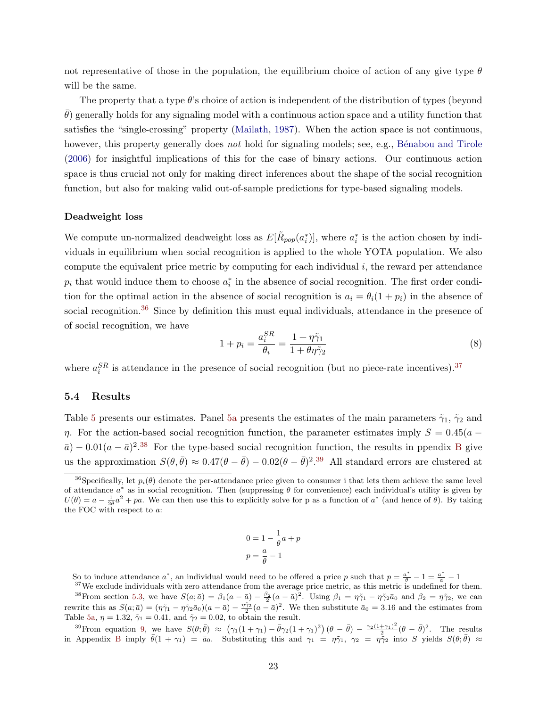not representative of those in the population, the equilibrium choice of action of any give type  $\theta$ will be the same.

The property that a type  $\theta$ 's choice of action is independent of the distribution of types (beyond  $\theta$ ) generally holds for any signaling model with a continuous action space and a utility function that satisfies the "single-crossing" property [\(Mailath,](#page-31-13) [1987\)](#page-31-13). When the action space is not continuous, however, this property generally does not hold for signaling models; see, e.g., Bénabou and Tirole [\(2006\)](#page-29-7) for insightful implications of this for the case of binary actions. Our continuous action space is thus crucial not only for making direct inferences about the shape of the social recognition function, but also for making valid out-of-sample predictions for type-based signaling models.

#### Deadweight loss

We compute un-normalized deadweight loss as  $E[\tilde{R}_{pop}(a_i^*)]$ , where  $a_i^*$  is the action chosen by individuals in equilibrium when social recognition is applied to the whole YOTA population. We also compute the equivalent price metric by computing for each individual  $i$ , the reward per attendance  $p_i$  that would induce them to choose  $a_i^*$  in the absence of social recognition. The first order condition for the optimal action in the absence of social recognition is  $a_i = \theta_i(1 + p_i)$  in the absence of social recognition.<sup>[36](#page--1-0)</sup> Since by definition this must equal individuals, attendance in the presence of of social recognition, we have

<span id="page-24-0"></span>
$$
1 + p_i = \frac{a_i^{SR}}{\theta_i} = \frac{1 + \eta \tilde{\gamma}_1}{1 + \theta \eta \tilde{\gamma}_2}
$$
\n
$$
\tag{8}
$$

where  $a_i^{SR}$  is attendance in the presence of social recognition (but no piece-rate incentives).<sup>[37](#page--1-0)</sup>

#### 5.4 Results

Table [5](#page-39-0) presents our estimates. Panel [5a](#page-39-1) presents the estimates of the main parameters  $\tilde{\gamma}_1$ ,  $\tilde{\gamma}_2$  and η. For the action-based social recognition function, the parameter estimates imply  $S = 0.45(a \bar{a}$ ) – 0.01 $(a - \bar{a})^2$ .<sup>[38](#page--1-0)</sup> For the type-based social recognition function, the results in ppendix [B](#page-41-0) give us the approximation  $S(\theta, \bar{\theta}) \approx 0.47(\theta - \bar{\theta}) - 0.02(\theta - \bar{\theta})^2$ .<sup>[39](#page--1-0)</sup> All standard errors are clustered at

$$
0 = 1 - \frac{1}{\theta}a + p
$$

$$
p = \frac{a}{\theta} - 1
$$

So to induce attendance  $a^*$ , an individual would need to be offered a price p such that  $p = \frac{a^*}{\theta} - 1 = \frac{a^*}{a} - 1$ 

 $37$ We exclude individuals with zero attendance from the average price metric, as this metric is undefined for them. <sup>38</sup> From section [5.3,](#page-23-1) we have  $S(a; \bar{a}) = \beta_1(a - \bar{a}) - \frac{\beta_2}{2}(a - \bar{a})^2$ . Using  $\beta_1 = \eta \tilde{\gamma}_1 - \eta \tilde{\gamma}_2 \bar{a}_0$  and  $\beta_2 = \eta \tilde{\gamma}_2$ , we can rewrite this as  $S(a; \bar{a}) = (\eta \tilde{\gamma}_1 - \eta \tilde{\gamma}_2 \bar{a}_0)(a - \bar{a}) - \frac{\eta \tilde{\gamma}_2}{2}(a - \bar{a})^2$ . We then substitute  $\bar{a}_0 = 3.16$  and the estimates from Table [5a,](#page-39-1)  $\eta = 1.32$ ,  $\tilde{\gamma}_1 = 0.41$ , and  $\tilde{\gamma}_2 = 0.02$ , to obtain the result.

<sup>39</sup> From equation [9,](#page-41-1) we have  $S(\theta;\bar{\theta}) \approx (\gamma_1(1+\gamma_1)-\bar{\theta}\gamma_2(1+\gamma_1)^2)(\theta-\bar{\theta}) - \frac{\gamma_2(1+\gamma_1)^2}{2}$  $\frac{+\gamma_1}{2}$  $(\theta - \bar{\theta})^2$ . The results in Appendix [B](#page-41-0) imply  $\bar{\theta}(1 + \gamma_1) = \bar{a}_0$ . Substituting this and  $\gamma_1 = \eta \tilde{\gamma}_1$ ,  $\gamma_2 = \eta \tilde{\gamma}_2$  into S yields  $S(\theta; \bar{\theta}) \approx$ 

<sup>&</sup>lt;sup>36</sup>Specifically, let  $p_i(\theta)$  denote the per-attendance price given to consumer i that lets them achieve the same level of attendance  $a^*$  as in social recognition. Then (suppressing  $\theta$  for convenience) each individual's utility is given by  $U(\theta) = a - \frac{1}{2\theta}a^2 + pa$ . We can then use this to explicitly solve for p as a function of  $a^*$  (and hence of  $\theta$ ). By taking the FOC with respect to a: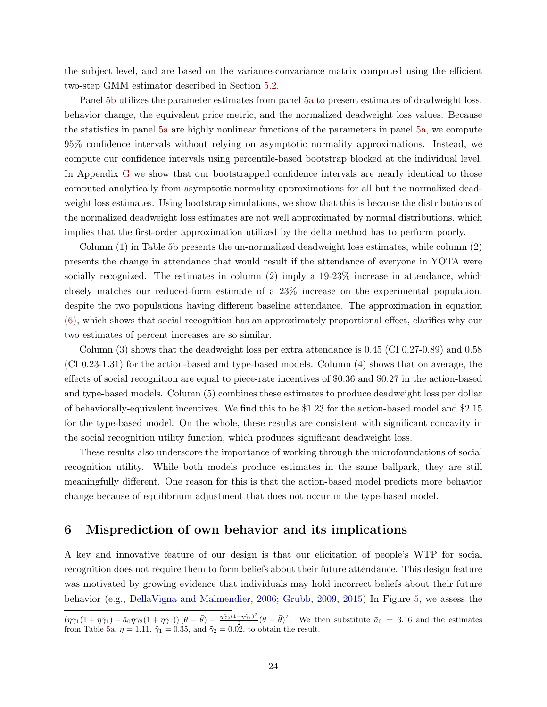the subject level, and are based on the variance-convariance matrix computed using the efficient two-step GMM estimator described in Section [5.2.](#page-21-3)

Panel [5b](#page-39-2) utilizes the parameter estimates from panel [5a](#page-39-1) to present estimates of deadweight loss, behavior change, the equivalent price metric, and the normalized deadweight loss values. Because the statistics in panel [5a](#page-39-1) are highly nonlinear functions of the parameters in panel [5a,](#page-39-1) we compute 95% confidence intervals without relying on asymptotic normality approximations. Instead, we compute our confidence intervals using percentile-based bootstrap blocked at the individual level. In Appendix [G](#page-48-0) we show that our bootstrapped confidence intervals are nearly identical to those computed analytically from asymptotic normality approximations for all but the normalized deadweight loss estimates. Using bootstrap simulations, we show that this is because the distributions of the normalized deadweight loss estimates are not well approximated by normal distributions, which implies that the first-order approximation utilized by the delta method has to perform poorly.

Column (1) in Table 5b presents the un-normalized deadweight loss estimates, while column (2) presents the change in attendance that would result if the attendance of everyone in YOTA were socially recognized. The estimates in column  $(2)$  imply a 19-23% increase in attendance, which closely matches our reduced-form estimate of a 23% increase on the experimental population, despite the two populations having different baseline attendance. The approximation in equation [\(6\)](#page-21-0), which shows that social recognition has an approximately proportional effect, clarifies why our two estimates of percent increases are so similar.

Column (3) shows that the deadweight loss per extra attendance is 0.45 (CI 0.27-0.89) and 0.58 (CI 0.23-1.31) for the action-based and type-based models. Column (4) shows that on average, the effects of social recognition are equal to piece-rate incentives of \$0.36 and \$0.27 in the action-based and type-based models. Column (5) combines these estimates to produce deadweight loss per dollar of behaviorally-equivalent incentives. We find this to be \$1.23 for the action-based model and \$2.15 for the type-based model. On the whole, these results are consistent with significant concavity in the social recognition utility function, which produces significant deadweight loss.

These results also underscore the importance of working through the microfoundations of social recognition utility. While both models produce estimates in the same ballpark, they are still meaningfully different. One reason for this is that the action-based model predicts more behavior change because of equilibrium adjustment that does not occur in the type-based model.

# <span id="page-25-0"></span>6 Misprediction of own behavior and its implications

A key and innovative feature of our design is that our elicitation of people's WTP for social recognition does not require them to form beliefs about their future attendance. This design feature was motivated by growing evidence that individuals may hold incorrect beliefs about their future behavior (e.g., [DellaVigna and Malmendier,](#page-30-15) [2006;](#page-30-15) [Grubb,](#page-30-16) [2009,](#page-30-16) [2015\)](#page-30-17) In Figure [5,](#page-35-0) we assess the

 $(\eta\tilde{\gamma}_1(1+\eta\tilde{\gamma}_1)-\bar{a}_0\eta\tilde{\gamma}_2(1+\eta\tilde{\gamma}_1))\,(\theta-\bar{\theta})-\frac{\eta\tilde{\gamma}_2(1+\eta\tilde{\gamma}_1)^2}{2}$  $\frac{(\pm \eta \tilde{\gamma}_1)^2}{2}(\theta - \bar{\theta})^2$ . We then substitute  $\bar{a}_0 = 3.16$  and the estimates from Table [5a,](#page-39-1)  $\eta = 1.11$ ,  $\tilde{\gamma}_1 = 0.35$ , and  $\tilde{\gamma}_2 = 0.02$ , to obtain the result.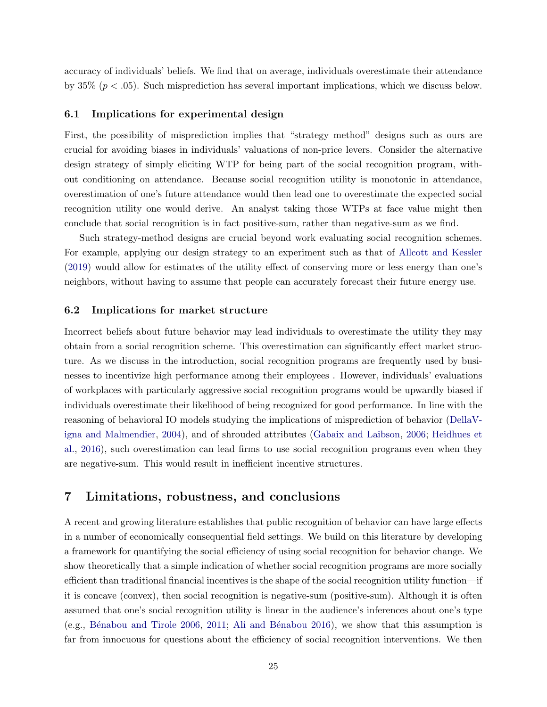accuracy of individuals' beliefs. We find that on average, individuals overestimate their attendance by  $35\%$  ( $p < .05$ ). Such misprediction has several important implications, which we discuss below.

#### <span id="page-26-1"></span>6.1 Implications for experimental design

First, the possibility of misprediction implies that "strategy method" designs such as ours are crucial for avoiding biases in individuals' valuations of non-price levers. Consider the alternative design strategy of simply eliciting WTP for being part of the social recognition program, without conditioning on attendance. Because social recognition utility is monotonic in attendance, overestimation of one's future attendance would then lead one to overestimate the expected social recognition utility one would derive. An analyst taking those WTPs at face value might then conclude that social recognition is in fact positive-sum, rather than negative-sum as we find.

Such strategy-method designs are crucial beyond work evaluating social recognition schemes. For example, applying our design strategy to an experiment such as that of [Allcott and Kessler](#page-28-1) [\(2019\)](#page-28-1) would allow for estimates of the utility effect of conserving more or less energy than one's neighbors, without having to assume that people can accurately forecast their future energy use.

#### <span id="page-26-2"></span>6.2 Implications for market structure

Incorrect beliefs about future behavior may lead individuals to overestimate the utility they may obtain from a social recognition scheme. This overestimation can significantly effect market structure. As we discuss in the introduction, social recognition programs are frequently used by businesses to incentivize high performance among their employees . However, individuals' evaluations of workplaces with particularly aggressive social recognition programs would be upwardly biased if individuals overestimate their likelihood of being recognized for good performance. In line with the reasoning of behavioral IO models studying the implications of misprediction of behavior [\(DellaV](#page-30-18)[igna and Malmendier,](#page-30-18) [2004\)](#page-30-18), and of shrouded attributes [\(Gabaix and Laibson,](#page-30-19) [2006;](#page-30-19) [Heidhues et](#page-31-14) [al.,](#page-31-14) [2016\)](#page-31-14), such overestimation can lead firms to use social recognition programs even when they are negative-sum. This would result in inefficient incentive structures.

# <span id="page-26-0"></span>7 Limitations, robustness, and conclusions

A recent and growing literature establishes that public recognition of behavior can have large effects in a number of economically consequential field settings. We build on this literature by developing a framework for quantifying the social efficiency of using social recognition for behavior change. We show theoretically that a simple indication of whether social recognition programs are more socially efficient than traditional financial incentives is the shape of the social recognition utility function—if it is concave (convex), then social recognition is negative-sum (positive-sum). Although it is often assumed that one's social recognition utility is linear in the audience's inferences about one's type (e.g., Bénabou and Tirole 2006, [2011;](#page-29-8) Ali and Bénabou 2016), we show that this assumption is far from innocuous for questions about the efficiency of social recognition interventions. We then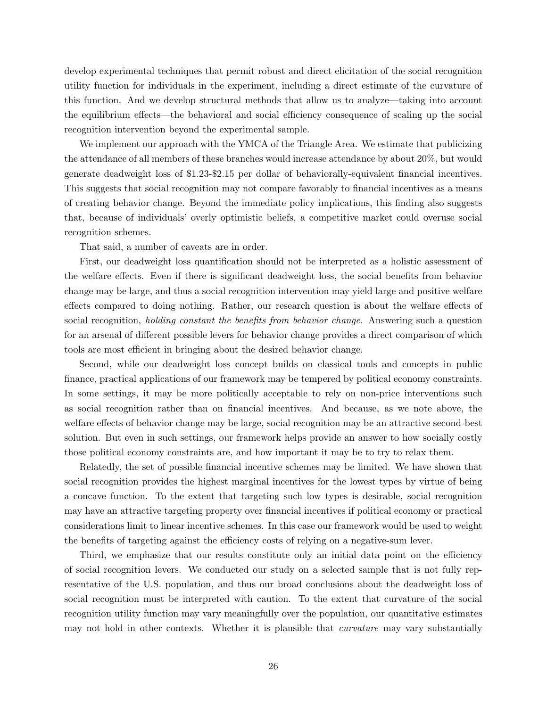develop experimental techniques that permit robust and direct elicitation of the social recognition utility function for individuals in the experiment, including a direct estimate of the curvature of this function. And we develop structural methods that allow us to analyze—taking into account the equilibrium effects—the behavioral and social efficiency consequence of scaling up the social recognition intervention beyond the experimental sample.

We implement our approach with the YMCA of the Triangle Area. We estimate that publicizing the attendance of all members of these branches would increase attendance by about 20%, but would generate deadweight loss of \$1.23-\$2.15 per dollar of behaviorally-equivalent financial incentives. This suggests that social recognition may not compare favorably to financial incentives as a means of creating behavior change. Beyond the immediate policy implications, this finding also suggests that, because of individuals' overly optimistic beliefs, a competitive market could overuse social recognition schemes.

That said, a number of caveats are in order.

First, our deadweight loss quantification should not be interpreted as a holistic assessment of the welfare effects. Even if there is significant deadweight loss, the social benefits from behavior change may be large, and thus a social recognition intervention may yield large and positive welfare effects compared to doing nothing. Rather, our research question is about the welfare effects of social recognition, *holding constant the benefits from behavior change*. Answering such a question for an arsenal of different possible levers for behavior change provides a direct comparison of which tools are most efficient in bringing about the desired behavior change.

Second, while our deadweight loss concept builds on classical tools and concepts in public finance, practical applications of our framework may be tempered by political economy constraints. In some settings, it may be more politically acceptable to rely on non-price interventions such as social recognition rather than on financial incentives. And because, as we note above, the welfare effects of behavior change may be large, social recognition may be an attractive second-best solution. But even in such settings, our framework helps provide an answer to how socially costly those political economy constraints are, and how important it may be to try to relax them.

Relatedly, the set of possible financial incentive schemes may be limited. We have shown that social recognition provides the highest marginal incentives for the lowest types by virtue of being a concave function. To the extent that targeting such low types is desirable, social recognition may have an attractive targeting property over financial incentives if political economy or practical considerations limit to linear incentive schemes. In this case our framework would be used to weight the benefits of targeting against the efficiency costs of relying on a negative-sum lever.

Third, we emphasize that our results constitute only an initial data point on the efficiency of social recognition levers. We conducted our study on a selected sample that is not fully representative of the U.S. population, and thus our broad conclusions about the deadweight loss of social recognition must be interpreted with caution. To the extent that curvature of the social recognition utility function may vary meaningfully over the population, our quantitative estimates may not hold in other contexts. Whether it is plausible that *curvature* may vary substantially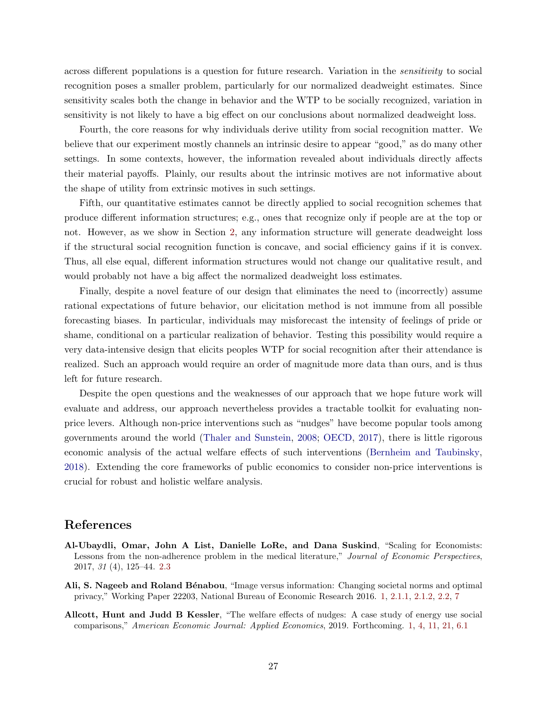across different populations is a question for future research. Variation in the sensitivity to social recognition poses a smaller problem, particularly for our normalized deadweight estimates. Since sensitivity scales both the change in behavior and the WTP to be socially recognized, variation in sensitivity is not likely to have a big effect on our conclusions about normalized deadweight loss.

Fourth, the core reasons for why individuals derive utility from social recognition matter. We believe that our experiment mostly channels an intrinsic desire to appear "good," as do many other settings. In some contexts, however, the information revealed about individuals directly affects their material payoffs. Plainly, our results about the intrinsic motives are not informative about the shape of utility from extrinsic motives in such settings.

Fifth, our quantitative estimates cannot be directly applied to social recognition schemes that produce different information structures; e.g., ones that recognize only if people are at the top or not. However, as we show in Section [2,](#page-6-0) any information structure will generate deadweight loss if the structural social recognition function is concave, and social efficiency gains if it is convex. Thus, all else equal, different information structures would not change our qualitative result, and would probably not have a big affect the normalized deadweight loss estimates.

Finally, despite a novel feature of our design that eliminates the need to (incorrectly) assume rational expectations of future behavior, our elicitation method is not immune from all possible forecasting biases. In particular, individuals may misforecast the intensity of feelings of pride or shame, conditional on a particular realization of behavior. Testing this possibility would require a very data-intensive design that elicits peoples WTP for social recognition after their attendance is realized. Such an approach would require an order of magnitude more data than ours, and is thus left for future research.

Despite the open questions and the weaknesses of our approach that we hope future work will evaluate and address, our approach nevertheless provides a tractable toolkit for evaluating nonprice levers. Although non-price interventions such as "nudges" have become popular tools among governments around the world [\(Thaler and Sunstein,](#page-31-15) [2008;](#page-31-15) [OECD,](#page-31-16) [2017\)](#page-31-16), there is little rigorous economic analysis of the actual welfare effects of such interventions [\(Bernheim and Taubinsky,](#page-29-14) [2018\)](#page-29-14). Extending the core frameworks of public economics to consider non-price interventions is crucial for robust and holistic welfare analysis.

# References

- <span id="page-28-2"></span>Al-Ubaydli, Omar, John A List, Danielle LoRe, and Dana Suskind, "Scaling for Economists: Lessons from the non-adherence problem in the medical literature," Journal of Economic Perspectives, 2017, 31 (4), 125–44. [2.3](#page-9-0)
- <span id="page-28-0"></span>Ali, S. Nageeb and Roland Bénabou, "Image versus information: Changing societal norms and optimal privacy," Working Paper 22203, National Bureau of Economic Research 2016. [1,](#page-2-0) [2.1.1,](#page-6-1) [2.1.2,](#page-7-2) [2.2,](#page-7-0) [7](#page-26-0)
- <span id="page-28-1"></span>Allcott, Hunt and Judd B Kessler, "The welfare effects of nudges: A case study of energy use social comparisons," American Economic Journal: Applied Economics, 2019. Forthcoming. [1,](#page-2-0) [4,](#page-2-0) [11,](#page-9-0) [21,](#page-15-0) [6.1](#page-26-1)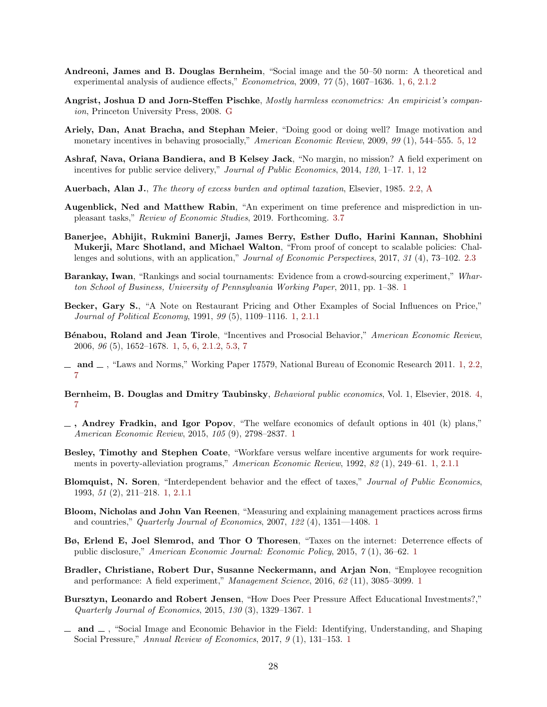- <span id="page-29-12"></span>Andreoni, James and B. Douglas Bernheim, "Social image and the 50–50 norm: A theoretical and experimental analysis of audience effects," Econometrica, 2009, 77 (5), 1607–1636. [1,](#page-2-0) [6,](#page-2-0) [2.1.2](#page-7-2)
- <span id="page-29-19"></span>Angrist, Joshua D and Jorn-Steffen Pischke, Mostly harmless econometrics: An empiricist's companion, Princeton University Press, 2008. [G](#page-48-0)
- <span id="page-29-15"></span>Ariely, Dan, Anat Bracha, and Stephan Meier, "Doing good or doing well? Image motivation and monetary incentives in behaving prosocially," American Economic Review, 2009, 99 (1), 544–555. [5,](#page-2-0) [12](#page-11-2)
- <span id="page-29-5"></span>Ashraf, Nava, Oriana Bandiera, and B Kelsey Jack, "No margin, no mission? A field experiment on incentives for public service delivery," Journal of Public Economics, 2014, 120, 1–17. [1,](#page-2-0) [12](#page-11-2)
- <span id="page-29-16"></span>Auerbach, Alan J., The theory of excess burden and optimal taxation, Elsevier, 1985. [2.2,](#page-8-0) [A](#page-40-0)
- <span id="page-29-18"></span>Augenblick, Ned and Matthew Rabin, "An experiment on time preference and misprediction in unpleasant tasks," Review of Economic Studies, 2019. Forthcoming. [3.7](#page-15-0)
- <span id="page-29-17"></span>Banerjee, Abhijit, Rukmini Banerji, James Berry, Esther Duflo, Harini Kannan, Shobhini Mukerji, Marc Shotland, and Michael Walton, "From proof of concept to scalable policies: Chal-lenges and solutions, with an application," Journal of Economic Perspectives, 2017, 31 (4), 73–102. [2.3](#page-9-0)
- <span id="page-29-4"></span>Barankay, Iwan, "Rankings and social tournaments: Evidence from a crowd-sourcing experiment," Wharton School of Business, University of Pennsylvania Working Paper, 2011, pp. 1–38. [1](#page-2-0)
- <span id="page-29-9"></span>Becker, Gary S., "A Note on Restaurant Pricing and Other Examples of Social Influences on Price," Journal of Political Economy, 1991, 99 (5), 1109–1116. [1,](#page-2-0) [2.1.1](#page-6-1)
- <span id="page-29-7"></span>Bénabou, Roland and Jean Tirole, "Incentives and Prosocial Behavior," American Economic Review, 2006, 96 (5), 1652–1678. [1,](#page-2-0) [5,](#page-2-0) [6,](#page-2-0) [2.1.2,](#page-7-2) [5.3,](#page-23-2) [7](#page-26-0)
- <span id="page-29-8"></span> $\mu$  and  $\mu$ , "Laws and Norms," Working Paper 17579, National Bureau of Economic Research 2011. [1,](#page-2-0) [2.2,](#page-7-0) [7](#page-26-0)
- <span id="page-29-14"></span>Bernheim, B. Douglas and Dmitry Taubinsky, Behavioral public economics, Vol. 1, Elsevier, 2018. [4,](#page-2-0) [7](#page-26-0)
- <span id="page-29-13"></span> $\Box$ , Andrey Fradkin, and Igor Popov, "The welfare economics of default options in 401 (k) plans," American Economic Review, 2015, 105 (9), 2798–2837. [1](#page-2-0)
- <span id="page-29-10"></span>Besley, Timothy and Stephen Coate, "Workfare versus welfare incentive arguments for work requirements in poverty-alleviation programs," American Economic Review, 1992, 82 (1), 249–61. [1,](#page-2-0) [2.1.1](#page-6-1)
- <span id="page-29-11"></span>Blomquist, N. Soren, "Interdependent behavior and the effect of taxes," Journal of Public Economics, 1993, 51 (2), 211–218. [1,](#page-2-0) [2.1.1](#page-6-1)
- <span id="page-29-1"></span>Bloom, Nicholas and John Van Reenen, "Measuring and explaining management practices across firms and countries," Quarterly Journal of Economics, 2007, 122 (4), 1351—1408. [1](#page-2-0)
- <span id="page-29-2"></span>Bø, Erlend E, Joel Slemrod, and Thor O Thoresen, "Taxes on the internet: Deterrence effects of public disclosure," American Economic Journal: Economic Policy, 2015, 7 (1), 36–62. [1](#page-2-0)
- <span id="page-29-6"></span>Bradler, Christiane, Robert Dur, Susanne Neckermann, and Arjan Non, "Employee recognition and performance: A field experiment," Management Science, 2016, 62 (11), 3085–3099. [1](#page-2-0)
- <span id="page-29-3"></span>Bursztyn, Leonardo and Robert Jensen, "How Does Peer Pressure Affect Educational Investments?," Quarterly Journal of Economics, 2015, 130 (3), 1329–1367. [1](#page-2-0)
- <span id="page-29-0"></span> $\Box$  and  $\Box$ , "Social Image and Economic Behavior in the Field: Identifying, Understanding, and Shaping Social Pressure," Annual Review of Economics, 2017, 9 (1), 131–153. [1](#page-2-0)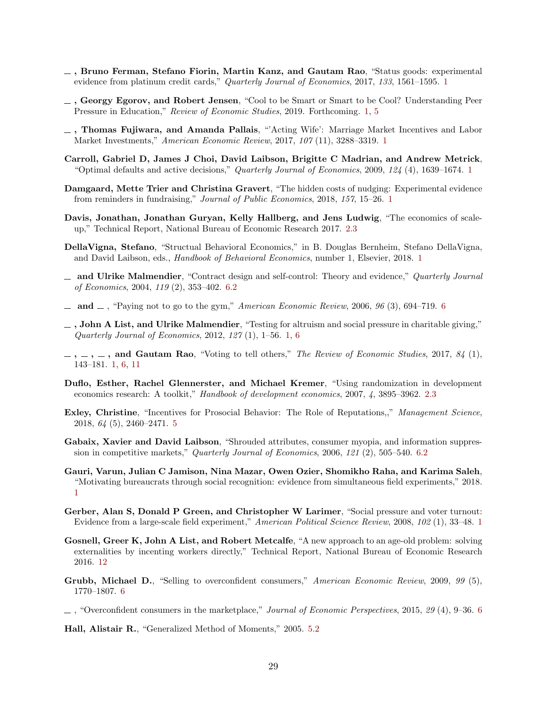- <span id="page-30-4"></span> $\Box$ , Bruno Ferman, Stefano Fiorin, Martin Kanz, and Gautam Rao, "Status goods: experimental evidence from platinum credit cards," Quarterly Journal of Economics, 20[1](#page-2-0)7, 133, 1561–1595. 1
- <span id="page-30-2"></span> $\overline{\phantom{a}}$ , Georgy Egorov, and Robert Jensen, "Cool to be Smart or Smart to be Cool? Understanding Peer Pressure in Education," Review of Economic Studies, 2019. Forthcoming. [1,](#page-2-0) [5](#page-2-0)
- <span id="page-30-1"></span>, Thomas Fujiwara, and Amanda Pallais, "'Acting Wife': Marriage Market Incentives and Labor Market Investments," American Economic Review, 2017, 107 (11), 3288–3319. [1](#page-2-0)
- <span id="page-30-6"></span>Carroll, Gabriel D, James J Choi, David Laibson, Brigitte C Madrian, and Andrew Metrick, "Optimal defaults and active decisions," *Quarterly Journal of Economics*, 2009,  $124$  $124$  (4), 1639–1674. 1
- <span id="page-30-5"></span>Damgaard, Mette Trier and Christina Gravert, "The hidden costs of nudging: Experimental evidence from reminders in fundraising," Journal of Public Economics, 2018, 157, 15–26. [1](#page-2-0)
- <span id="page-30-12"></span>Davis, Jonathan, Jonathan Guryan, Kelly Hallberg, and Jens Ludwig, "The economics of scaleup," Technical Report, National Bureau of Economic Research 2017. [2.3](#page-9-0)
- <span id="page-30-7"></span>DellaVigna, Stefano, "Structual Behavioral Economics," in B. Douglas Bernheim, Stefano DellaVigna, and David Laibson, eds., Handbook of Behavioral Economics, number 1, Elsevier, 2018. [1](#page-2-0)
- <span id="page-30-18"></span><sub>1</sub> and Ulrike Malmendier, "Contract design and self-control: Theory and evidence," Quarterly Journal of Economics, 2004, 119 (2), 353–402. [6.2](#page-26-2)
- <span id="page-30-15"></span> $\mu$  and  $\mu$ , "Paying not to go to the gym," American Economic Review, 200[6](#page-25-0), 96 (3), 694–719. 6
- <span id="page-30-8"></span> $\Box$ , John A List, and Ulrike Malmendier, "Testing for altruism and social pressure in charitable giving," Quarterly Journal of Economics, 2012, 127 (1), 1–56. [1,](#page-2-0) [6](#page-2-0)
- <span id="page-30-9"></span> $-$ ,  $-$ ,  $-$ , and Gautam Rao, "Voting to tell others," The Review of Economic Studies, 2017, 84 (1), 143–181. [1,](#page-2-0) [6,](#page-2-0) [11](#page-9-0)
- <span id="page-30-11"></span>Duflo, Esther, Rachel Glennerster, and Michael Kremer, "Using randomization in development economics research: A toolkit," Handbook of development economics, 2007, 4, 3895–3962. [2.3](#page-9-0)
- <span id="page-30-10"></span>Exley, Christine, "Incentives for Prosocial Behavior: The Role of Reputations,," Management Science, 2018, 64 (5), 2460–2471. [5](#page-2-0)
- <span id="page-30-19"></span>Gabaix, Xavier and David Laibson, "Shrouded attributes, consumer myopia, and information suppression in competitive markets," Quarterly Journal of Economics, 2006, 121 (2), 505–540. [6.2](#page-26-2)
- <span id="page-30-0"></span>Gauri, Varun, Julian C Jamison, Nina Mazar, Owen Ozier, Shomikho Raha, and Karima Saleh, "Motivating bureaucrats through social recognition: evidence from simultaneous field experiments," 2018. [1](#page-2-0)
- <span id="page-30-3"></span>Gerber, Alan S, Donald P Green, and Christopher W Larimer, "Social pressure and voter turnout: Evidence from a large-scale field experiment," American Political Science Review, 2008, 102 (1), 33–48. [1](#page-2-0)
- <span id="page-30-13"></span>Gosnell, Greer K, John A List, and Robert Metcalfe, "A new approach to an age-old problem: solving externalities by incenting workers directly," Technical Report, National Bureau of Economic Research 2016. [12](#page-11-2)
- <span id="page-30-16"></span>Grubb, Michael D., "Selling to overconfident consumers," American Economic Review, 2009, 99 (5), 1770–1807. [6](#page-25-0)
- <span id="page-30-17"></span> $\ldots$ , "Overconfident consumers in the marketplace," Journal of Economic Perspectives, 2015, 29 (4), 9–3[6](#page-25-0). 6

<span id="page-30-14"></span>Hall, Alistair R., "Generalized Method of Moments," 2005. [5.2](#page-21-3)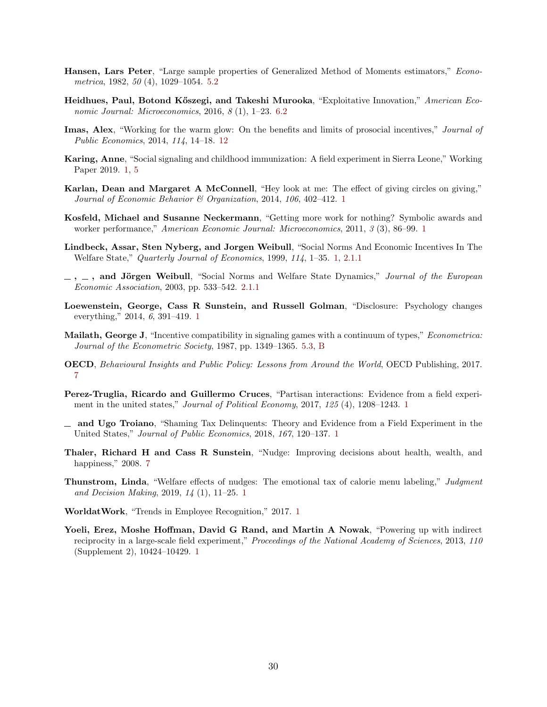- <span id="page-31-12"></span>Hansen, Lars Peter, "Large sample properties of Generalized Method of Moments estimators," Econometrica, 1982, 50 (4), 1029–1054. [5.2](#page-21-3)
- <span id="page-31-14"></span>Heidhues, Paul, Botond Kőszegi, and Takeshi Murooka, "Exploitative Innovation," American Economic Journal: Microeconomics, 2016, 8 (1), 1–23. [6.2](#page-26-2)
- <span id="page-31-11"></span>Imas, Alex, "Working for the warm glow: On the benefits and limits of prosocial incentives," Journal of Public Economics, 2014, 114, 14–18. [12](#page-11-2)
- <span id="page-31-6"></span>Karing, Anne, "Social signaling and childhood immunization: A field experiment in Sierra Leone," Working Paper 2019. [1,](#page-2-0) [5](#page-2-0)
- <span id="page-31-4"></span>Karlan, Dean and Margaret A McConnell, "Hey look at me: The effect of giving circles on giving," Journal of Economic Behavior & Organization, 2014, 106, 402–412. [1](#page-2-0)
- <span id="page-31-2"></span>Kosfeld, Michael and Susanne Neckermann, "Getting more work for nothing? Symbolic awards and worker performance," American Economic Journal: Microeconomics, 2011, 3 (3), 86–99. [1](#page-2-0)
- <span id="page-31-8"></span>Lindbeck, Assar, Sten Nyberg, and Jorgen Weibull, "Social Norms And Economic Incentives In The Welfare State," Quarterly Journal of Economics, 1999, 114, 1–35. [1,](#page-2-0) [2.1.1](#page-6-1)
- <span id="page-31-10"></span> $-$ ,  $-$ , and Jörgen Weibull, "Social Norms and Welfare State Dynamics," Journal of the European Economic Association, 2003, pp. 533–542. [2.1.1](#page-6-1)
- <span id="page-31-0"></span>Loewenstein, George, Cass R Sunstein, and Russell Golman, "Disclosure: Psychology changes everything," 2014, 6, 391–419. [1](#page-2-0)
- <span id="page-31-13"></span>Mailath, George J, "Incentive compatibility in signaling games with a continuum of types," Econometrica: Journal of the Econometric Society, 1987, pp. 1349–1365. [5.3,](#page-23-2) [B](#page-41-1)
- <span id="page-31-16"></span>OECD, Behavioural Insights and Public Policy: Lessons from Around the World, OECD Publishing, 2017. [7](#page-26-0)
- <span id="page-31-5"></span>Perez-Truglia, Ricardo and Guillermo Cruces, "Partisan interactions: Evidence from a field experiment in the united states," Journal of Political Economy, 2017, 125 (4), 1208–1243. [1](#page-2-0)
- <span id="page-31-3"></span> $\equiv$  and Ugo Troiano, "Shaming Tax Delinquents: Theory and Evidence from a Field Experiment in the United States," Journal of Public Economics, 2018, 167, 120–137. [1](#page-2-0)
- <span id="page-31-15"></span>Thaler, Richard H and Cass R Sunstein, "Nudge: Improving decisions about health, wealth, and happiness," 2008. [7](#page-26-0)
- <span id="page-31-9"></span>Thunstrom, Linda, "Welfare effects of nudges: The emotional tax of calorie menu labeling," Judgment and Decision Making, 2019, 14 (1), 11–25. [1](#page-2-0)
- <span id="page-31-1"></span>WorldatWork, "Trends in Employee Recognition," 2017. [1](#page-2-0)
- <span id="page-31-7"></span>Yoeli, Erez, Moshe Hoffman, David G Rand, and Martin A Nowak, "Powering up with indirect reciprocity in a large-scale field experiment," Proceedings of the National Academy of Sciences, 2013, 110 (Supplement 2), 10424–10429. [1](#page-2-0)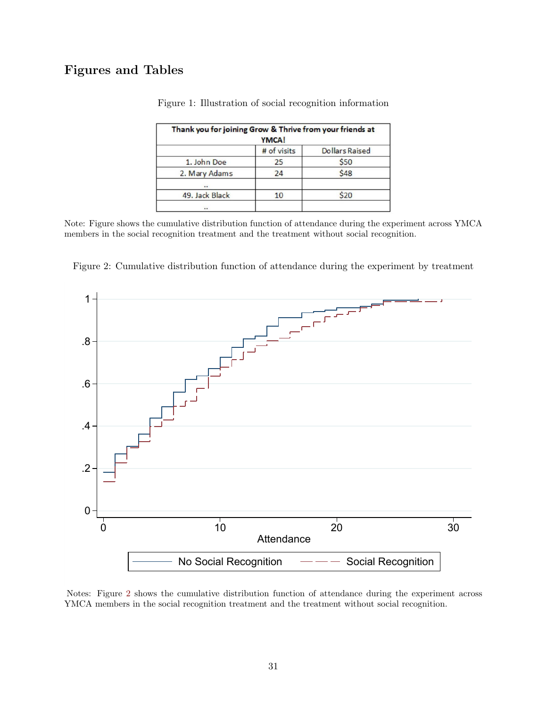# <span id="page-32-0"></span>Figures and Tables

| Thank you for joining Grow & Thrive from your friends at<br><b>YMCA!</b> |             |                       |  |  |  |
|--------------------------------------------------------------------------|-------------|-----------------------|--|--|--|
|                                                                          | # of visits | <b>Dollars Raised</b> |  |  |  |
| 1. John Doe                                                              | 25          | \$50                  |  |  |  |
| 2. Mary Adams                                                            | 24          | \$48                  |  |  |  |
|                                                                          |             |                       |  |  |  |
| 49. Jack Black                                                           | 10          | \$20                  |  |  |  |
|                                                                          |             |                       |  |  |  |

Figure 1: Illustration of social recognition information

Note: Figure shows the cumulative distribution function of attendance during the experiment across YMCA members in the social recognition treatment and the treatment without social recognition.

<span id="page-32-1"></span>Figure 2: Cumulative distribution function of attendance during the experiment by treatment



Notes: Figure [2](#page-32-1) shows the cumulative distribution function of attendance during the experiment across YMCA members in the social recognition treatment and the treatment without social recognition.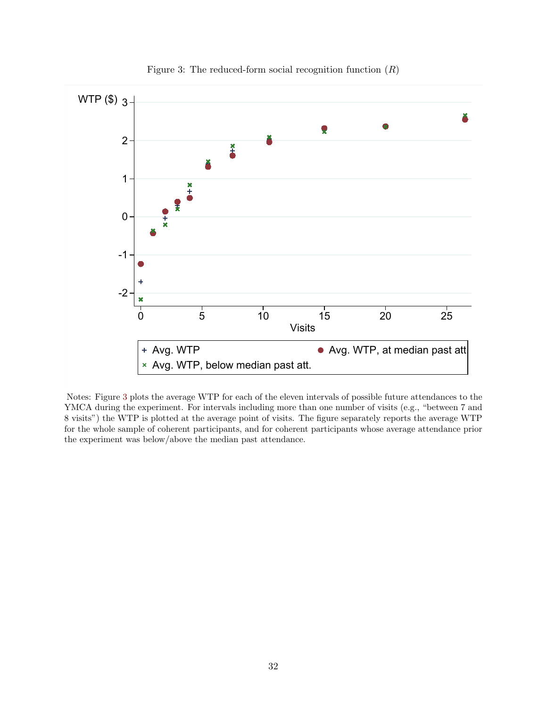<span id="page-33-0"></span>

Figure 3: The reduced-form social recognition function  $(R)$ 

Notes: Figure [3](#page-33-0) plots the average WTP for each of the eleven intervals of possible future attendances to the YMCA during the experiment. For intervals including more than one number of visits (e.g., "between 7 and 8 visits") the WTP is plotted at the average point of visits. The figure separately reports the average WTP for the whole sample of coherent participants, and for coherent participants whose average attendance prior the experiment was below/above the median past attendance.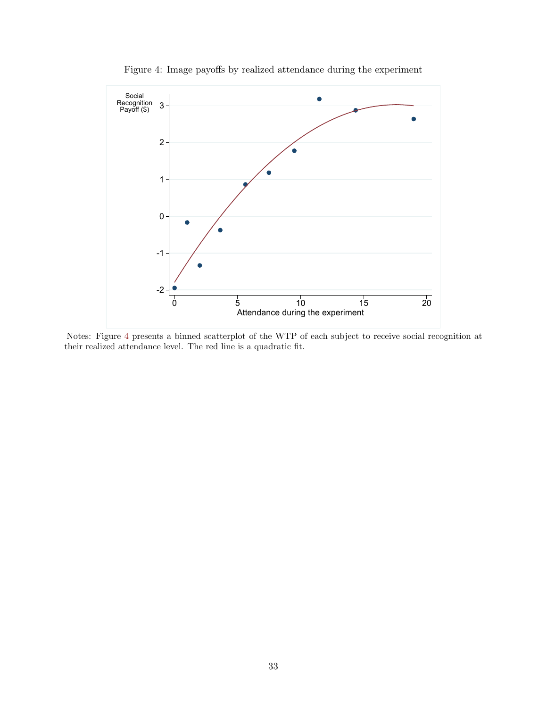<span id="page-34-0"></span>

Figure 4: Image payoffs by realized attendance during the experiment

Notes: Figure [4](#page-34-0) presents a binned scatterplot of the WTP of each subject to receive social recognition at their realized attendance level. The red line is a quadratic fit.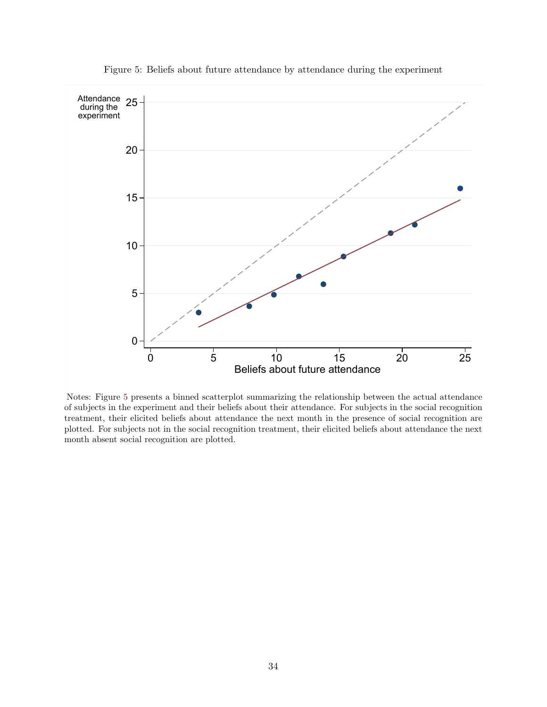<span id="page-35-0"></span>

Figure 5: Beliefs about future attendance by attendance during the experiment

Notes: Figure [5](#page-35-0) presents a binned scatterplot summarizing the relationship between the actual attendance of subjects in the experiment and their beliefs about their attendance. For subjects in the social recognition treatment, their elicited beliefs about attendance the next month in the presence of social recognition are plotted. For subjects not in the social recognition treatment, their elicited beliefs about attendance the next month absent social recognition are plotted.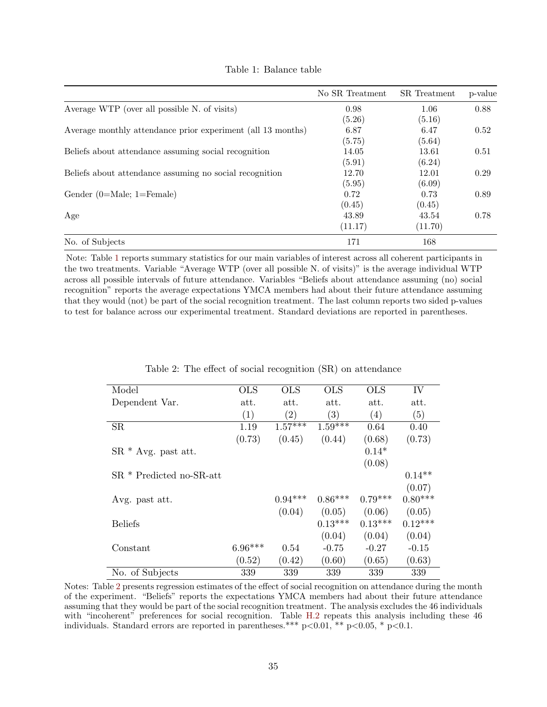<span id="page-36-0"></span>

|                                                             | No SR Treatment | SR Treatment | p-value |
|-------------------------------------------------------------|-----------------|--------------|---------|
| Average WTP (over all possible N. of visits)                | 0.98            | 1.06         | 0.88    |
|                                                             | (5.26)          | (5.16)       |         |
| Average monthly attendance prior experiment (all 13 months) | 6.87            | 6.47         | 0.52    |
|                                                             | (5.75)          | (5.64)       |         |
| Beliefs about attendance assuming social recognition        | 14.05           | 13.61        | 0.51    |
|                                                             | (5.91)          | (6.24)       |         |
| Beliefs about attendance assuming no social recognition     | 12.70           | 12.01        | 0.29    |
|                                                             | (5.95)          | (6.09)       |         |
| Gender $(0=Male; 1=Female)$                                 | 0.72            | 0.73         | 0.89    |
|                                                             | (0.45)          | (0.45)       |         |
| Age                                                         | 43.89           | 43.54        | 0.78    |
|                                                             | (11.17)         | (11.70)      |         |
| No. of Subjects                                             | 171             | 168          |         |

Table 1: Balance table

Note: Table [1](#page-36-0) reports summary statistics for our main variables of interest across all coherent participants in the two treatments. Variable "Average WTP (over all possible N. of visits)" is the average individual WTP across all possible intervals of future attendance. Variables "Beliefs about attendance assuming (no) social recognition" reports the average expectations YMCA members had about their future attendance assuming that they would (not) be part of the social recognition treatment. The last column reports two sided p-values to test for balance across our experimental treatment. Standard deviations are reported in parentheses.

<span id="page-36-1"></span>

| Model                      | <b>OLS</b> | <b>OLS</b> | <b>OLS</b> | <b>OLS</b> | IV        |
|----------------------------|------------|------------|------------|------------|-----------|
| Dependent Var.             | att.       | att.       | att.       | att.       | att.      |
|                            | (1)        | (2)        | (3)        | (4)        | (5)       |
| <b>SR</b>                  | 1.19       | $1.57***$  | $1.59***$  | 0.64       | 0.40      |
|                            | (0.73)     | (0.45)     | (0.44)     | (0.68)     | (0.73)    |
| $SR * Avg.$ past att.      |            |            |            | $0.14*$    |           |
|                            |            |            |            | (0.08)     |           |
| $SR *$ Predicted no-SR-att |            |            |            |            | $0.14**$  |
|                            |            |            |            |            | (0.07)    |
| Avg. past att.             |            | $0.94***$  | $0.86***$  | $0.79***$  | $0.80***$ |
|                            |            | (0.04)     | (0.05)     | (0.06)     | (0.05)    |
| <b>Beliefs</b>             |            |            | $0.13***$  | $0.13***$  | $0.12***$ |
|                            |            |            | (0.04)     | (0.04)     | (0.04)    |
| Constant                   | $6.96***$  | 0.54       | $-0.75$    | $-0.27$    | $-0.15$   |
|                            | (0.52)     | (0.42)     | (0.60)     | (0.65)     | (0.63)    |
| No. of Subjects            | 339        | 339        | 339        | 339        | 339       |

|  |  |  |  | Table 2: The effect of social recognition (SR) on attendance |  |  |  |
|--|--|--|--|--------------------------------------------------------------|--|--|--|
|--|--|--|--|--------------------------------------------------------------|--|--|--|

Notes: Table [2](#page-36-1) presents regression estimates of the effect of social recognition on attendance during the month of the experiment. "Beliefs" reports the expectations YMCA members had about their future attendance assuming that they would be part of the social recognition treatment. The analysis excludes the 46 individuals with "incoherent" preferences for social recognition. Table [H.2](#page-53-0) repeats this analysis including these 46 individuals. Standard errors are reported in parentheses.\*\*\*  $p<0.01$ , \*\*  $p<0.05$ , \*  $p<0.1$ .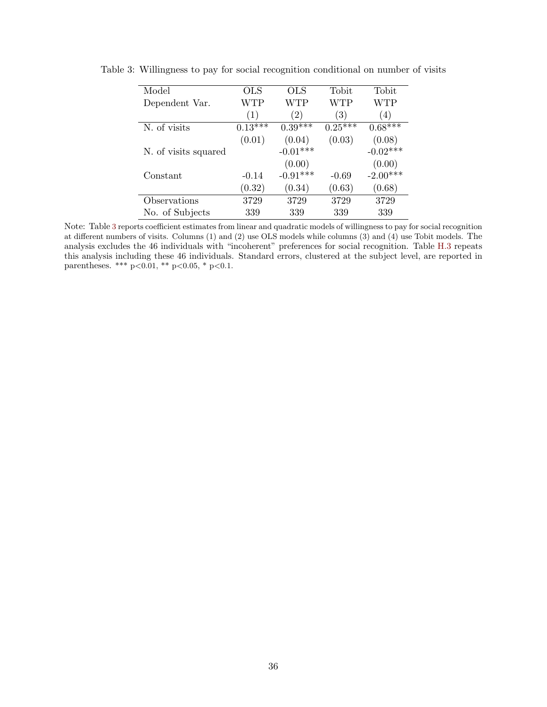| Model                | OLS       | OLS               | Tobit     | Tobit      |
|----------------------|-----------|-------------------|-----------|------------|
| Dependent Var.       | WTP       | WTP               | WTP       | WTP        |
|                      | (1)       | $\left( 2\right)$ | (3)       | (4)        |
| N. of visits         | $0.13***$ | $0.39***$         | $0.25***$ | $0.68***$  |
|                      | (0.01)    | (0.04)            | (0.03)    | (0.08)     |
| N. of visits squared |           | $-0.01***$        |           | $-0.02***$ |
|                      |           | (0.00)            |           | (0.00)     |
| Constant             | $-0.14$   | $-0.91***$        | $-0.69$   | $-2.00***$ |
|                      | (0.32)    | (0.34)            | (0.63)    | (0.68)     |
| Observations         | 3729      | 3729              | 3729      | 3729       |
| No. of Subjects      | 339       | 339               | 339       | 339        |

<span id="page-37-0"></span>Table 3: Willingness to pay for social recognition conditional on number of visits

Note: Table [3](#page-37-0) reports coefficient estimates from linear and quadratic models of willingness to pay for social recognition at different numbers of visits. Columns (1) and (2) use OLS models while columns (3) and (4) use Tobit models. The analysis excludes the 46 individuals with "incoherent" preferences for social recognition. Table [H.3](#page-53-1) repeats this analysis including these 46 individuals. Standard errors, clustered at the subject level, are reported in parentheses. \*\*\*  $p<0.01$ , \*\*  $p<0.05$ , \*  $p<0.1$ .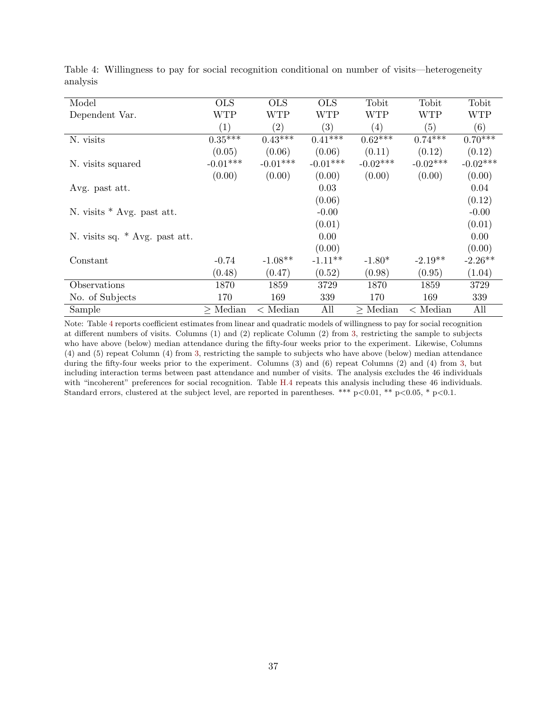| Model                          | <b>OLS</b>       | <b>OLS</b>        | <b>OLS</b>              | Tobit         | Tobit            | Tobit      |
|--------------------------------|------------------|-------------------|-------------------------|---------------|------------------|------------|
| Dependent Var.                 | WTP              | <b>WTP</b>        | <b>WTP</b>              | <b>WTP</b>    | <b>WTP</b>       | <b>WTP</b> |
|                                | $\left(1\right)$ | $\left( 2\right)$ | (3)                     | (4)           | (5)              | (6)        |
| N. visits                      | $0.35***$        | $0.43***$         | $0.41^{\overline{***}}$ | $0.62***$     | $0.74***$        | $0.70***$  |
|                                | (0.05)           | (0.06)            | (0.06)                  | (0.11)        | (0.12)           | (0.12)     |
| N. visits squared              | $-0.01***$       | $-0.01***$        | $-0.01***$              | $-0.02***$    | $-0.02***$       | $-0.02***$ |
|                                | (0.00)           | (0.00)            | (0.00)                  | (0.00)        | (0.00)           | (0.00)     |
| Avg. past att.                 |                  |                   | 0.03                    |               |                  | 0.04       |
|                                |                  |                   | (0.06)                  |               |                  | (0.12)     |
| N. visits $*$ Avg. past att.   |                  |                   | $-0.00$                 |               |                  | $-0.00$    |
|                                |                  |                   | (0.01)                  |               |                  | (0.01)     |
| N. visits sq. * Avg. past att. |                  |                   | 0.00                    |               |                  | 0.00       |
|                                |                  |                   | (0.00)                  |               |                  | (0.00)     |
| Constant                       | $-0.74$          | $-1.08**$         | $-1.11**$               | $-1.80*$      | $-2.19**$        | $-2.26**$  |
|                                | (0.48)           | (0.47)            | (0.52)                  | (0.98)        | (0.95)           | (1.04)     |
| Observations                   | 1870             | 1859              | 3729                    | 1870          | 1859             | 3729       |
| No. of Subjects                | 170              | 169               | 339                     | 170           | 169              | 339        |
| Sample                         | $\geq$ Median    | $\langle$ Median  | All                     | $\geq$ Median | $\langle$ Median | All        |

<span id="page-38-0"></span>Table 4: Willingness to pay for social recognition conditional on number of visits—heterogeneity analysis

Note: Table [4](#page-38-0) reports coefficient estimates from linear and quadratic models of willingness to pay for social recognition at different numbers of visits. Columns (1) and (2) replicate Column (2) from [3,](#page-37-0) restricting the sample to subjects who have above (below) median attendance during the fifty-four weeks prior to the experiment. Likewise, Columns (4) and (5) repeat Column (4) from [3,](#page-37-0) restricting the sample to subjects who have above (below) median attendance during the fifty-four weeks prior to the experiment. Columns (3) and (6) repeat Columns (2) and (4) from [3,](#page-37-0) but including interaction terms between past attendance and number of visits. The analysis excludes the 46 individuals with "incoherent" preferences for social recognition. Table [H.4](#page-54-0) repeats this analysis including these 46 individuals. Standard errors, clustered at the subject level, are reported in parentheses. \*\*\*  $p<0.01$ , \*\*  $p<0.05$ , \*  $p<0.1$ .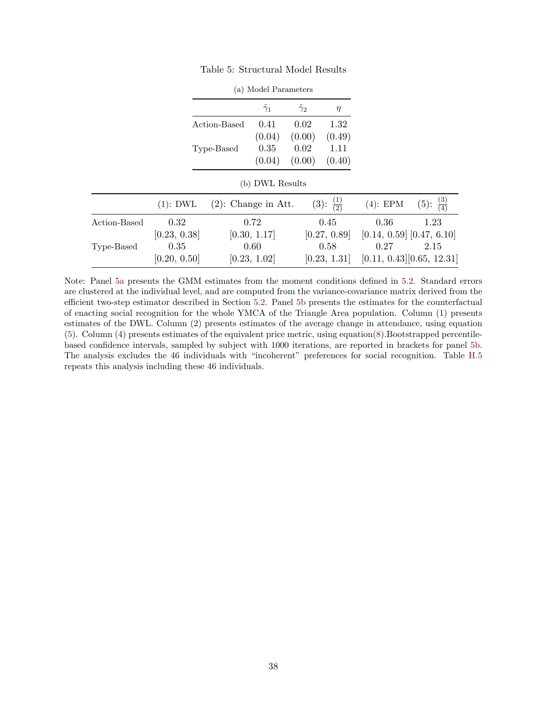<span id="page-39-2"></span><span id="page-39-1"></span><span id="page-39-0"></span>

|              |              |                        | $\tilde{\gamma}_1$ | $\tilde{\gamma}_2$ | $\eta$                       |                                |                              |
|--------------|--------------|------------------------|--------------------|--------------------|------------------------------|--------------------------------|------------------------------|
|              |              | Action-Based           | 0.41               | 0.02               | 1.32                         |                                |                              |
|              |              |                        | (0.04)             | (0.00)             | (0.49)                       |                                |                              |
|              |              | Type-Based             | 0.35               | 0.02               | 1.11                         |                                |                              |
|              |              |                        | (0.04)             | (0.00)             | (0.40)                       |                                |                              |
|              |              |                        | (b) DWL Results    |                    |                              |                                |                              |
|              | $(1)$ : DWL  | $(2)$ : Change in Att. |                    |                    | $\frac{(1)}{(2)}$<br>$(3)$ : | $(4)$ : EPM                    | $\frac{(3)}{(4)}$<br>$(5)$ : |
| Action-Based | 0.32         |                        | 0.72               |                    | 0.45                         | 0.36                           | 1.23                         |
|              | [0.23, 0.38] |                        | [0.30, 1.17]       |                    | [0.27, 0.89]                 | $[0.14, 0.59]$ $[0.47, 6.10]$  |                              |
| Type-Based   | 0.35         |                        | 0.60               |                    | 0.58                         | 0.27                           | 2.15                         |
|              | [0.20, 0.50] |                        | [0.23, 1.02]       |                    | [0.23, 1.31]                 | $[0.11, 0.43]$ $[0.65, 12.31]$ |                              |

Table 5: Structural Model Results

(a) Model Parameters

Note: Panel [5a](#page-39-1) presents the GMM estimates from the moment conditions defined in [5.2.](#page-21-3) Standard errors are clustered at the individual level, and are computed from the variance-covariance matrix derived from the efficient two-step estimator described in Section [5.2.](#page-21-3) Panel [5b](#page-39-2) presents the estimates for the counterfactual of enacting social recognition for the whole YMCA of the Triangle Area population. Column (1) presents estimates of the DWL. Column (2) presents estimates of the average change in attendance, using equation [\(5\)](#page-21-2). Column (4) presents estimates of the equivalent price metric, using equation[\(8\)](#page-24-0).Bootstrapped percentilebased confidence intervals, sampled by subject with 1000 iterations, are reported in brackets for panel [5b.](#page-39-2) The analysis excludes the 46 individuals with "incoherent" preferences for social recognition. Table [H.5](#page-55-0) repeats this analysis including these 46 individuals.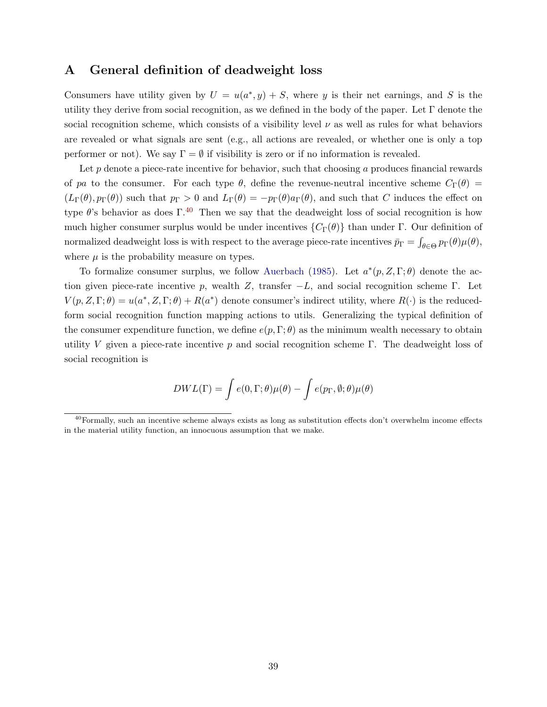# <span id="page-40-0"></span>A General definition of deadweight loss

Consumers have utility given by  $U = u(a^*, y) + S$ , where y is their net earnings, and S is the utility they derive from social recognition, as we defined in the body of the paper. Let  $\Gamma$  denote the social recognition scheme, which consists of a visibility level  $\nu$  as well as rules for what behaviors are revealed or what signals are sent (e.g., all actions are revealed, or whether one is only a top performer or not). We say  $\Gamma = \emptyset$  if visibility is zero or if no information is revealed.

Let  $p$  denote a piece-rate incentive for behavior, such that choosing  $q$  produces financial rewards of pa to the consumer. For each type  $\theta$ , define the revenue-neutral incentive scheme  $C_{\Gamma}(\theta)$  =  $(L_\Gamma(\theta), p_\Gamma(\theta))$  such that  $p_\Gamma > 0$  and  $L_\Gamma(\theta) = -p_\Gamma(\theta) a_\Gamma(\theta)$ , and such that C induces the effect on type  $\theta$ 's behavior as does Γ.<sup>[40](#page--1-0)</sup> Then we say that the deadweight loss of social recognition is how much higher consumer surplus would be under incentives  ${C_{\Gamma}(\theta)}$  than under Γ. Our definition of normalized deadweight loss is with respect to the average piece-rate incentives  $\bar{p}_\Gamma = \int_{\theta \in \Theta} p_\Gamma(\theta) \mu(\theta)$ , where  $\mu$  is the probability measure on types.

To formalize consumer surplus, we follow [Auerbach](#page-29-16) [\(1985\)](#page-29-16). Let  $a^*(p, Z, \Gamma; \theta)$  denote the action given piece-rate incentive p, wealth Z, transfer  $-L$ , and social recognition scheme Γ. Let  $V(p, Z, \Gamma; \theta) = u(a^*, Z, \Gamma; \theta) + R(a^*)$  denote consumer's indirect utility, where  $R(\cdot)$  is the reducedform social recognition function mapping actions to utils. Generalizing the typical definition of the consumer expenditure function, we define  $e(p, \Gamma; \theta)$  as the minimum wealth necessary to obtain utility V given a piece-rate incentive p and social recognition scheme Γ. The deadweight loss of social recognition is

$$
DWL(\Gamma) = \int e(0, \Gamma; \theta) \mu(\theta) - \int e(p_{\Gamma}, \emptyset; \theta) \mu(\theta)
$$

 $^{40}$ Formally, such an incentive scheme always exists as long as substitution effects don't overwhelm income effects in the material utility function, an innocuous assumption that we make.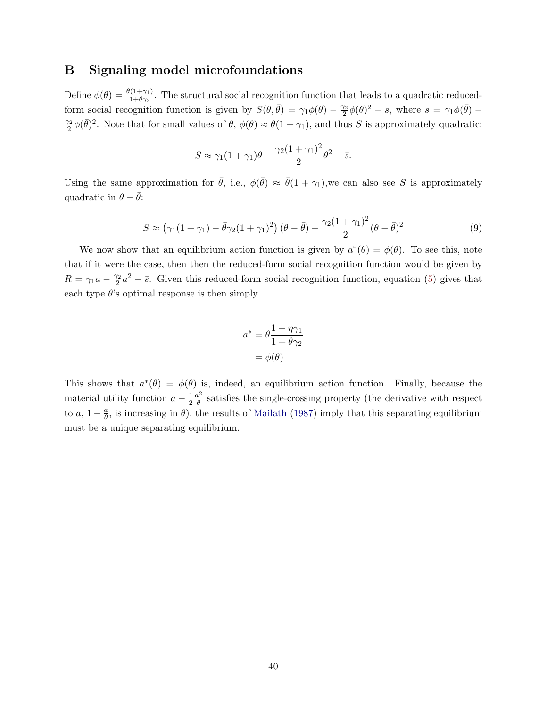# <span id="page-41-0"></span>B Signaling model microfoundations

Define  $\phi(\theta) = \frac{\theta(1+\gamma_1)}{1+\theta\gamma_2}$ . The structural social recognition function that leads to a quadratic reducedform social recognition function is given by  $S(\theta, \bar{\theta}) = \gamma_1 \phi(\theta) - \frac{\gamma_2}{2}$  $\frac{\gamma_2}{2}\phi(\theta)^2-\bar{s}$ , where  $\bar{s}=\gamma_1\phi(\bar{\theta})-\bar{s}$  $\gamma_2$  $\frac{\partial^2}{\partial^2}\phi(\bar{\theta})^2$ . Note that for small values of  $\theta$ ,  $\phi(\theta) \approx \theta(1+\gamma_1)$ , and thus S is approximately quadratic:

$$
S \approx \gamma_1 (1 + \gamma_1)\theta - \frac{\gamma_2 (1 + \gamma_1)^2}{2} \theta^2 - \bar{s}.
$$

Using the same approximation for  $\bar{\theta}$ , i.e.,  $\phi(\bar{\theta}) \approx \bar{\theta}(1 + \gamma_1)$ , we can also see S is approximately quadratic in  $\theta - \bar{\theta}$ :

<span id="page-41-1"></span>
$$
S \approx \left(\gamma_1(1+\gamma_1) - \bar{\theta}\gamma_2(1+\gamma_1)^2\right)(\theta - \bar{\theta}) - \frac{\gamma_2(1+\gamma_1)^2}{2}(\theta - \bar{\theta})^2
$$
\n(9)

We now show that an equilibrium action function is given by  $a^*(\theta) = \phi(\theta)$ . To see this, note that if it were the case, then then the reduced-form social recognition function would be given by  $R = \gamma_1 a - \frac{\gamma_2}{2}$  $\frac{\gamma_2}{2}a^2 - \bar{s}$ . Given this reduced-form social recognition function, equation [\(5\)](#page-21-2) gives that each type  $\theta$ 's optimal response is then simply

$$
a^* = \theta \frac{1 + \eta \gamma_1}{1 + \theta \gamma_2}
$$

$$
= \phi(\theta)
$$

This shows that  $a^*(\theta) = \phi(\theta)$  is, indeed, an equilibrium action function. Finally, because the material utility function  $a-\frac{1}{2}$  $\overline{2}$  $a^2$  $\frac{\partial^2}{\partial \theta}$  satisfies the single-crossing property (the derivative with respect to  $a, 1-\frac{a}{\theta}$  $\frac{a}{\theta}$ , is increasing in  $\theta$ ), the results of [Mailath](#page-31-13) [\(1987\)](#page-31-13) imply that this separating equilibrium must be a unique separating equilibrium.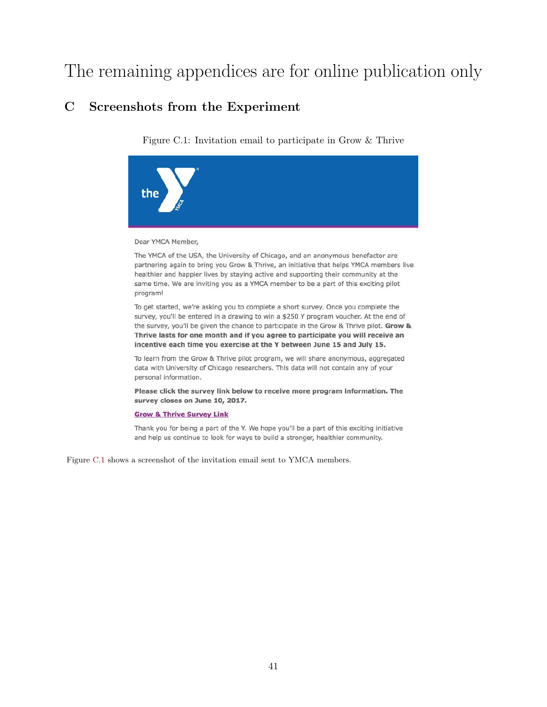# The remaining appendices are for online publication only

# <span id="page-42-1"></span><span id="page-42-0"></span>C Screenshots from the Experiment

Figure C.1: Invitation email to participate in Grow & Thrive



Dear YMCA Member,

The YMCA of the USA, the University of Chicago, and an anonymous benefactor are partnering again to bring you Grow & Thrive, an initiative that helps YMCA members live healthier and happier lives by staying active and supporting their community at the same time. We are inviting you as a YMCA member to be a part of this exciting pilot program!

To get started, we're asking you to complete a short survey. Once you complete the survey, you'll be entered in a drawing to win a \$250 Y program voucher. At the end of the survey, you'll be given the chance to participate in the Grow & Thrive pilot. Grow & Thrive lasts for one month and if you agree to participate you will receive an incentive each time you exercise at the Y between June 15 and July 15.

To learn from the Grow & Thrive pilot program, we will share anonymous, aggregated data with University of Chicago researchers. This data will not contain any of your personal information.

Please click the survey link below to receive more program information. The survey closes on June 10, 2017.

#### **Grow & Thrive Survey Link**

Thank you for being a part of the Y. We hope you'll be a part of this exciting initiative and help us continue to look for ways to build a stronger, healthier community.

Figure [C.1](#page-42-1) shows a screenshot of the invitation email sent to YMCA members.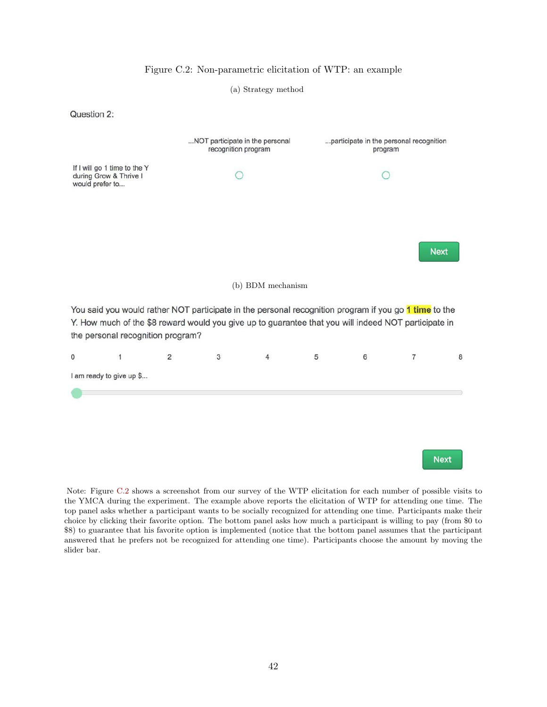<span id="page-43-0"></span>

#### Figure C.2: Non-parametric elicitation of WTP: an example

Note: Figure [C.2](#page-43-0) shows a screenshot from our survey of the WTP elicitation for each number of possible visits to the YMCA during the experiment. The example above reports the elicitation of WTP for attending one time. The top panel asks whether a participant wants to be socially recognized for attending one time. Participants make their choice by clicking their favorite option. The bottom panel asks how much a participant is willing to pay (from \$0 to \$8) to guarantee that his favorite option is implemented (notice that the bottom panel assumes that the participant answered that he prefers not be recognized for attending one time). Participants choose the amount by moving the slider bar.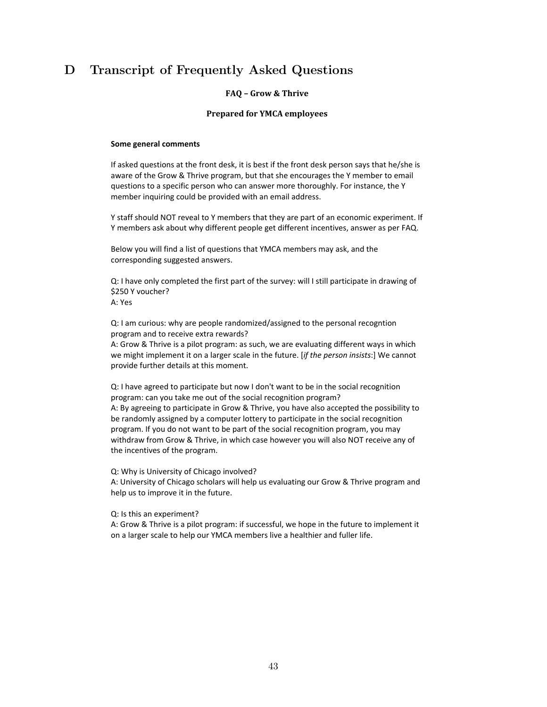# <span id="page-44-0"></span>D Transcript of Frequently Asked Questions

#### **FAQ – Grow & Thrive**

#### **Prepared for YMCA employees**

#### **Some general comments**

If asked questions at the front desk, it is best if the front desk person says that he/she is aware of the Grow & Thrive program, but that she encourages the Y member to email questions to a specific person who can answer more thoroughly. For instance, the Y member inquiring could be provided with an email address.

Y staff should NOT reveal to Y members that they are part of an economic experiment. If Y members ask about why different people get different incentives, answer as per FAQ.

Below you will find a list of questions that YMCA members may ask, and the corresponding suggested answers.

Q: I have only completed the first part of the survey: will I still participate in drawing of \$250 Y voucher? A: Yes

Q: I am curious: why are people randomized/assigned to the personal recogntion program and to receive extra rewards?

A: Grow & Thrive is a pilot program: as such, we are evaluating different ways in which we might implement it on a larger scale in the future. [*if the person insists*:] We cannot provide further details at this moment.

Q: I have agreed to participate but now I don't want to be in the social recognition program: can you take me out of the social recognition program? A: By agreeing to participate in Grow & Thrive, you have also accepted the possibility to be randomly assigned by a computer lottery to participate in the social recognition program. If you do not want to be part of the social recognition program, you may withdraw from Grow & Thrive, in which case however you will also NOT receive any of the incentives of the program.

Q: Why is University of Chicago involved?

A: University of Chicago scholars will help us evaluating our Grow & Thrive program and help us to improve it in the future.

Q: Is this an experiment?

A: Grow & Thrive is a pilot program: if successful, we hope in the future to implement it on a larger scale to help our YMCA members live a healthier and fuller life.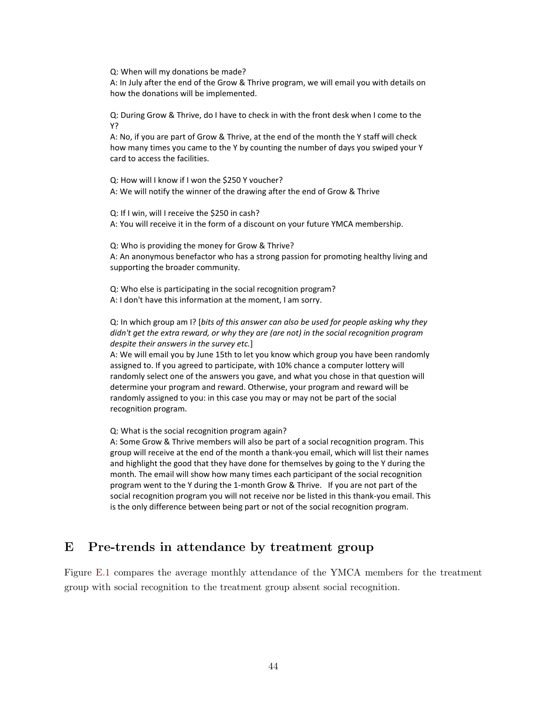Q: When will my donations be made?

A: In July after the end of the Grow & Thrive program, we will email you with details on how the donations will be implemented.

Q: During Grow & Thrive, do I have to check in with the front desk when I come to the Y?

A: No, if you are part of Grow & Thrive, at the end of the month the Y staff will check how many times you came to the Y by counting the number of days you swiped your Y card to access the facilities.

Q: How will I know if I won the \$250 Y voucher? A: We will notify the winner of the drawing after the end of Grow & Thrive

Q: If I win, will I receive the \$250 in cash? A: You will receive it in the form of a discount on your future YMCA membership.

Q: Who is providing the money for Grow & Thrive?

A: An anonymous benefactor who has a strong passion for promoting healthy living and supporting the broader community.

Q: Who else is participating in the social recognition program? A: I don't have this information at the moment, I am sorry.

Q: In which group am I? [*bits of this answer can also be used for people asking why they didn't get the extra reward, or why they are (are not) in the social recognition program despite their answers in the survey etc.*]

A: We will email you by June 15th to let you know which group you have been randomly assigned to. If you agreed to participate, with 10% chance a computer lottery will randomly select one of the answers you gave, and what you chose in that question will determine your program and reward. Otherwise, your program and reward will be randomly assigned to you: in this case you may or may not be part of the social recognition program.

Q: What is the social recognition program again?

A: Some Grow & Thrive members will also be part of a social recognition program. This group will receive at the end of the month a thank-you email, which will list their names and highlight the good that they have done for themselves by going to the Y during the month. The email will show how many times each participant of the social recognition program went to the Y during the 1-month Grow & Thrive. If you are not part of the social recognition program you will not receive nor be listed in this thank-you email. This is the only difference between being part or not of the social recognition program.

# <span id="page-45-0"></span>E Pre-trends in attendance by treatment group

Figure [E.1](#page-46-1) compares the average monthly attendance of the YMCA members for the treatment group with social recognition to the treatment group absent social recognition.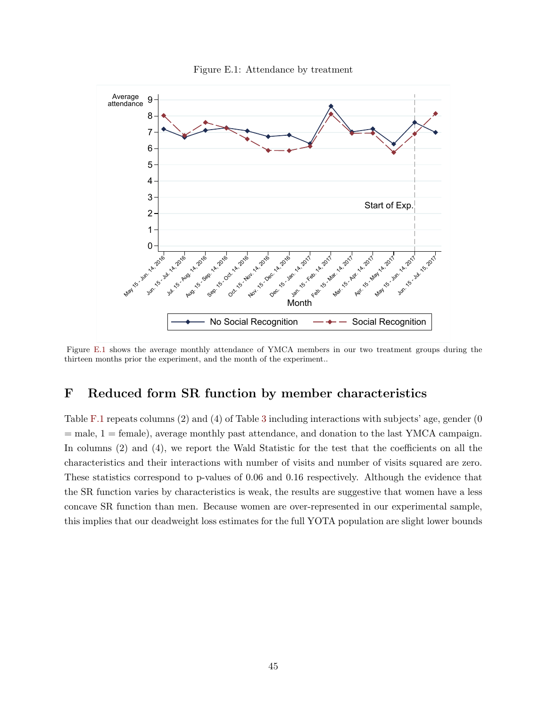<span id="page-46-1"></span>

Figure E.1: Attendance by treatment

Figure [E.1](#page-46-1) shows the average monthly attendance of YMCA members in our two treatment groups during the thirteen months prior the experiment, and the month of the experiment..

# <span id="page-46-0"></span>F Reduced form SR function by member characteristics

Table [F.1](#page-47-0) repeats columns (2) and (4) of Table [3](#page-37-0) including interactions with subjects' age, gender (0  $=$  male,  $1 =$  female), average monthly past attendance, and donation to the last YMCA campaign. In columns (2) and (4), we report the Wald Statistic for the test that the coefficients on all the characteristics and their interactions with number of visits and number of visits squared are zero. These statistics correspond to p-values of 0.06 and 0.16 respectively. Although the evidence that the SR function varies by characteristics is weak, the results are suggestive that women have a less concave SR function than men. Because women are over-represented in our experimental sample, this implies that our deadweight loss estimates for the full YOTA population are slight lower bounds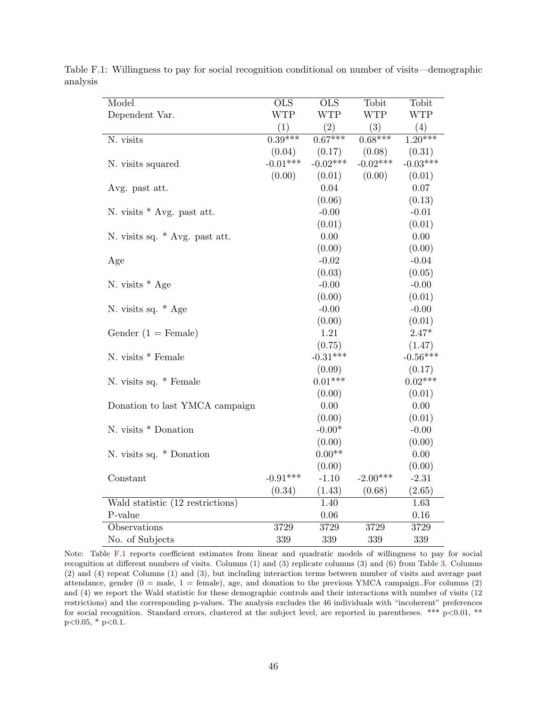| Model                            | <b>OLS</b> | <b>OLS</b> | Tobit      | Tobit                |
|----------------------------------|------------|------------|------------|----------------------|
| Dependent Var.                   | <b>WTP</b> | <b>WTP</b> | <b>WTP</b> | <b>WTP</b>           |
|                                  | (1)        | (2)        | (3)        | (4)                  |
| N. visits                        | $0.39***$  | $0.67***$  | $0.68***$  | $1.\overline{20***}$ |
|                                  | (0.04)     | (0.17)     | (0.08)     | (0.31)               |
| N. visits squared                | $-0.01***$ | $-0.02***$ | $-0.02***$ | $-0.03***$           |
|                                  | (0.00)     | (0.01)     | (0.00)     | (0.01)               |
| Avg. past att.                   |            | $0.04\,$   |            | $0.07\,$             |
|                                  |            | (0.06)     |            | (0.13)               |
| N. visits * Avg. past att.       |            | $-0.00$    |            | $-0.01$              |
|                                  |            | (0.01)     |            | (0.01)               |
| N. visits sq. * Avg. past att.   |            | $0.00\,$   |            | 0.00                 |
|                                  |            | (0.00)     |            | (0.00)               |
| Age                              |            | $-0.02$    |            | $-0.04$              |
|                                  |            | (0.03)     |            | (0.05)               |
| N. visits $*$ Age                |            | $-0.00$    |            | $-0.00$              |
|                                  |            | (0.00)     |            | (0.01)               |
| N. visits sq. * Age              |            | $-0.00$    |            | $-0.00$              |
|                                  |            | (0.00)     |            | (0.01)               |
| Gender $(1 =$ Female)            |            | 1.21       |            | $2.47*$              |
|                                  |            | (0.75)     |            | (1.47)               |
| N. visits $*$ Female             |            | $-0.31***$ |            | $-0.56***$           |
|                                  |            | (0.09)     |            | (0.17)               |
| N. visits sq. * Female           |            | $0.01***$  |            | $0.02***$            |
|                                  |            | (0.00)     |            | (0.01)               |
| Donation to last YMCA campaign   |            | 0.00       |            | 0.00                 |
|                                  |            | (0.00)     |            | (0.01)               |
| N. visits * Donation             |            | $-0.00*$   |            | $-0.00$              |
|                                  |            | (0.00)     |            | (0.00)               |
| N. visits sq. * Donation         |            | $0.00**$   |            | 0.00                 |
|                                  |            | (0.00)     |            | (0.00)               |
| Constant                         | $-0.91***$ | $-1.10$    | $-2.00***$ | $-2.31$              |
|                                  | (0.34)     | (1.43)     | (0.68)     | (2.65)               |
| Wald statistic (12 restrictions) |            | 1.40       |            | 1.63                 |
| P-value                          |            | 0.06       |            | $0.16\,$             |
| Observations                     | 3729       | 3729       | 3729       | 3729                 |
| No. of Subjects                  | 339        | 339        | 339        | 339                  |

<span id="page-47-0"></span>Table F.1: Willingness to pay for social recognition conditional on number of visits—demographic analysis

Note: Table [F.1](#page-47-0) reports coefficient estimates from linear and quadratic models of willingness to pay for social recognition at different numbers of visits. Columns (1) and (3) replicate columns (3) and (6) from Table [3.](#page-37-0) Columns (2) and (4) repeat Columns (1) and (3), but including interaction terms between number of visits and average past attendance, gender  $(0 = \text{male}, 1 = \text{female})$ , age, and donation to the previous YMCA campaign..For columns  $(2)$ and (4) we report the Wald statistic for these demographic controls and their interactions with number of visits (12 restrictions) and the corresponding p-values. The analysis excludes the 46 individuals with "incoherent" preferences for social recognition. Standard errors, clustered at the subject level, are reported in parentheses. \*\*\*  $p<0.01$ , \*\*  $p<0.05$ , \*  $p<0.1$ .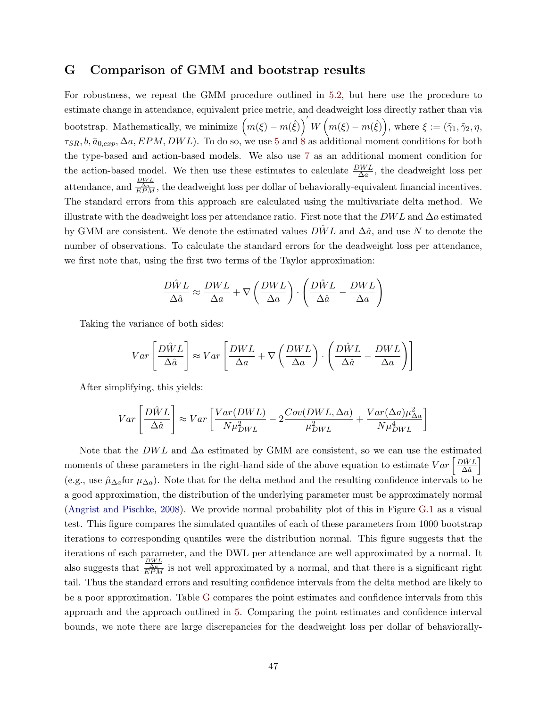# <span id="page-48-0"></span>G Comparison of GMM and bootstrap results

For robustness, we repeat the GMM procedure outlined in [5.2,](#page-21-3) but here use the procedure to estimate change in attendance, equivalent price metric, and deadweight loss directly rather than via bootstrap. Mathematically, we minimize  $(m(\xi) - m(\hat{\xi}))' W (m(\xi) - m(\hat{\xi}))$ , where  $\xi := (\tilde{\gamma}_1, \tilde{\gamma}_2, \eta, \tilde{\eta})$  $\tau_{SR}, b, \bar{a}_{0,exp}, \Delta a, EPM, DWL$ . To do so, we use [5](#page-21-2) and [8](#page-24-0) as additional moment conditions for both the type-based and action-based models. We also use [7](#page-23-0) as an additional moment condition for the action-based model. We then use these estimates to calculate  $\frac{DWL}{\Delta a}$ , the deadweight loss per attendance, and  $\frac{\frac{DWL}{\triangle R}}{\frac{Na}{CPM}}$ , the deadweight loss per dollar of behaviorally-equivalent financial incentives. The standard errors from this approach are calculated using the multivariate delta method. We illustrate with the deadweight loss per attendance ratio. First note that the  $DWL$  and  $\Delta a$  estimated by GMM are consistent. We denote the estimated values  $D\hat{W}L$  and  $\Delta\hat{a}$ , and use N to denote the number of observations. To calculate the standard errors for the deadweight loss per attendance, we first note that, using the first two terms of the Taylor approximation:

$$
\frac{D\hat{W}L}{\Delta \hat{a}} \approx \frac{DWL}{\Delta a} + \nabla \left(\frac{DWL}{\Delta a}\right) \cdot \left(\frac{D\hat{W}L}{\Delta \hat{a}} - \frac{DWL}{\Delta a}\right)
$$

Taking the variance of both sides:

$$
Var\left[\frac{D\hat{W}L}{\Delta \hat{a}}\right] \approx Var\left[\frac{DWL}{\Delta a} + \nabla \left(\frac{DWL}{\Delta a}\right) \cdot \left(\frac{D\hat{W}L}{\Delta \hat{a}} - \frac{DWL}{\Delta a}\right)\right]
$$

After simplifying, this yields:

$$
Var\left[\frac{D\hat{W}L}{\Delta\hat{a}}\right] \approx Var\left[\frac{Var(DWL)}{N\mu_{DWL}^2} - 2\frac{Cov(DWL, \Delta a)}{\mu_{DWL}^2} + \frac{Var(\Delta a)\mu_{\Delta a}^2}{N\mu_{DWL}^4}\right]
$$

Note that the DWL and  $\Delta a$  estimated by GMM are consistent, so we can use the estimated moments of these parameters in the right-hand side of the above equation to estimate  $Var\left[\frac{D\hat{W}L}{\hat{A}\hat{a}}\right]$  $\frac{\partial \hat{W}L}{\Delta \hat{a}}$ (e.g., use  $\hat{\mu}_{\Delta a}$  for  $\mu_{\Delta a}$ ). Note that for the delta method and the resulting confidence intervals to be a good approximation, the distribution of the underlying parameter must be approximately normal [\(Angrist and Pischke,](#page-29-19) [2008\)](#page-29-19). We provide normal probability plot of this in Figure [G.1](#page-50-0) as a visual test. This figure compares the simulated quantiles of each of these parameters from 1000 bootstrap iterations to corresponding quantiles were the distribution normal. This figure suggests that the iterations of each parameter, and the DWL per attendance are well approximated by a normal. It also suggests that  $\frac{\Delta W}{\Delta PM}$  is not well approximated by a normal, and that there is a significant right tail. Thus the standard errors and resulting confidence intervals from the delta method are likely to be a poor approximation. Table [G](#page-48-0) compares the point estimates and confidence intervals from this approach and the approach outlined in [5.](#page-19-0) Comparing the point estimates and confidence interval bounds, we note there are large discrepancies for the deadweight loss per dollar of behaviorally-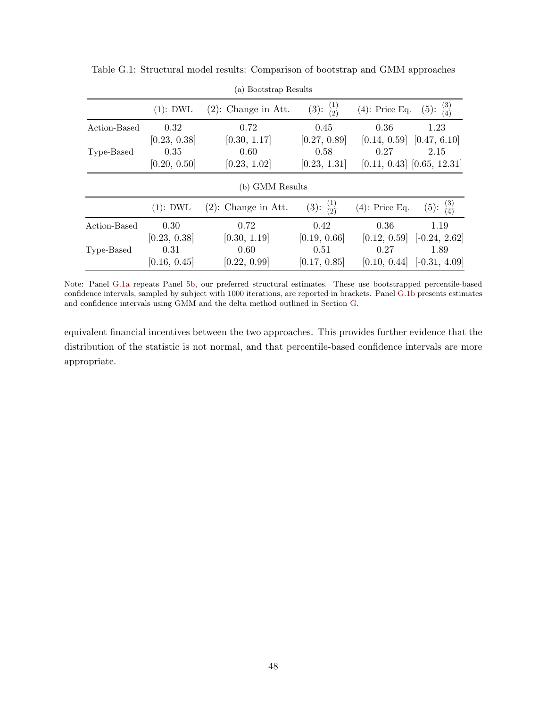<span id="page-49-0"></span>

|              | (a) Bootstrap Results |                        |                           |                                       |                                        |  |  |
|--------------|-----------------------|------------------------|---------------------------|---------------------------------------|----------------------------------------|--|--|
|              | $(1)$ : DWL           | $(2)$ : Change in Att. | $(3)$ : $\frac{(1)}{(2)}$ | $(4)$ : Price Eq.                     | $\frac{(3)}{(4)}$<br>$(5)$ :           |  |  |
| Action-Based | 0.32<br>[0.23, 0.38]  | 0.72<br>[0.30, 1.17]   | 0.45<br>[0.27, 0.89]      | 0.36<br>$[0.14, 0.59]$ $[0.47, 6.10]$ | 1.23                                   |  |  |
| Type-Based   | 0.35<br>[0.20, 0.50]  | 0.60<br>[0.23, 1.02]   | 0.58<br>[0.23, 1.31]      | 0.27                                  | 2.15<br>$[0.11, 0.43]$ $[0.65, 12.31]$ |  |  |
|              |                       | (b) GMM Results        |                           |                                       |                                        |  |  |
|              | $(1)$ : DWL           | $(2)$ : Change in Att. | $(3): \frac{(1)}{(2)}$    | $(4)$ : Price Eq.                     | $\frac{(3)}{(4)}$<br>$(5)$ :           |  |  |
| Action-Based | 0.30<br>[0.23, 0.38]  | 0.72<br>[0.30, 1.19]   | 0.42<br>[0.19, 0.66]      | 0.36<br>[0.12, 0.59]                  | 1.19<br>$[-0.24, 2.62]$                |  |  |
| Type-Based   | 0.31<br>[0.16, 0.45]  | 0.60<br>[0.22, 0.99]   | 0.51<br>[0.17, 0.85]      | 0.27<br>[0.10, 0.44]                  | 1.89<br>$[-0.31, 4.09]$                |  |  |

Table G.1: Structural model results: Comparison of bootstrap and GMM approaches

<span id="page-49-1"></span>Note: Panel [G.1a](#page-49-0) repeats Panel [5b,](#page-39-2) our preferred structural estimates. These use bootstrapped percentile-based confidence intervals, sampled by subject with 1000 iterations, are reported in brackets. Panel [G.1b](#page-49-1) presents estimates and confidence intervals using GMM and the delta method outlined in Section [G.](#page-48-0)

equivalent financial incentives between the two approaches. This provides further evidence that the distribution of the statistic is not normal, and that percentile-based confidence intervals are more appropriate.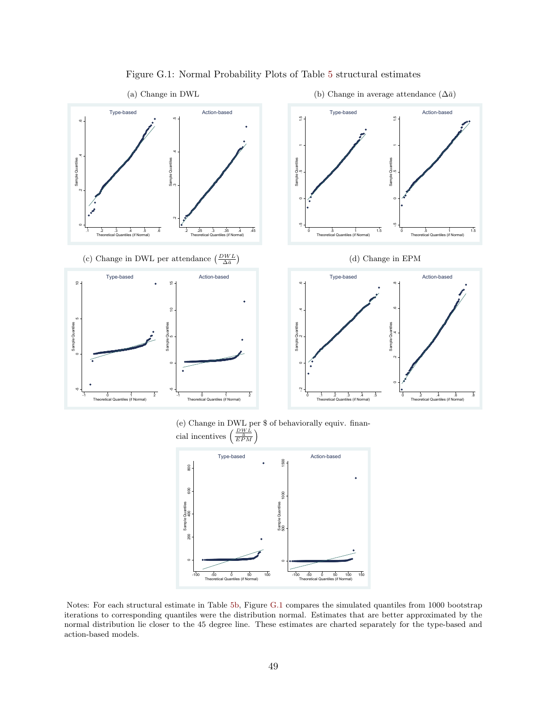<span id="page-50-0"></span>

#### Figure G.1: Normal Probability Plots of Table [5](#page-39-0) structural estimates

(e) Change in DWL per \$ of behaviorally equiv. financial incentives  $\left(\frac{\frac{DWL}{\bar{a}}}{EPM}\right)$ 



Notes: For each structural estimate in Table [5b,](#page-39-2) Figure [G.1](#page-50-0) compares the simulated quantiles from 1000 bootstrap iterations to corresponding quantiles were the distribution normal. Estimates that are better approximated by the normal distribution lie closer to the 45 degree line. These estimates are charted separately for the type-based and action-based models.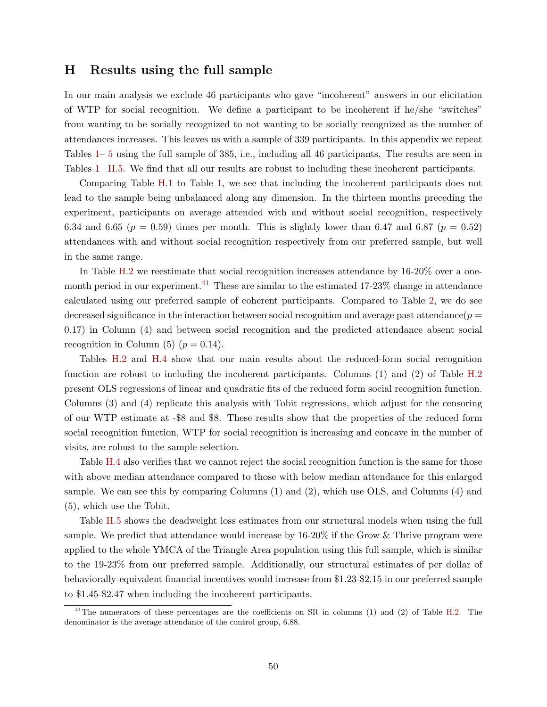# <span id="page-51-0"></span>H Results using the full sample

In our main analysis we exclude 46 participants who gave "incoherent" answers in our elicitation of WTP for social recognition. We define a participant to be incoherent if he/she "switches" from wanting to be socially recognized to not wanting to be socially recognized as the number of attendances increases. This leaves us with a sample of 339 participants. In this appendix we repeat Tables [1–](#page-36-0) [5](#page-39-0) using the full sample of 385, i.e., including all 46 participants. The results are seen in Tables [1–](#page-36-0) [H.5.](#page-55-0) We find that all our results are robust to including these incoherent participants.

Comparing Table [H.1](#page-52-0) to Table [1,](#page-36-0) we see that including the incoherent participants does not lead to the sample being unbalanced along any dimension. In the thirteen months preceding the experiment, participants on average attended with and without social recognition, respectively 6.34 and 6.65 ( $p = 0.59$ ) times per month. This is slightly lower than 6.47 and 6.87 ( $p = 0.52$ ) attendances with and without social recognition respectively from our preferred sample, but well in the same range.

In Table [H.2](#page-53-0) we reestimate that social recognition increases attendance by  $16\n-20\%$  over a one-month period in our experiment.<sup>[41](#page--1-0)</sup> These are similar to the estimated  $17-23\%$  change in attendance calculated using our preferred sample of coherent participants. Compared to Table [2,](#page-36-1) we do see decreased significance in the interaction between social recognition and average past attendance( $p =$ 0.17) in Column (4) and between social recognition and the predicted attendance absent social recognition in Column (5) ( $p = 0.14$ ).

Tables [H.2](#page-53-0) and [H.4](#page-54-0) show that our main results about the reduced-form social recognition function are robust to including the incoherent participants. Columns (1) and (2) of Table [H.2](#page-53-0) present OLS regressions of linear and quadratic fits of the reduced form social recognition function. Columns (3) and (4) replicate this analysis with Tobit regressions, which adjust for the censoring of our WTP estimate at -\$8 and \$8. These results show that the properties of the reduced form social recognition function, WTP for social recognition is increasing and concave in the number of visits, are robust to the sample selection.

Table [H.4](#page-54-0) also verifies that we cannot reject the social recognition function is the same for those with above median attendance compared to those with below median attendance for this enlarged sample. We can see this by comparing Columns (1) and (2), which use OLS, and Columns (4) and (5), which use the Tobit.

Table [H.5](#page-55-0) shows the deadweight loss estimates from our structural models when using the full sample. We predict that attendance would increase by 16-20% if the Grow & Thrive program were applied to the whole YMCA of the Triangle Area population using this full sample, which is similar to the 19-23% from our preferred sample. Additionally, our structural estimates of per dollar of behaviorally-equivalent financial incentives would increase from \$1.23-\$2.15 in our preferred sample to \$1.45-\$2.47 when including the incoherent participants.

<sup>&</sup>lt;sup>41</sup>The numerators of these percentages are the coefficients on SR in columns (1) and (2) of Table [H.2.](#page-53-0) The denominator is the average attendance of the control group, 6.88.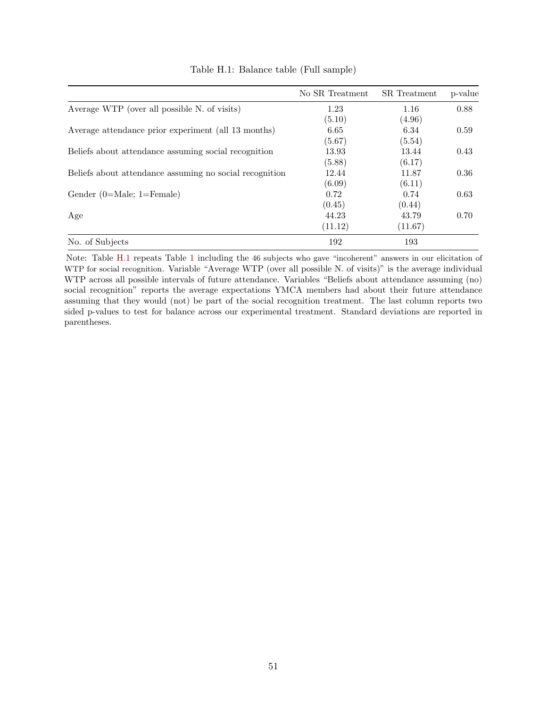<span id="page-52-0"></span>

|                                                         | No SR Treatment | SR Treatment | p-value |
|---------------------------------------------------------|-----------------|--------------|---------|
| Average WTP (over all possible N. of visits)            | 1.23            | 1.16         | 0.88    |
|                                                         | (5.10)          | (4.96)       |         |
| Average attendance prior experiment (all 13 months)     | 6.65            | 6.34         | 0.59    |
|                                                         | (5.67)          | (5.54)       |         |
| Beliefs about attendance assuming social recognition    | 13.93           | 13.44        | 0.43    |
|                                                         | (5.88)          | (6.17)       |         |
| Beliefs about attendance assuming no social recognition | 12.44           | 11.87        | 0.36    |
|                                                         | (6.09)          | (6.11)       |         |
| Gender $(0=Male; 1=Female)$                             | 0.72            | 0.74         | 0.63    |
|                                                         | (0.45)          | (0.44)       |         |
| Age                                                     | 44.23           | 43.79        | 0.70    |
|                                                         | (11.12)         | (11.67)      |         |
| No. of Subjects                                         | 192             | 193          |         |

Table H.1: Balance table (Full sample)

Note: Table [H.1](#page-52-0) repeats Table [1](#page-36-0) including the 46 subjects who gave "incoherent" answers in our elicitation of WTP for social recognition. Variable "Average WTP (over all possible N. of visits)" is the average individual WTP across all possible intervals of future attendance. Variables "Beliefs about attendance assuming (no) social recognition" reports the average expectations YMCA members had about their future attendance assuming that they would (not) be part of the social recognition treatment. The last column reports two sided p-values to test for balance across our experimental treatment. Standard deviations are reported in parentheses.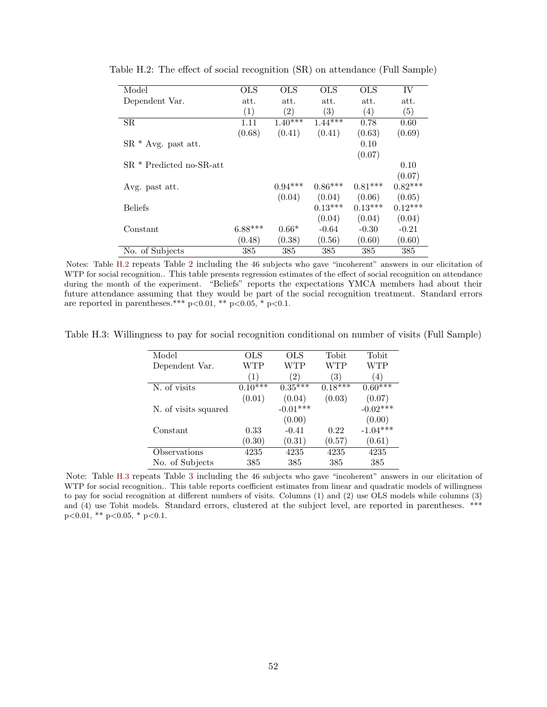| Model                    | <b>OLS</b> | <b>OLS</b>        | <b>OLS</b> | <b>OLS</b>        | IV        |
|--------------------------|------------|-------------------|------------|-------------------|-----------|
| Dependent Var.           | att.       | att.              | att.       | att.              | att.      |
|                          | (1)        | $\left( 2\right)$ | (3)        | $\left( 4\right)$ | (5)       |
| SR.                      | 1.11       | $1.40***$         | $1.44***$  | 0.78              | 0.60      |
|                          | (0.68)     | (0.41)            | (0.41)     | (0.63)            | (0.69)    |
| $SR * Avg.$ past att.    |            |                   |            | 0.10              |           |
|                          |            |                   |            | (0.07)            |           |
| SR * Predicted no-SR-att |            |                   |            |                   | 0.10      |
|                          |            |                   |            |                   | (0.07)    |
| Avg. past att.           |            | $0.94***$         | $0.86***$  | $0.81***$         | $0.82***$ |
|                          |            | (0.04)            | (0.04)     | (0.06)            | (0.05)    |
| <b>Beliefs</b>           |            |                   | $0.13***$  | $0.13***$         | $0.12***$ |
|                          |            |                   | (0.04)     | (0.04)            | (0.04)    |
| Constant                 | $6.88***$  | $0.66*$           | $-0.64$    | $-0.30$           | $-0.21$   |
|                          | (0.48)     | (0.38)            | (0.56)     | (0.60)            | (0.60)    |
| No. of Subjects          | 385        | 385               | 385        | 385               | 385       |

<span id="page-53-0"></span>Table H.2: The effect of social recognition (SR) on attendance (Full Sample)

Notes: Table [H.2](#page-53-0) repeats Table [2](#page-36-1) including the 46 subjects who gave "incoherent" answers in our elicitation of WTP for social recognition.. This table presents regression estimates of the effect of social recognition on attendance during the month of the experiment. "Beliefs" reports the expectations YMCA members had about their future attendance assuming that they would be part of the social recognition treatment. Standard errors are reported in parentheses.\*\*\*  $p<0.01$ , \*\*  $p<0.05$ , \*  $p<0.1$ .

<span id="page-53-1"></span>Table H.3: Willingness to pay for social recognition conditional on number of visits (Full Sample)

| Model                | <b>OLS</b>   | <b>OLS</b>    | Tobit             | Tobit            |
|----------------------|--------------|---------------|-------------------|------------------|
| Dependent Var.       | WTP          | WTP           | WTP               | WTP              |
|                      | (1)          | $^{\prime}2)$ | $\left( 3\right)$ | $\left(4\right)$ |
| N. of visits         | $0.10^{***}$ | $0.35***$     | $0.18***$         | $0.60***$        |
|                      | (0.01)       | (0.04)        | (0.03)            | (0.07)           |
| N. of visits squared |              | $-0.01***$    |                   | $-0.02***$       |
|                      |              | (0.00)        |                   | (0.00)           |
| Constant             | 0.33         | $-0.41$       | 0.22              | $-1.04***$       |
|                      | (0.30)       | (0.31)        | (0.57)            | (0.61)           |
| Observations         | 4235         | 4235          | 4235              | 4235             |
| No. of Subjects      | 385          | 385           | 385               | 385              |

Note: Table [H.3](#page-53-1) repeats Table [3](#page-37-0) including the 46 subjects who gave "incoherent" answers in our elicitation of WTP for social recognition.. This table reports coefficient estimates from linear and quadratic models of willingness to pay for social recognition at different numbers of visits. Columns (1) and (2) use OLS models while columns (3) and (4) use Tobit models. Standard errors, clustered at the subject level, are reported in parentheses. \*\*\*  $p<0.01$ , \*\*  $p<0.05$ , \*  $p<0.1$ .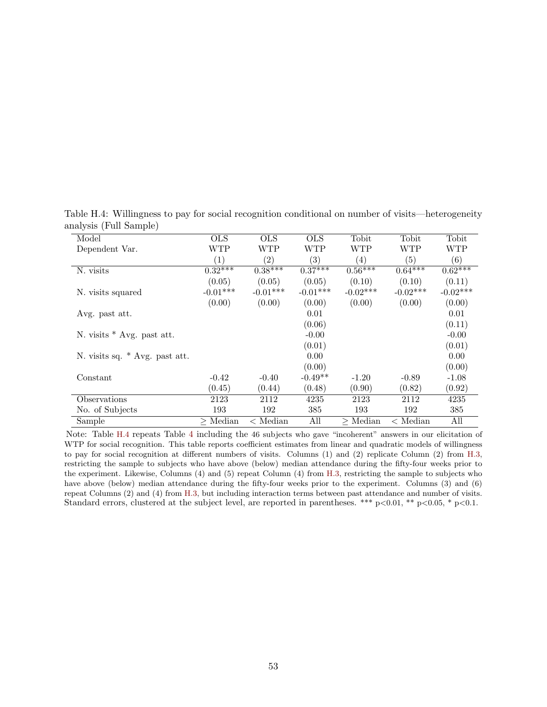<span id="page-54-0"></span>Table H.4: Willingness to pay for social recognition conditional on number of visits—heterogeneity analysis (Full Sample)

| Model                          | <b>OLS</b> | <b>OLS</b>       | <b>OLS</b> | Tobit      | Tobit            | Tobit      |
|--------------------------------|------------|------------------|------------|------------|------------------|------------|
| Dependent Var.                 | WTP        | WTP              | WTP        | WTP        | WTP              | <b>WTP</b> |
|                                | (1)        | (2)              | (3)        | (4)        | (5)              | (6)        |
| N. visits                      | $0.32***$  | $0.38***$        | $0.37***$  | $0.56***$  | $0.64***$        | $0.62***$  |
|                                | (0.05)     | (0.05)           | (0.05)     | (0.10)     | (0.10)           | (0.11)     |
| N. visits squared              | $-0.01***$ | $-0.01***$       | $-0.01***$ | $-0.02***$ | $-0.02***$       | $-0.02***$ |
|                                | (0.00)     | (0.00)           | (0.00)     | (0.00)     | (0.00)           | (0.00)     |
| Avg. past att.                 |            |                  | 0.01       |            |                  | 0.01       |
|                                |            |                  | (0.06)     |            |                  | (0.11)     |
| N. visits $*$ Avg. past att.   |            |                  | $-0.00$    |            |                  | $-0.00$    |
|                                |            |                  | (0.01)     |            |                  | (0.01)     |
| N. visits sq. * Avg. past att. |            |                  | $0.00\,$   |            |                  | 0.00       |
|                                |            |                  | (0.00)     |            |                  | (0.00)     |
| Constant                       | $-0.42$    | $-0.40$          | $-0.49**$  | $-1.20$    | $-0.89$          | $-1.08$    |
|                                | (0.45)     | (0.44)           | (0.48)     | (0.90)     | (0.82)           | (0.92)     |
| Observations                   | 2123       | 2112             | 4235       | 2123       | 2112             | 4235       |
| No. of Subjects                | 193        | 192              | 385        | 193        | 192              | 385        |
| Sample                         | $>$ Median | $\langle$ Median | All        | $>$ Median | $\langle$ Median | All        |

Note: Table [H.4](#page-54-0) repeats Table [4](#page-38-0) including the 46 subjects who gave "incoherent" answers in our elicitation of WTP for social recognition. This table reports coefficient estimates from linear and quadratic models of willingness to pay for social recognition at different numbers of visits. Columns (1) and (2) replicate Column (2) from [H.3,](#page-53-1) restricting the sample to subjects who have above (below) median attendance during the fifty-four weeks prior to the experiment. Likewise, Columns (4) and (5) repeat Column (4) from [H.3,](#page-53-1) restricting the sample to subjects who have above (below) median attendance during the fifty-four weeks prior to the experiment. Columns (3) and (6) repeat Columns (2) and (4) from [H.3,](#page-53-1) but including interaction terms between past attendance and number of visits. Standard errors, clustered at the subject level, are reported in parentheses. \*\*\*  $p<0.01$ , \*\*  $p<0.05$ , \*  $p<0.1$ .